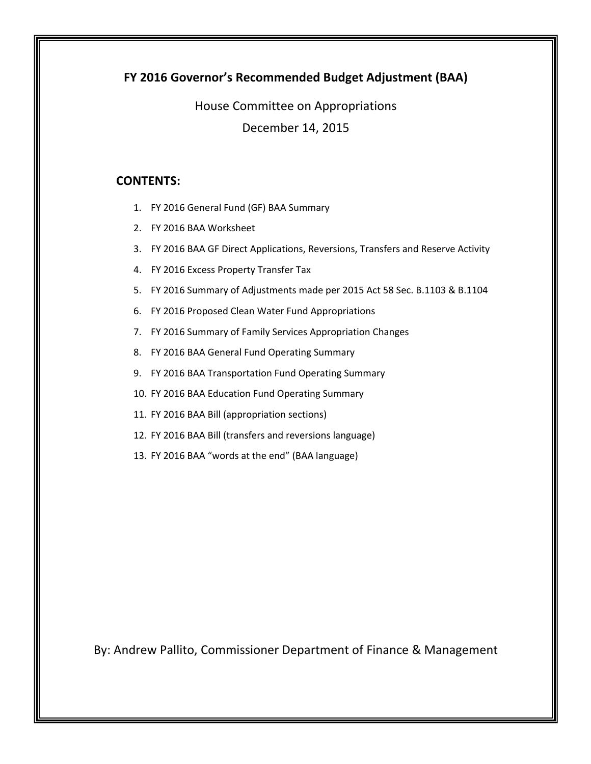## **FY 2016 Governor's Recommended Budget Adjustment (BAA)**

House Committee on Appropriations December 14, 2015

## **CONTENTS:**

- 1. FY 2016 General Fund (GF) BAA Summary
- 2. FY 2016 BAA Worksheet
- 3. FY 2016 BAA GF Direct Applications, Reversions, Transfers and Reserve Activity
- 4. FY 2016 Excess Property Transfer Tax
- 5. FY 2016 Summary of Adjustments made per 2015 Act 58 Sec. B.1103 & B.1104
- 6. FY 2016 Proposed Clean Water Fund Appropriations
- 7. FY 2016 Summary of Family Services Appropriation Changes
- 8. FY 2016 BAA General Fund Operating Summary
- 9. FY 2016 BAA Transportation Fund Operating Summary
- 10. FY 2016 BAA Education Fund Operating Summary
- 11. FY 2016 BAA Bill (appropriation sections)
- 12. FY 2016 BAA Bill (transfers and reversions language)
- 13. FY 2016 BAA "words at the end" (BAA language)

By: Andrew Pallito, Commissioner Department of Finance & Management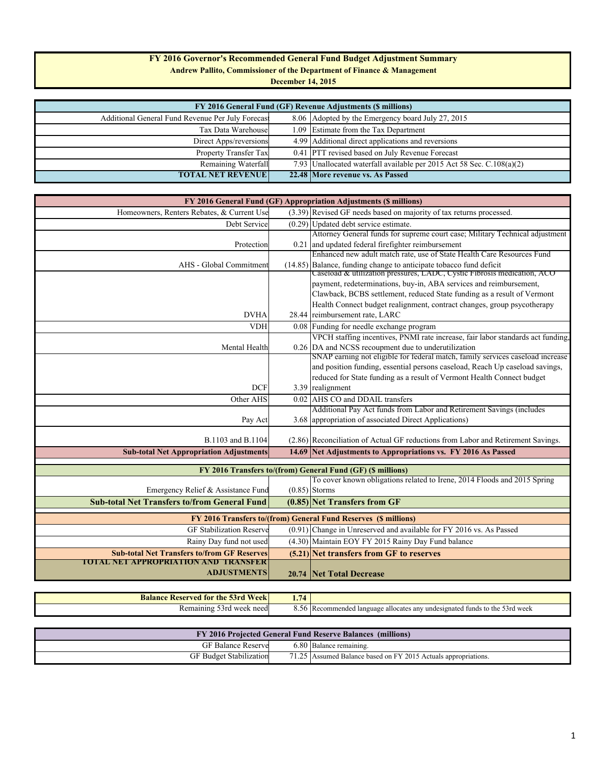### **FY 2016 Governor's Recommended General Fund Budget Adjustment Summary**

**Andrew Pallito, Commissioner of the Department of Finance & Management**

**December 14, 2015**

| FY 2016 General Fund (GF) Revenue Adjustments (\$ millions) |  |                                                                       |  |  |  |  |  |  |  |
|-------------------------------------------------------------|--|-----------------------------------------------------------------------|--|--|--|--|--|--|--|
| Additional General Fund Revenue Per July Forecast           |  | 8.06 Adopted by the Emergency board July 27, 2015                     |  |  |  |  |  |  |  |
| Tax Data Warehouse                                          |  | 1.09 Estimate from the Tax Department                                 |  |  |  |  |  |  |  |
| Direct Apps/reversions                                      |  | 4.99 Additional direct applications and reversions                    |  |  |  |  |  |  |  |
| Property Transfer Tax                                       |  | 0.41 PTT revised based on July Revenue Forecast                       |  |  |  |  |  |  |  |
| Remaining Waterfall                                         |  | 7.93 Unallocated waterfall available per 2015 Act 58 Sec. C.108(a)(2) |  |  |  |  |  |  |  |
| <b>TOTAL NET REVENUE</b>                                    |  | 22.48 More revenue vs. As Passed                                      |  |  |  |  |  |  |  |

|                                                     |      | FY 2016 General Fund (GF) Appropriation Adjustments (\$ millions)                |
|-----------------------------------------------------|------|----------------------------------------------------------------------------------|
| Homeowners, Renters Rebates, & Current Use          |      | (3.39) Revised GF needs based on majority of tax returns processed.              |
| Debt Service                                        |      | $(0.29)$ Updated debt service estimate.                                          |
|                                                     |      | Attorney General funds for supreme court case; Military Technical adjustment     |
| Protection                                          |      | 0.21 and updated federal firefighter reimbursement                               |
|                                                     |      | Enhanced new adult match rate, use of State Health Care Resources Fund           |
| AHS - Global Commitment                             |      | (14.85) Balance, funding change to anticipate tobacco fund deficit               |
|                                                     |      | Caseload & utilization pressures, LADC, Cystic Fibrosis medication, ACO          |
|                                                     |      | payment, redeterminations, buy-in, ABA services and reimbursement,               |
|                                                     |      | Clawback, BCBS settlement, reduced State funding as a result of Vermont          |
|                                                     |      | Health Connect budget realignment, contract changes, group psycotherapy          |
| <b>DVHA</b>                                         |      | 28.44 reimbursement rate, LARC                                                   |
| <b>VDH</b>                                          |      | 0.08 Funding for needle exchange program                                         |
|                                                     |      | VPCH staffing incentives, PNMI rate increase, fair labor standards act funding,  |
| Mental Health                                       |      | 0.26 DA and NCSS recoupment due to underutilization                              |
|                                                     |      | SNAP earning not eligible for federal match, family services caseload increase   |
|                                                     |      | and position funding, essential persons caseload, Reach Up caseload savings,     |
|                                                     |      | reduced for State funding as a result of Vermont Health Connect budget           |
| <b>DCF</b>                                          |      | 3.39 realignment                                                                 |
| Other AHS                                           |      | 0.02 AHS CO and DDAIL transfers                                                  |
|                                                     |      | Additional Pay Act funds from Labor and Retirement Savings (includes             |
| Pay Act                                             |      | 3.68 appropriation of associated Direct Applications)                            |
|                                                     |      |                                                                                  |
| B.1103 and B.1104                                   |      | (2.86) Reconciliation of Actual GF reductions from Labor and Retirement Savings. |
| <b>Sub-total Net Appropriation Adjustments</b>      |      | 14.69 Net Adjustments to Appropriations vs. FY 2016 As Passed                    |
|                                                     |      |                                                                                  |
|                                                     |      | FY 2016 Transfers to/(from) General Fund (GF) (\$ millions)                      |
|                                                     |      | To cover known obligations related to Irene, 2014 Floods and 2015 Spring         |
| Emergency Relief & Assistance Fund                  |      | $(0.85)$ Storms                                                                  |
| <b>Sub-total Net Transfers to/from General Fund</b> |      | $(0.85)$ Net Transfers from GF                                                   |
|                                                     |      | FY 2016 Transfers to/(from) General Fund Reserves (\$ millions)                  |
| <b>GF Stabilization Reserve</b>                     |      | (0.91) Change in Unreserved and available for FY 2016 vs. As Passed              |
| Rainy Day fund not used                             |      | (4.30) Maintain EOY FY 2015 Rainy Day Fund balance                               |
| <b>Sub-total Net Transfers to/from GF Reserves</b>  |      | (5.21) Net transfers from GF to reserves                                         |
| TOTAL NET APPROPRIATION AND TRANSFER                |      |                                                                                  |
| <b>ADJUSTMENTS</b>                                  |      | 20.74 Net Total Decrease                                                         |
|                                                     |      |                                                                                  |
| <b>Balance Reserved for the 53rd Week</b>           | 1.74 |                                                                                  |

|                                | FY 2016 Projected General Fund Reserve Balances (millions)     |
|--------------------------------|----------------------------------------------------------------|
| <b>GF Balance Reserve</b>      | 6.80 Balance remaining.                                        |
| <b>GF Budget Stabilization</b> | 71.25 Assumed Balance based on FY 2015 Actuals appropriations. |

Remaining 53rd week need 8.56 Recommended language allocates any undesignated funds to the 53rd week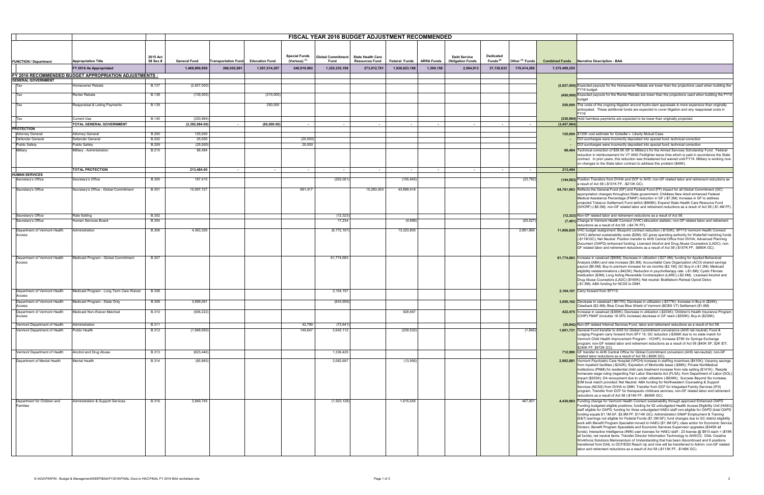|                                        |                                                        |              | <b>FISCAL YEAR 2016 BUDGET ADJUSTMENT RECOMMENDED</b> |                            |                       |                          |                          |                          |                      |                   |                         |             |                            |                       |                                                                                                                                                                                                                |
|----------------------------------------|--------------------------------------------------------|--------------|-------------------------------------------------------|----------------------------|-----------------------|--------------------------|--------------------------|--------------------------|----------------------|-------------------|-------------------------|-------------|----------------------------|-----------------------|----------------------------------------------------------------------------------------------------------------------------------------------------------------------------------------------------------------|
|                                        |                                                        |              |                                                       |                            |                       |                          |                          |                          |                      |                   |                         |             |                            |                       |                                                                                                                                                                                                                |
|                                        |                                                        |              |                                                       |                            |                       |                          |                          |                          |                      |                   |                         |             |                            |                       |                                                                                                                                                                                                                |
|                                        |                                                        | 2015 Act     |                                                       |                            |                       | <b>Special Funds</b>     | <b>Global Commitment</b> | <b>State Health Care</b> |                      |                   | <b>Debt Service</b>     | Dedicated   |                            |                       |                                                                                                                                                                                                                |
| <b>FUNCTION / Department</b>           | <b>Appropriation Title</b>                             | 58 Sec #     | <b>General Fund</b>                                   | <b>Transportation Fund</b> | <b>Education Fund</b> | (Various) <sup>(1)</sup> | Fund                     | <b>Resources Fund</b>    | <b>Federal Funds</b> | <b>ARRA Funds</b> | <b>Obligation Funds</b> | Funds $(2)$ | Other <sup>(3)</sup> Funds | <b>Combined Funds</b> | Narrative Description - BAA                                                                                                                                                                                    |
|                                        | FY 2016 As Appropriated                                |              | 1,469,800,958                                         | 266,052,891                | 1,551,514,267         | 348,919,983              | 1,325,235,198            | 273,912,78               | 1,928,623,188        | 1.390.158         | 2,504,913               | 37,130,633  | 170,414,285                | 7,375,499,255         |                                                                                                                                                                                                                |
|                                        | FY 2016 RECOMMENDED BUDGET APPROPRIATION ADJUSTMENTS : |              |                                                       |                            |                       |                          |                          |                          |                      |                   |                         |             |                            |                       |                                                                                                                                                                                                                |
| <b>GENERAL GOVERNMENT</b>              |                                                        |              |                                                       |                            |                       |                          |                          |                          |                      |                   |                         |             |                            |                       |                                                                                                                                                                                                                |
| Tax                                    | Homeowner Rebate                                       | <b>B.137</b> | (2,927,000)                                           |                            |                       |                          |                          |                          |                      |                   |                         |             |                            |                       | (2,927,000) Expected payouts for the Homeowner Rebate are lower than the projections used when building the                                                                                                    |
|                                        |                                                        |              |                                                       |                            |                       |                          |                          |                          |                      |                   |                         |             |                            |                       | FY16 budget                                                                                                                                                                                                    |
| Tax                                    | <b>Renter Rebate</b>                                   | <b>B.138</b> | (135,000)                                             |                            | (315,000)             |                          |                          |                          |                      |                   |                         |             |                            |                       | (450,000) Expected payouts for the Renter Rebate are lower than the projections used when building the FY16                                                                                                    |
| Tax                                    | Reappraisal & Listing Payments                         | <b>B.139</b> |                                                       |                            | 250,000               |                          |                          |                          |                      |                   |                         |             |                            |                       | 250,000 The costs of the ongoing litigation around hydro-dam appraisals is more expensive than originally                                                                                                      |
|                                        |                                                        |              |                                                       |                            |                       |                          |                          |                          |                      |                   |                         |             |                            |                       | anticipated. These additional funds are expected to cover litigation and any reappraisal costs in                                                                                                              |
|                                        |                                                        | <b>B.140</b> | (330, 984)                                            |                            |                       |                          |                          |                          |                      |                   |                         |             |                            |                       | (330,984) Hold harmless payments are expected to be lower than originally projected                                                                                                                            |
| Tax                                    | <b>Current Use</b><br>TOTAL GENERAL GOVERNMENT         |              | (3,392,984.00)                                        |                            | (65,000.00)           | $\overline{\phantom{a}}$ | $\overline{\phantom{a}}$ |                          | $\sim$               | $\sim$            | $\sim$                  |             |                            | (3, 457, 984)         |                                                                                                                                                                                                                |
| <b>PROTECTION</b>                      |                                                        |              |                                                       |                            |                       |                          |                          |                          |                      |                   |                         |             |                            |                       |                                                                                                                                                                                                                |
| <b>Attorney General</b>                | <b>Attorney General</b>                                | <b>B.200</b> | 125,000                                               |                            |                       |                          |                          |                          |                      |                   |                         |             |                            |                       | 125,000 \$125K cost estimate for Gobeille v. Liberty Mutual Case.                                                                                                                                              |
| Defender General                       | Defender General                                       | <b>B.202</b> | 25,000                                                |                            |                       | (25,000)                 |                          |                          |                      |                   |                         |             |                            |                       | DUI surcharges were incorrectly deposited into special fund; technical correction                                                                                                                              |
| <b>Public Safety</b>                   | <b>Public Safety</b>                                   | <b>B.209</b> | (25,000)                                              |                            |                       | 25,000                   |                          |                          |                      |                   |                         |             |                            |                       | DUI surcharges were incorrectly deposited into special fund; technical correction                                                                                                                              |
| Military                               | Military - Administration                              | <b>B.215</b> | 88,484                                                |                            |                       |                          |                          |                          |                      |                   |                         |             |                            |                       | 88,484 Technical correction of \$39.5K GF to Military's for the Armed Services Scholarship Fund. Federal<br>reduction in reimbursement for VT ANG Firefighter leave time which is paid in accordance the State |
|                                        |                                                        |              |                                                       |                            |                       |                          |                          |                          |                      |                   |                         |             |                            |                       | contract. In prior years, this reduction was threatened but waived until FY16. Military is working now                                                                                                         |
|                                        |                                                        |              |                                                       |                            |                       |                          |                          |                          |                      |                   |                         |             |                            |                       | on changes to the State labor contract to address this problem (\$49K).                                                                                                                                        |
|                                        | <b>TOTAL PROTECTION</b>                                |              | 213,484.00                                            | $\sim$ $-$                 | $\sim$                | <b>Contract</b>          | $\sim$ $-$               | $\sim 10^{-11}$          | $\sim 100$           | $\sim$            | $\sim$                  | $\sim$ $-$  | $\sim$                     | 213,484               |                                                                                                                                                                                                                |
| <b>HUMAN SERVICES</b>                  |                                                        | <b>B.300</b> | 187,415                                               |                            |                       |                          | (202, 051)               |                          | (105, 645)           |                   |                         |             | (23, 782)                  |                       | (144.063) Position Transfers from DVHA and DCF to AHS; non-GF related labor and retirement reductions as                                                                                                       |
| Secretary's Office                     | Secretary's Office                                     |              |                                                       |                            |                       |                          |                          |                          |                      |                   |                         |             |                            |                       | a result of Act 58 (-\$151K FF, -\$213K GC).                                                                                                                                                                   |
| Secretary's Office                     | Secretary's Office - Global Commitment                 | <b>B.301</b> | 10,097,727                                            |                            |                       | 681,417                  |                          | 10,283,403               | 43,699,416           |                   |                         |             |                            |                       | 64,761,963 Reflects the General Fund (GF) and Federal Fund (FF) impact for all Global Commitment (GC)                                                                                                          |
|                                        |                                                        |              |                                                       |                            |                       |                          |                          |                          |                      |                   |                         |             |                            |                       | appropriation changes throughout State government; Childless New Adult enhanced Federal                                                                                                                        |
|                                        |                                                        |              |                                                       |                            |                       |                          |                          |                          |                      |                   |                         |             |                            |                       | Medical Assistance Percentage (FMAP) reduction in GF (-\$7.2M); Increase in GF to address<br>projected Tobacco Settlement Fund deficit (\$668K); Expend State Health Care Resource Fund                        |
|                                        |                                                        |              |                                                       |                            |                       |                          |                          |                          |                      |                   |                         |             |                            |                       | (SHCRF) (-\$8.3M); non-GF related labor and retirement reductions as a result of Act 58 (-\$1.4M FF).                                                                                                          |
| Secretary's Office                     | Rate Setting                                           | <b>B.302</b> |                                                       |                            |                       |                          | (12, 323)                |                          |                      |                   |                         |             |                            |                       | (12,323) Non-GF related labor and retirement reductions as a result of Act 58.                                                                                                                                 |
| Secretary's Office                     | Human Services Board                                   | <b>B.304</b> |                                                       |                            |                       |                          | 17,234                   |                          | (4,698)              |                   |                         |             | (20, 027)                  |                       | (7,491) Change in Vermont Health Connect (VHC) allocation statistic; non-GF related labor and retirement                                                                                                       |
|                                        |                                                        |              |                                                       |                            |                       |                          |                          |                          |                      |                   |                         |             |                            |                       | reductions as a result of Act 58 (-\$4.7K FF).                                                                                                                                                                 |
| Department of Vermont Health           | Administration                                         | <b>B.306</b> | 4,363,326                                             |                            |                       |                          | (8,772,167)              |                          | 13,323,805           |                   |                         |             | 2,891,865                  |                       | 11,806,829 VHC budget realignment; Blueprint contract reduction (-\$150K); SFY15 Vermont Health Connect                                                                                                        |
| Access                                 |                                                        |              |                                                       |                            |                       |                          |                          |                          |                      |                   |                         |             |                            |                       | (VHC) deferred sustainability costs (\$2M); GC gross spending authority for Waterfall matching funds<br>(-\$11M GC); Net Neutral: Position transfer to AHS Central Office from DVHA; Advanced Planning         |
|                                        |                                                        |              |                                                       |                            |                       |                          |                          |                          |                      |                   |                         |             |                            |                       | Document (OAPD) enhanced funding, Licensed Alcohol and Drug Abuse Counselors (LADC); non-                                                                                                                      |
|                                        |                                                        |              |                                                       |                            |                       |                          |                          |                          |                      |                   |                         |             |                            |                       | GF related labor and retirement reductions as a result of Act 58 (-\$157K FF, -\$880K GC).                                                                                                                     |
| Department of Vermont Health           | Medicaid Program - Global Commitment                   | <b>B.307</b> |                                                       |                            |                       |                          | 61,774,683               |                          |                      |                   |                         |             |                            |                       | 61,774,683 Increase in caseload (\$80M); Decrease in utilization (-\$27.4M); funding for Applied Behavioral                                                                                                    |
| Access                                 |                                                        |              |                                                       |                            |                       |                          |                          |                          |                      |                   |                         |             |                            |                       | Analysis (ABA) and rate increase (\$5.3M); Accountable Care Organization (ACO) shared savings                                                                                                                  |
|                                        |                                                        |              |                                                       |                            |                       |                          |                          |                          |                      |                   |                         |             |                            |                       | payout (\$6.5M); Buy-in premium increase for six months (\$2.1M); GC Buy-in (-\$1.2M); Medicaid<br>eligibility redeterminations (-\$423K); Reduction in psychotherapy rate (-\$1.8M); Cystic Fibrosis          |
|                                        |                                                        |              |                                                       |                            |                       |                          |                          |                          |                      |                   |                         |             |                            |                       | medication (\$3M); Long Acting Reversible Contraception (LARC) (-\$2.4M); Licensed Alcohol and                                                                                                                 |
|                                        |                                                        |              |                                                       |                            |                       |                          |                          |                          |                      |                   |                         |             |                            |                       | Drug Abuse Counselors (LADC) (\$160K); Net neutral: Brattleboro Retreat Opioid Detox                                                                                                                           |
|                                        |                                                        |              |                                                       |                            |                       |                          |                          |                          |                      |                   |                         |             |                            |                       | (-\$1.5M); ABA funding for NCSS to DMH.                                                                                                                                                                        |
| Department of Vermont Health<br>Access | Medicaid Program - Long Term Care Waiver               | <b>B.308</b> |                                                       |                            |                       |                          | 2,104,197                |                          |                      |                   |                         |             |                            |                       | 2,104,197 Carry forward from SFY15.                                                                                                                                                                            |
| Department of Vermont Health           | Medicaid Program - State Only                          | <b>B.309</b> | 3,699,061                                             |                            |                       |                          | (643, 959)               |                          |                      |                   |                         |             |                            |                       | 3,055,102 Decrease in caseload (-\$617K); Decrease in utilization (-\$377K); Increase in Buy-in (\$24K),                                                                                                       |
| Access                                 |                                                        |              |                                                       |                            |                       |                          |                          |                          |                      |                   |                         |             |                            |                       | Clawback (\$2.4M); Blue Cross Blue Shield of Vermont (BCBS VT) Settlement (\$1.6M)                                                                                                                             |
| Department of Vermont Health           | Medicaid Non-Waiver Matched                            | <b>B.310</b> | (506, 222)                                            |                            |                       |                          |                          |                          | 928,697              |                   |                         |             |                            |                       | 422,475 Increase in caseload (\$389K); Decrease in utilization (-\$203K); Children's Health Insurance Program                                                                                                  |
| Access                                 |                                                        |              |                                                       |                            |                       |                          |                          |                          |                      |                   |                         |             |                            |                       | (CHIP) FMAP (includes 18.35% increase) decrease in GF need (-\$550K); Buy-in (\$236K).                                                                                                                         |
| Vermont Department of Health           | Administration                                         | <b>B.311</b> |                                                       |                            |                       | 42,799                   | (73, 641)                |                          |                      |                   |                         |             |                            |                       | (30,842) Non-GF related Internal Services Fund, labor and retirement reductions as a result of Act 58                                                                                                          |
| Vermont Department of Health           | Public Health                                          | <b>B.312</b> | (1,948,650)                                           |                            |                       | 149,647                  | 3,642,112                |                          | (239, 532)           |                   |                         |             | (1,846)                    |                       | 1,601,731 General Fund transfer to AHS for Global Commitment conversions (AHS net neutral); Food &                                                                                                             |
|                                        |                                                        |              |                                                       |                            |                       |                          |                          |                          |                      |                   |                         |             |                            |                       | odging Program carry forward from SFY 15; GC reduction (-\$386K due to no state match for<br>Vermont Child Health Improvement Program - VCHIP); Increase \$75K for Syringe Exchange                            |
|                                        |                                                        |              |                                                       |                            |                       |                          |                          |                          |                      |                   |                         |             |                            |                       | program; non-GF related labor and retirement reductions as a result of Act 58 (\$40K SF, \$2K IDT,                                                                                                             |
|                                        |                                                        |              |                                                       |                            |                       |                          |                          |                          |                      |                   |                         |             |                            |                       | \$240K FF, \$472K GC).<br>712,985 GF transfer to AHS Central Office for Global Commitment conversion (AHS net-neutral); non-GF                                                                                 |
| Vermont Department of Health           | Alcohol and Drug Abuse                                 | <b>B.313</b> | (623, 440)                                            |                            |                       |                          | 1,336,425                |                          |                      |                   |                         |             |                            |                       | elated labor reductions as a result of Act 58 (-\$50K GC).                                                                                                                                                     |
| Department of Mental Health            | Mental Health                                          | <b>B.314</b> | (85, 860)                                             |                            |                       |                          | 3,082,697                |                          | (13,956)             |                   |                         |             |                            |                       | 2,982,881 Vermont Psychiatric Care Hospital (VPCH) increase in staffing incentives (\$410K); Vacancy savings                                                                                                   |
|                                        |                                                        |              |                                                       |                            |                       |                          |                          |                          |                      |                   |                         |             |                            |                       | from inpatient facilities (-\$242K); Expiration of Morrisville lease (-\$86K); Private NonMedical<br>Institutions (PNMI) for residential child care treatment increase from rate setting (\$141K); Respite     |
|                                        |                                                        |              |                                                       |                            |                       |                          |                          |                          |                      |                   |                         |             |                            |                       | homecare wage ruling (regarding Fair Labor Standards Act (FLSA), from Department of Labor (DOL)                                                                                                                |
|                                        |                                                        |              |                                                       |                            |                       |                          |                          |                          |                      |                   |                         |             |                            |                       | impact (\$253K); DA recoupment due to under utilization (-\$836K); Success Beyond Six increase,<br>\$3M local match provided; Net Neutral: ABA funding for Northwestern Counseling & Support                   |
|                                        |                                                        |              |                                                       |                            |                       |                          |                          |                          |                      |                   |                         |             |                            |                       | Services (NCSS) from DVHA to DMH, Transfer from DCF for Integrated Family Services (IFS)                                                                                                                       |
|                                        |                                                        |              |                                                       |                            |                       |                          |                          |                          |                      |                   |                         |             |                            |                       | program, Transfer from DCF for therapeutic childcare services; non-GF related labor and retirement                                                                                                             |
| Department for Children and            | Administration & Support Services                      | <b>B.316</b> | 3,849,745                                             |                            |                       |                          | (1,503,128)              |                          | 1,615,545            |                   |                         |             | 467,901                    |                       | reductions as a result of Act 58 (-\$14K FF, -\$690K GC).<br>4,430,063 Funding change for Vermont Health Connect sustainability through approved Enhanced OAPD                                                 |
| Families                               |                                                        |              |                                                       |                            |                       |                          |                          |                          |                      |                   |                         |             |                            |                       | Funding budgeted eligible positions; funding for 62 unbudgeted Health Access Eligibility Unit (HAEU)                                                                                                           |
|                                        |                                                        |              |                                                       |                            |                       |                          |                          |                          |                      |                   |                         |             |                            |                       | staff eligible for OAPD; funding for three unbudgeted HAEU staff non-eligible for OAPD (total OAPD                                                                                                             |
|                                        |                                                        |              |                                                       |                            |                       |                          |                          |                          |                      |                   |                         |             |                            |                       | funding equals \$1.1M GF, \$2.8M FF, \$114K GC); Administration SNAP Employment & Training<br>(E&T) earnings not eligible for Federal Funds (\$1.3M GF); fund changes due to GC district eligibility           |
|                                        |                                                        |              |                                                       |                            |                       |                          |                          |                          |                      |                   |                         |             |                            |                       | work with Benefit Program Specialist moved to HAEU (\$1.3M GF); class action for Economic Service                                                                                                              |
|                                        |                                                        |              |                                                       |                            |                       |                          |                          |                          |                      |                   |                         |             |                            |                       | Division, Benefit Program Specialists and Economic Services Supervisor upgrades (\$345K all                                                                                                                    |
|                                        |                                                        |              |                                                       |                            |                       |                          |                          |                          |                      |                   |                         |             |                            |                       | funds); Interactive Intelligence (ININ) user licenses for HAEU staff - 23 license @ \$810 each = (\$18K<br>all funds); net neutral items: Transfer Director Information Technology to AHSCO; DAIL Creative     |
|                                        |                                                        |              |                                                       |                            |                       |                          |                          |                          |                      |                   |                         |             |                            |                       | Workforce Solutions Memorandum of Understanding that has been discontinued and 8 positions                                                                                                                     |
|                                        |                                                        |              |                                                       |                            |                       |                          |                          |                          |                      |                   |                         |             |                            |                       | transferred from DAIL to DCF/ESD Reach Up and now will be transferred to Admin; non-GF related<br>labor and retirement reductions as a result of Act 58 (-\$113K FF, -\$146K GC).                              |
|                                        |                                                        |              |                                                       |                            |                       |                          |                          |                          |                      |                   |                         |             |                            |                       |                                                                                                                                                                                                                |

| Funds     | <b>Narrative Description - BAA</b>                                                                                                                                                                                                                                                                                                                                                                                                                                                                                                                                                                                                                                                                                                                                                                                                                                                                                                                                                                                                                                                                                                                                                                                 |
|-----------|--------------------------------------------------------------------------------------------------------------------------------------------------------------------------------------------------------------------------------------------------------------------------------------------------------------------------------------------------------------------------------------------------------------------------------------------------------------------------------------------------------------------------------------------------------------------------------------------------------------------------------------------------------------------------------------------------------------------------------------------------------------------------------------------------------------------------------------------------------------------------------------------------------------------------------------------------------------------------------------------------------------------------------------------------------------------------------------------------------------------------------------------------------------------------------------------------------------------|
| ,499,255  |                                                                                                                                                                                                                                                                                                                                                                                                                                                                                                                                                                                                                                                                                                                                                                                                                                                                                                                                                                                                                                                                                                                                                                                                                    |
|           |                                                                                                                                                                                                                                                                                                                                                                                                                                                                                                                                                                                                                                                                                                                                                                                                                                                                                                                                                                                                                                                                                                                                                                                                                    |
|           | 927,000) Expected payouts for the Homeowner Rebate are lower than the projections used when building the<br>FY16 budget                                                                                                                                                                                                                                                                                                                                                                                                                                                                                                                                                                                                                                                                                                                                                                                                                                                                                                                                                                                                                                                                                            |
|           | (450,000) Expected payouts for the Renter Rebate are lower than the projections used when building the FY16<br>budget                                                                                                                                                                                                                                                                                                                                                                                                                                                                                                                                                                                                                                                                                                                                                                                                                                                                                                                                                                                                                                                                                              |
| 250,000   | The costs of the ongoing litigation around hydro-dam appraisals is more expensive than originally<br>anticipated. These additional funds are expected to cover litigation and any reappraisal costs in<br>FY16                                                                                                                                                                                                                                                                                                                                                                                                                                                                                                                                                                                                                                                                                                                                                                                                                                                                                                                                                                                                     |
| (330,984) | Hold harmless payments are expected to be lower than originally projected.                                                                                                                                                                                                                                                                                                                                                                                                                                                                                                                                                                                                                                                                                                                                                                                                                                                                                                                                                                                                                                                                                                                                         |
| ,457,984) |                                                                                                                                                                                                                                                                                                                                                                                                                                                                                                                                                                                                                                                                                                                                                                                                                                                                                                                                                                                                                                                                                                                                                                                                                    |
| 125,000   | \$125K cost estimate for Gobeille v. Liberty Mutual Case.                                                                                                                                                                                                                                                                                                                                                                                                                                                                                                                                                                                                                                                                                                                                                                                                                                                                                                                                                                                                                                                                                                                                                          |
|           | DUI surcharges were incorrectly deposited into special fund; technical correction                                                                                                                                                                                                                                                                                                                                                                                                                                                                                                                                                                                                                                                                                                                                                                                                                                                                                                                                                                                                                                                                                                                                  |
|           | DUI surcharges were incorrectly deposited into special fund; technical correction                                                                                                                                                                                                                                                                                                                                                                                                                                                                                                                                                                                                                                                                                                                                                                                                                                                                                                                                                                                                                                                                                                                                  |
| 88,484    | Technical correction of \$39.5K GF to Military's for the Armed Services Scholarship Fund. Federal<br>reduction in reimbursement for VT ANG Firefighter leave time which is paid in accordance the State<br>contract. In prior years, this reduction was threatened but waived until FY16. Military is working now<br>on changes to the State labor contract to address this problem (\$49K).                                                                                                                                                                                                                                                                                                                                                                                                                                                                                                                                                                                                                                                                                                                                                                                                                       |
| 213,484   |                                                                                                                                                                                                                                                                                                                                                                                                                                                                                                                                                                                                                                                                                                                                                                                                                                                                                                                                                                                                                                                                                                                                                                                                                    |
|           | (144,063) Position Transfers from DVHA and DCF to AHS; non-GF related labor and retirement reductions as<br>a result of Act 58 (-\$151K FF, -\$213K GC).                                                                                                                                                                                                                                                                                                                                                                                                                                                                                                                                                                                                                                                                                                                                                                                                                                                                                                                                                                                                                                                           |
| ,761,963  | Reflects the General Fund (GF) and Federal Fund (FF) impact for all Global Commitment (GC)<br>appropriation changes throughout State government; Childless New Adult enhanced Federal<br>Medical Assistance Percentage (FMAP) reduction in GF (-\$7.2M); Increase in GF to address<br>projected Tobacco Settlement Fund deficit (\$668K); Expend State Health Care Resource Fund<br>(SHCRF) (-\$8.3M); non-GF related labor and retirement reductions as a result of Act 58 (-\$1.4M FF).                                                                                                                                                                                                                                                                                                                                                                                                                                                                                                                                                                                                                                                                                                                          |
|           | (12,323) Non-GF related labor and retirement reductions as a result of Act 58.                                                                                                                                                                                                                                                                                                                                                                                                                                                                                                                                                                                                                                                                                                                                                                                                                                                                                                                                                                                                                                                                                                                                     |
|           | (7,491) Change in Vermont Health Connect (VHC) allocation statistic; non-GF related labor and retirement<br>reductions as a result of Act 58 (-\$4.7K FF).                                                                                                                                                                                                                                                                                                                                                                                                                                                                                                                                                                                                                                                                                                                                                                                                                                                                                                                                                                                                                                                         |
| ,806,829  | VHC budget realignment; Blueprint contract reduction (-\$150K); SFY15 Vermont Health Connect<br>(VHC) deferred sustainability costs (\$2M); GC gross spending authority for Waterfall matching funds<br>(-\$11M GC); Net Neutral: Position transfer to AHS Central Office from DVHA; Advanced Planning<br>Document (OAPD) enhanced funding, Licensed Alcohol and Drug Abuse Counselors (LADC); non-<br>GF related labor and retirement reductions as a result of Act 58 (-\$157K FF, -\$880K GC).                                                                                                                                                                                                                                                                                                                                                                                                                                                                                                                                                                                                                                                                                                                  |
| ,774,683  | Increase in caseload (\$80M); Decrease in utilization (-\$27.4M); funding for Applied Behavioral<br>Analysis (ABA) and rate increase (\$5.3M); Accountable Care Organization (ACO) shared savings<br>payout (\$6.5M); Buy-in premium increase for six months (\$2.1M); GC Buy-in (-\$1.2M); Medicaid<br>eligibility redeterminations (-\$423K); Reduction in psychotherapy rate (-\$1.8M); Cystic Fibrosis<br>medication (\$3M); Long Acting Reversible Contraception (LARC) (-\$2.4M); Licensed Alcohol and<br>Drug Abuse Counselors (LADC) (\$160K); Net neutral: Brattleboro Retreat Opioid Detox<br>(-\$1.5M); ABA funding for NCSS to DMH.                                                                                                                                                                                                                                                                                                                                                                                                                                                                                                                                                                    |
| 104,197   | Carry forward from SFY15.                                                                                                                                                                                                                                                                                                                                                                                                                                                                                                                                                                                                                                                                                                                                                                                                                                                                                                                                                                                                                                                                                                                                                                                          |
| ,055,102  | Decrease in caseload (-\$617K); Decrease in utilization (-\$377K); Increase in Buy-in (\$24K),<br>Clawback (\$2.4M); Blue Cross Blue Shield of Vermont (BCBS VT) Settlement (\$1.6M)                                                                                                                                                                                                                                                                                                                                                                                                                                                                                                                                                                                                                                                                                                                                                                                                                                                                                                                                                                                                                               |
|           | 422,475 Increase in caseload (\$389K); Decrease in utilization (-\$203K); Children's Health Insurance Program<br>(CHIP) FMAP (includes 18.35% increase) decrease in GF need (-\$550K); Buy-in (\$236K).                                                                                                                                                                                                                                                                                                                                                                                                                                                                                                                                                                                                                                                                                                                                                                                                                                                                                                                                                                                                            |
|           | (30,842) Non-GF related Internal Services Fund, labor and retirement reductions as a result of Act 58.<br>General Fund transfer to AHS for Global Commitment conversions (AHS net neutral); Food &                                                                                                                                                                                                                                                                                                                                                                                                                                                                                                                                                                                                                                                                                                                                                                                                                                                                                                                                                                                                                 |
| 601,731   | Lodging Program carry forward from SFY 15; GC reduction (-\$386K due to no state match for<br>Vermont Child Health Improvement Program - VCHIP); Increase \$75K for Syringe Exchange<br>program; non-GF related labor and retirement reductions as a result of Act 58 (\$40K SF, \$2K IDT,<br>\$240K FF. \$472K GC).                                                                                                                                                                                                                                                                                                                                                                                                                                                                                                                                                                                                                                                                                                                                                                                                                                                                                               |
| 712,985   | GF transfer to AHS Central Office for Global Commitment conversion (AHS net-neutral); non-GF<br>related labor reductions as a result of Act 58 (-\$50K GC).                                                                                                                                                                                                                                                                                                                                                                                                                                                                                                                                                                                                                                                                                                                                                                                                                                                                                                                                                                                                                                                        |
| ,982,881  | Vermont Psychiatric Care Hospital (VPCH) increase in staffing incentives (\$410K); Vacancy savings<br>from inpatient facilities (-\$242K); Expiration of Morrisville lease (-\$86K); Private NonMedical<br>Institutions (PNMI) for residential child care treatment increase from rate setting (\$141K) ; Respite<br>homecare wage ruling (regarding Fair Labor Standards Act (FLSA), from Department of Labor (DOL)<br>impact (\$253K); DA recoupment due to under utilization (-\$836K); Success Beyond Six increase,<br>\$3M local match provided; Net Neutral: ABA funding for Northwestern Counseling & Support<br>Services (NCSS) from DVHA to DMH, Transfer from DCF for Integrated Family Services (IFS)<br>program, Transfer from DCF for therapeutic childcare services; non-GF related labor and retirement<br>reductions as a result of Act 58 (-\$14K FF, -\$690K GC).                                                                                                                                                                                                                                                                                                                                |
| ,430,063  | Funding change for Vermont Health Connect sustainability through approved Enhanced OAPD<br>Funding budgeted eligible positions; funding for 62 unbudgeted Health Access Eligibility Unit (HAEU)<br>staff eligible for OAPD; funding for three unbudgeted HAEU staff non-eligible for OAPD (total OAPD<br>funding equals \$1.1M GF, \$2.8M FF, \$114K GC); Administration SNAP Employment & Training<br>(E&T) earnings not eligible for Federal Funds (\$1.3M GF); fund changes due to GC district eligibility<br>work with Benefit Program Specialist moved to HAEU (\$1.3M GF); class action for Economic Service<br>Division, Benefit Program Specialists and Economic Services Supervisor upgrades (\$345K all<br>funds); Interactive Intelligence (ININ) user licenses for HAEU staff - 23 license @ \$810 each = (\$18K<br>all funds); net neutral items: Transfer Director Information Technology to AHSCO; DAIL Creative<br>Workforce Solutions Memorandum of Understanding that has been discontinued and 8 positions<br>transferred from DAIL to DCF/ESD Reach Up and now will be transferred to Admin; non-GF related<br>labor and retirement reductions as a result of Act 58 (-\$113K FF, -\$146K GC). |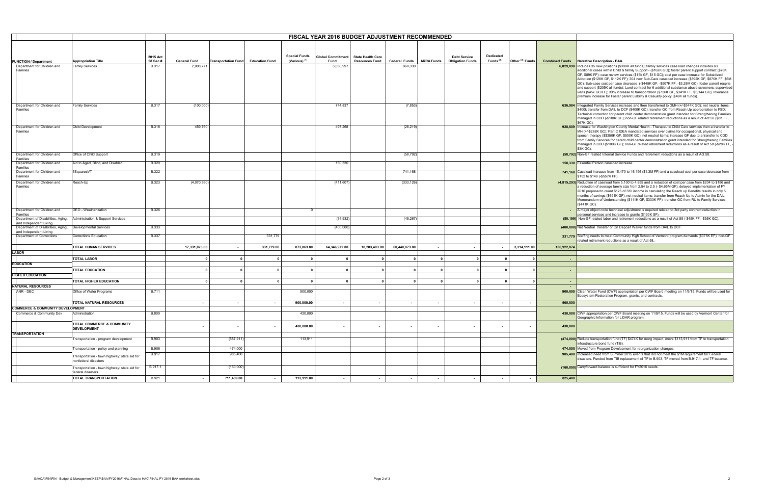|                                                             |                                              |              |                         |            |                                    |                          | <b>FISCAL YEAR 2016 BUDGET ADJUSTMENT RECOMMENDED</b> |                          |                         |                         |                                               |                      |                            |             |                                                                                                                                                                                                              |
|-------------------------------------------------------------|----------------------------------------------|--------------|-------------------------|------------|------------------------------------|--------------------------|-------------------------------------------------------|--------------------------|-------------------------|-------------------------|-----------------------------------------------|----------------------|----------------------------|-------------|--------------------------------------------------------------------------------------------------------------------------------------------------------------------------------------------------------------|
|                                                             |                                              |              |                         |            |                                    |                          |                                                       |                          |                         |                         |                                               |                      |                            |             |                                                                                                                                                                                                              |
|                                                             |                                              |              |                         |            |                                    |                          |                                                       |                          |                         |                         |                                               |                      |                            |             |                                                                                                                                                                                                              |
|                                                             |                                              |              |                         |            |                                    |                          |                                                       |                          |                         |                         |                                               |                      |                            |             |                                                                                                                                                                                                              |
|                                                             |                                              | 2015 Act     |                         |            |                                    | <b>Special Funds</b>     | <b>Global Commitment</b>                              | <b>State Health Care</b> |                         |                         | <b>Debt Service</b>                           | Dedicated            |                            |             |                                                                                                                                                                                                              |
| <b>FUNCTION / Department</b>                                | <b>Appropriation Title</b>                   | 58 Sec #     | <b>General Fund</b>     |            | Transportation Fund Education Fund | (Various) <sup>(1)</sup> | Fund                                                  | <b>Resources Fund</b>    |                         |                         | Federal Funds   ARRA Funds   Obligation Funds | Funds <sup>(2)</sup> | Other <sup>(3)</sup> Funds |             | <b>Combined Funds</b> Narrative Description - BAA                                                                                                                                                            |
| Department for Children and                                 | <b>Family Services</b>                       | <b>B.317</b> | 2,008,771               |            |                                    |                          | 3,050,997                                             |                          | 969,330                 |                         |                                               |                      |                            |             | 6,029,098 Includes 35 new positions (\$390K all funds); family services case load changes includes 63<br>additional cases within Child & family Support - (\$162K GC); foster parent support contract (\$76K |
| Families                                                    |                                              |              |                         |            |                                    |                          |                                                       |                          |                         |                         |                                               |                      |                            |             | GF, \$89K FF): case review services (\$15k GF, \$15 GC); cost per case increase for Subsidized                                                                                                               |
|                                                             |                                              |              |                         |            |                                    |                          |                                                       |                          |                         |                         |                                               |                      |                            |             | Adoption (\$126K GF, \$112K FF); 304 new Sub-Care caseload increase (\$892K GF, \$870K FF, \$6N                                                                                                              |
|                                                             |                                              |              |                         |            |                                    |                          |                                                       |                          |                         |                         |                                               |                      |                            |             | GC); Sub-case cost per case decrease (-\$445K GF, -\$507K FF, -\$3.26M GC); foster parent respite                                                                                                            |
|                                                             |                                              |              |                         |            |                                    |                          |                                                       |                          |                         |                         |                                               |                      |                            |             | and support (\$205K all funds); Lund contract for 6 additional substance abuse screeners; supervise                                                                                                          |
|                                                             |                                              |              |                         |            |                                    |                          |                                                       |                          |                         |                         |                                               |                      |                            |             | visits (\$45k GC/FF); 33% increase to transportation (\$736K GF, \$341K FF, \$5,144 GC); Insurance                                                                                                           |
|                                                             |                                              |              |                         |            |                                    |                          |                                                       |                          |                         |                         |                                               |                      |                            |             | premium increase for Foster parent Liability & Casualty policy (\$46K all funds).                                                                                                                            |
|                                                             |                                              |              |                         |            |                                    |                          |                                                       |                          |                         |                         |                                               |                      |                            |             |                                                                                                                                                                                                              |
| Department for Children and                                 | <b>Family Services</b>                       | <b>B.317</b> | (100,000)               |            |                                    |                          | 744,837                                               |                          | (7, 853)                |                         |                                               |                      |                            |             | 636,984 Integrated Family Services increase and then transferred to DMH (+/-\$344K GC); net neutral items:                                                                                                   |
| Families                                                    |                                              |              |                         |            |                                    |                          |                                                       |                          |                         |                         |                                               |                      |                            |             | \$400k transfer from DAIL to DCF (\$400K GC); transfer GC from Reach Up appropriation to FSD;                                                                                                                |
|                                                             |                                              |              |                         |            |                                    |                          |                                                       |                          |                         |                         |                                               |                      |                            |             | Technical correction for parent child center demonstration grant intended for Strengthening Families                                                                                                         |
|                                                             |                                              |              |                         |            |                                    |                          |                                                       |                          |                         |                         |                                               |                      |                            |             | managed in CDD (-\$100k GF); non-GF related retirement reductions as a result of Act 58 (\$8K FF,                                                                                                            |
|                                                             |                                              |              |                         |            |                                    |                          |                                                       |                          |                         |                         |                                               |                      |                            |             | \$67K GC).                                                                                                                                                                                                   |
| Department for Children and<br>Families                     | Child Development                            | <b>B.318</b> | 459,760                 |            |                                    |                          | 497,268                                               |                          | (28, 219)               |                         |                                               |                      |                            |             | 928,809 Increase for Washington County Mental Health - Therapeutic Child Care services then a transfer to<br>MH (+/-\$268K GC); Part C IDEA mandated services over claims for occupational, physical and     |
|                                                             |                                              |              |                         |            |                                    |                          |                                                       |                          |                         |                         |                                               |                      |                            |             | speech therapy (\$\$350K GF, \$500K GC); net neutral items: increase GF due to a transfer to CDD                                                                                                             |
|                                                             |                                              |              |                         |            |                                    |                          |                                                       |                          |                         |                         |                                               |                      |                            |             | from Family Services for parent child center demonstration grant intended for Strengthening Familie                                                                                                          |
|                                                             |                                              |              |                         |            |                                    |                          |                                                       |                          |                         |                         |                                               |                      |                            |             | managed in CDD (\$100K GF); non-GF related retirement reductions as a result of Act 58 (-\$28K FF                                                                                                            |
|                                                             |                                              |              |                         |            |                                    |                          |                                                       |                          |                         |                         |                                               |                      |                            |             | \$3K GC).                                                                                                                                                                                                    |
| Department for Children and                                 | Office of Child Support                      | <b>B.319</b> |                         |            |                                    |                          |                                                       |                          | (58, 792)               |                         |                                               |                      |                            |             | (58,792) Non-GF related Internal Service Funds and retirement reductions as a result of Act 58.                                                                                                              |
| Families                                                    |                                              |              |                         |            |                                    |                          |                                                       |                          |                         |                         |                                               |                      |                            |             |                                                                                                                                                                                                              |
| Department for Children and                                 | Aid to Aged, Blind, and Disabled             | <b>B.320</b> |                         |            |                                    |                          | 150,330                                               |                          |                         |                         |                                               |                      |                            |             | 150,330 Essential Person caseload increase.                                                                                                                                                                  |
| Families                                                    |                                              |              |                         |            |                                    |                          |                                                       |                          |                         |                         |                                               |                      |                            |             | 741,168 Caseload increase from 15,470 to 16,196 (\$1.3M FF) and a caseload cost per case decrease from                                                                                                       |
| Department for Children and<br>Families                     | 3SquaresVT                                   | <b>B.322</b> |                         |            |                                    |                          |                                                       |                          | 741,168                 |                         |                                               |                      |                            |             | \$152 to \$149 (-\$557K FF).                                                                                                                                                                                 |
|                                                             |                                              |              |                         |            |                                    |                          |                                                       |                          |                         |                         |                                               |                      |                            |             |                                                                                                                                                                                                              |
| Department for Children and                                 | Reach-Up                                     | <b>B.323</b> | (4,070,560)             |            |                                    |                          | (411, 607)                                            |                          | (333, 126)              |                         |                                               |                      |                            |             | (4,815,293) Reduction of caseload from 5,100 to 4,855 and a reduction of cost per case from \$204 to \$186 and                                                                                               |
| Families                                                    |                                              |              |                         |            |                                    |                          |                                                       |                          |                         |                         |                                               |                      |                            |             | a reduction of average family size from 2.54 to 2.5 (- \$4.65M GF); delayed implementation of FY<br>2016 proposal to count \$125 of SSI income in calculating the Reach up Benefits results in only 5        |
|                                                             |                                              |              |                         |            |                                    |                          |                                                       |                          |                         |                         |                                               |                      |                            |             | months of savings (\$691K GF); net neutral items: transfer from Reach Up to Admin for the DAIL                                                                                                               |
|                                                             |                                              |              |                         |            |                                    |                          |                                                       |                          |                         |                         |                                               |                      |                            |             | Memorandum of Understanding (\$111K GF, \$333K FF); transfer GC from RU to Family Services                                                                                                                   |
|                                                             |                                              |              |                         |            |                                    |                          |                                                       |                          |                         |                         |                                               |                      |                            |             | (\$441K GC).                                                                                                                                                                                                 |
| Department for Children and                                 | OEO - Weatherization                         | <b>B.326</b> |                         |            |                                    |                          |                                                       |                          |                         |                         |                                               |                      |                            | $\sim$      | A major object code technical adjustment is required related to 3rd party contract reduction in                                                                                                              |
| Families                                                    |                                              |              |                         |            |                                    |                          |                                                       |                          |                         |                         |                                               |                      |                            |             | personal services and increase to grants (\$130K SF).                                                                                                                                                        |
| Department of Disabilities, Aging,                          | Administration & Support Services            |              |                         |            |                                    |                          | (34, 932)                                             |                          | (45, 267)               |                         |                                               |                      |                            |             | (80,199) Non-GF related labor and retirement reductions as a result of Act 58 (-\$45K FF, -\$35K GC).                                                                                                        |
| and Independent Living                                      |                                              |              |                         |            |                                    |                          |                                                       |                          |                         |                         |                                               |                      |                            |             |                                                                                                                                                                                                              |
| Department of Disabilities, Aging,   Developmental Services |                                              | <b>B.333</b> |                         |            |                                    |                          | (400,000)                                             |                          |                         |                         |                                               |                      |                            |             | (400,000) Net Neutral transfer of On Deposit Waiver funds from DAIL to DCF.                                                                                                                                  |
| and Independent Living                                      |                                              |              |                         |            |                                    |                          |                                                       |                          |                         |                         |                                               |                      |                            |             |                                                                                                                                                                                                              |
| Department of Corrections                                   | Corrections Education                        | <b>B.337</b> |                         |            | 331,779                            |                          |                                                       |                          |                         |                         |                                               |                      |                            |             | 331,779 Staffing needs to meet Community High School of Vermont program demands (\$375K EF); non-GF                                                                                                          |
|                                                             |                                              |              |                         |            |                                    |                          |                                                       |                          |                         |                         |                                               |                      |                            |             | related retirement reductions as a result of Act 58.                                                                                                                                                         |
|                                                             | <b>TOTAL HUMAN SERVICES</b>                  |              | 17,331,073.00           | $\sim$     | 331,779.00                         | 873,863.00               | 64,346,972.00                                         | 10,283,403.00            | 60,440,873.00           | $\sim$                  | $\sim$                                        |                      | 3,314,111.00               | 156,922,074 |                                                                                                                                                                                                              |
| <b>LABOR</b>                                                |                                              |              |                         |            |                                    |                          |                                                       |                          |                         |                         |                                               |                      |                            |             |                                                                                                                                                                                                              |
|                                                             | <b>TOTAL LABOR</b>                           |              | $\mathbf 0$             | $\Omega$   | $\mathbf{0}$                       | $\mathbf{0}$             |                                                       | $\mathbf 0$              | $\overline{\mathbf{0}}$ | $\overline{\mathbf{0}}$ | $\overline{\mathbf{0}}$                       |                      | $\Omega$                   |             |                                                                                                                                                                                                              |
| <b>EDUCATION</b>                                            |                                              |              |                         |            |                                    |                          |                                                       |                          |                         |                         |                                               |                      |                            |             |                                                                                                                                                                                                              |
|                                                             | <b>TOTAL EDUCATION</b>                       |              | $\overline{\mathbf{0}}$ | $\Omega$   | $\mathbf{0}$                       | $\overline{\mathbf{0}}$  | $\Omega$                                              | $\overline{\mathbf{0}}$  | 0                       | $\overline{\mathbf{0}}$ | $\overline{\mathbf{0}}$                       |                      | $\Omega$                   |             |                                                                                                                                                                                                              |
|                                                             |                                              |              |                         |            |                                    |                          |                                                       |                          |                         |                         |                                               |                      |                            |             |                                                                                                                                                                                                              |
| <b>HIGHER EDUCATION</b>                                     |                                              |              |                         |            |                                    |                          |                                                       |                          |                         |                         |                                               |                      |                            |             |                                                                                                                                                                                                              |
|                                                             | <b>TOTAL HIGHER EDUCATION</b>                |              | $\overline{\mathbf{0}}$ | $\Omega$   | $\mathbf{0}$                       | $\mathbf{0}$             | $\mathbf{r}$                                          | $\overline{\mathbf{0}}$  | $\Omega$                | $\mathbf{0}$            | $\mathbf{0}$                                  |                      | $\mathbf{r}$               |             |                                                                                                                                                                                                              |
| <b>NATURAL RESOURCES</b>                                    |                                              |              |                         |            |                                    |                          |                                                       |                          |                         |                         |                                               |                      |                            |             |                                                                                                                                                                                                              |
| ANR - DEC                                                   | Office of Water Programs                     | <b>B.711</b> |                         |            |                                    | 900,000                  |                                                       |                          |                         |                         |                                               |                      |                            |             | 900,000 Clean Water Fund (CWF) appropriation per CWF Board meeting on 11/9/15. Funds will be used for                                                                                                        |
|                                                             |                                              |              |                         |            |                                    |                          |                                                       |                          |                         |                         |                                               |                      |                            |             | Ecosystem Restoration Program, grants, and contracts                                                                                                                                                         |
|                                                             | TOTAL NATURAL RESOURCES                      |              | $\sim$                  | $\sim$     |                                    | 900,000.00               | $\sim$                                                | $\sim$                   | $\sim$                  | $\sim$                  |                                               | $\sim$               |                            | 900,000     |                                                                                                                                                                                                              |
| <b>COMMERCE &amp; COMMUNITY DEVELOPMENT</b>                 |                                              |              |                         |            |                                    |                          |                                                       |                          |                         |                         |                                               |                      |                            |             |                                                                                                                                                                                                              |
| Commerce & Community Dev                                    | Administration                               | <b>B.800</b> |                         |            |                                    | 430,000                  |                                                       |                          |                         |                         |                                               |                      |                            |             | 430,000 CWF appropriation per CWF Board meeting on 11/9/15. Funds will be used by Vermont Center for                                                                                                         |
|                                                             |                                              |              |                         |            |                                    |                          |                                                       |                          |                         |                         |                                               |                      |                            |             | Geographic Information for LiDAR program.                                                                                                                                                                    |
|                                                             |                                              |              |                         |            |                                    |                          |                                                       |                          |                         |                         |                                               |                      |                            |             |                                                                                                                                                                                                              |
|                                                             | TOTAL COMMERCE & COMMUNITY                   |              |                         |            |                                    | 430,000.00               | $\sim$                                                | $\overline{\phantom{a}}$ |                         | $\sim$                  |                                               |                      |                            | 430,000     |                                                                                                                                                                                                              |
|                                                             | <b>DEVELOPMENT</b>                           |              |                         |            |                                    |                          |                                                       |                          |                         |                         |                                               |                      |                            |             |                                                                                                                                                                                                              |
| <b>TRANSPORTATION</b>                                       |                                              |              |                         |            |                                    |                          |                                                       |                          |                         |                         |                                               |                      |                            |             |                                                                                                                                                                                                              |
|                                                             | Transportation - program development         | <b>B.903</b> |                         | (587, 911) |                                    | 113,911                  |                                                       |                          |                         |                         |                                               |                      |                            |             | (474,000) Reduce transportation fund (TF) \$474K for reorg impact, move \$113,911 from TF to transportation                                                                                                  |
|                                                             |                                              |              |                         |            |                                    |                          |                                                       |                          |                         |                         |                                               |                      |                            |             | infrastructure bond fund (TIB).                                                                                                                                                                              |
|                                                             | Transportation - policy and planning         | <b>B.906</b> |                         | 474,000    |                                    |                          |                                                       |                          |                         |                         |                                               |                      |                            |             | 474,000 Moved from Program Development for reorganization changes.                                                                                                                                           |
|                                                             | Transportation - town highway: state aid for | <b>B.917</b> |                         | 985,400    |                                    |                          |                                                       |                          |                         |                         |                                               |                      |                            |             | 985,400 Increased need from Summer 2015 events that did not meet the \$1M requirement for Federal                                                                                                            |
|                                                             | nonfederal disasters                         |              |                         |            |                                    |                          |                                                       |                          |                         |                         |                                               |                      |                            |             | disasters. Funded from TIB replacement of TF in B.903, TF moved from B.917.1, and TF balance.                                                                                                                |
|                                                             |                                              |              |                         |            |                                    |                          |                                                       |                          |                         |                         |                                               |                      |                            |             |                                                                                                                                                                                                              |
|                                                             | Transportation - town highway: state aid for | B.917.1      |                         | (160,000)  |                                    |                          |                                                       |                          |                         |                         |                                               |                      |                            |             | (160,000) Carryforward balance is sufficient for FY2016 needs.                                                                                                                                               |
|                                                             | federal disasters                            |              |                         |            |                                    |                          |                                                       |                          |                         |                         |                                               |                      |                            |             |                                                                                                                                                                                                              |
|                                                             | <b>TOTAL TRANSPORTATION</b>                  | <b>B.921</b> |                         | 711,489.00 | $\sim$                             | 113,911.00               | $\sim$                                                | $\sim$                   | $\sim$                  | $\sim$                  |                                               | $\sim$               |                            | 825,400     |                                                                                                                                                                                                              |

| -unds      | <b>Narrative Description - BAA</b>                                                                                                                                                                                                                                                                                                                                                                                                                                                                                                                                                                                                                                                                                                                                                                              |
|------------|-----------------------------------------------------------------------------------------------------------------------------------------------------------------------------------------------------------------------------------------------------------------------------------------------------------------------------------------------------------------------------------------------------------------------------------------------------------------------------------------------------------------------------------------------------------------------------------------------------------------------------------------------------------------------------------------------------------------------------------------------------------------------------------------------------------------|
| ,029,098   | Includes 35 new positions (\$390K all funds); family services case load changes includes 63<br>additional cases within Child & family Support - (\$162K GC); foster parent support contract (\$76K<br>GF, \$89K FF): case review services (\$15k GF, \$15 GC); cost per case increase for Subsidized<br>Adoption (\$126K GF, \$112K FF); 304 new Sub-Care caseload increase (\$892K GF, \$870K FF, \$6M<br>GC); Sub-case cost per case decrease (-\$445K GF, -\$507K FF, -\$3.26M GC); foster parent respite<br>and support (\$205K all funds); Lund contract for 6 additional substance abuse screeners; supervised<br>visits (\$45k GC/FF); 33% increase to transportation (\$736K GF, \$341K FF, \$5,144 GC); Insurance<br>premium increase for Foster parent Liability & Casualty policy (\$46K all funds). |
|            |                                                                                                                                                                                                                                                                                                                                                                                                                                                                                                                                                                                                                                                                                                                                                                                                                 |
| 636,984    | Integrated Family Services increase and then transferred to DMH (+/-\$344K GC); net neutral items:<br>\$400k transfer from DAIL to DCF (\$400K GC); transfer GC from Reach Up appropriation to FSD;<br>Technical correction for parent child center demonstration grant intended for Strengthening Families<br>managed in CDD (-\$100k GF); non-GF related retirement reductions as a result of Act 58 (\$8K FF,<br>\$67K GC).                                                                                                                                                                                                                                                                                                                                                                                  |
| 928,809    | Increase for Washington County Mental Health - Therapeutic Child Care services then a transfer to<br>MH (+/-\$268K GC); Part C IDEA mandated services over claims for occupational, physical and<br>speech therapy (\$\$350K GF, \$500K GC); net neutral items: increase GF due to a transfer to CDD<br>from Family Services for parent child center demonstration grant intended for Strengthening Families<br>managed in CDD (\$100K GF); non-GF related retirement reductions as a result of Act 58 (-\$28K FF, ·<br>\$3K GC).                                                                                                                                                                                                                                                                               |
|            | (58,792) Non-GF related Internal Service Funds and retirement reductions as a result of Act 58.                                                                                                                                                                                                                                                                                                                                                                                                                                                                                                                                                                                                                                                                                                                 |
|            | 150,330 Essential Person caseload increase.                                                                                                                                                                                                                                                                                                                                                                                                                                                                                                                                                                                                                                                                                                                                                                     |
|            | 741,168 Caseload increase from 15,470 to 16,196 (\$1.3M FF) and a caseload cost per case decrease from<br>\$152 to \$149 (-\$557K FF).                                                                                                                                                                                                                                                                                                                                                                                                                                                                                                                                                                                                                                                                          |
| 815,293)   | Reduction of caseload from 5,100 to 4,855 and a reduction of cost per case from \$204 to \$186 and<br>a reduction of average family size from 2.54 to 2.5 (- \$4.65M GF); delayed implementation of FY<br>2016 proposal to count \$125 of SSI income in calculating the Reach up Benefits results in only 5<br>months of savings (\$691K GF); net neutral items: transfer from Reach Up to Admin for the DAIL<br>Memorandum of Understanding (\$111K GF, \$333K FF); transfer GC from RU to Family Services<br>(\$441K GC).                                                                                                                                                                                                                                                                                     |
|            | A major object code technical adjustment is required related to 3rd party contract reduction in<br>personal services and increase to grants (\$130K SF).                                                                                                                                                                                                                                                                                                                                                                                                                                                                                                                                                                                                                                                        |
|            | (80,199) Non-GF related labor and retirement reductions as a result of Act 58 (-\$45K FF, -\$35K GC).                                                                                                                                                                                                                                                                                                                                                                                                                                                                                                                                                                                                                                                                                                           |
|            | (400,000) Net Neutral transfer of On Deposit Waiver funds from DAIL to DCF.                                                                                                                                                                                                                                                                                                                                                                                                                                                                                                                                                                                                                                                                                                                                     |
| 331,779    | Staffing needs to meet Community High School of Vermont program demands (\$375K EF); non-GF<br>related retirement reductions as a result of Act 58                                                                                                                                                                                                                                                                                                                                                                                                                                                                                                                                                                                                                                                              |
| ,922,074   |                                                                                                                                                                                                                                                                                                                                                                                                                                                                                                                                                                                                                                                                                                                                                                                                                 |
|            |                                                                                                                                                                                                                                                                                                                                                                                                                                                                                                                                                                                                                                                                                                                                                                                                                 |
|            |                                                                                                                                                                                                                                                                                                                                                                                                                                                                                                                                                                                                                                                                                                                                                                                                                 |
|            |                                                                                                                                                                                                                                                                                                                                                                                                                                                                                                                                                                                                                                                                                                                                                                                                                 |
|            |                                                                                                                                                                                                                                                                                                                                                                                                                                                                                                                                                                                                                                                                                                                                                                                                                 |
|            |                                                                                                                                                                                                                                                                                                                                                                                                                                                                                                                                                                                                                                                                                                                                                                                                                 |
| 900,000    | Clean Water Fund (CWF) appropriation per CWF Board meeting on 11/9/15. Funds will be used for<br>Ecosystem Restoration Program, grants, and contracts.                                                                                                                                                                                                                                                                                                                                                                                                                                                                                                                                                                                                                                                          |
| 900,000    |                                                                                                                                                                                                                                                                                                                                                                                                                                                                                                                                                                                                                                                                                                                                                                                                                 |
|            | 430,000 CWF appropriation per CWF Board meeting on 11/9/15. Funds will be used by Vermont Center for<br>Geographic Information for LiDAR program.                                                                                                                                                                                                                                                                                                                                                                                                                                                                                                                                                                                                                                                               |
| 430,000    |                                                                                                                                                                                                                                                                                                                                                                                                                                                                                                                                                                                                                                                                                                                                                                                                                 |
|            | (474,000) Reduce transportation fund (TF) \$474K for reorg impact, move \$113,911 from TF to transportation<br>infrastructure bond fund (TIB).                                                                                                                                                                                                                                                                                                                                                                                                                                                                                                                                                                                                                                                                  |
| 474,000    | Moved from Program Development for reorganization changes.                                                                                                                                                                                                                                                                                                                                                                                                                                                                                                                                                                                                                                                                                                                                                      |
| 985,400    | Increased need from Summer 2015 events that did not meet the \$1M requirement for Federal<br>disasters. Funded from TIB replacement of TF in B.903, TF moved from B.917.1, and TF balance.                                                                                                                                                                                                                                                                                                                                                                                                                                                                                                                                                                                                                      |
| (160, 000) | Carryforward balance is sufficient for FY2016 needs.                                                                                                                                                                                                                                                                                                                                                                                                                                                                                                                                                                                                                                                                                                                                                            |
| 825,400    |                                                                                                                                                                                                                                                                                                                                                                                                                                                                                                                                                                                                                                                                                                                                                                                                                 |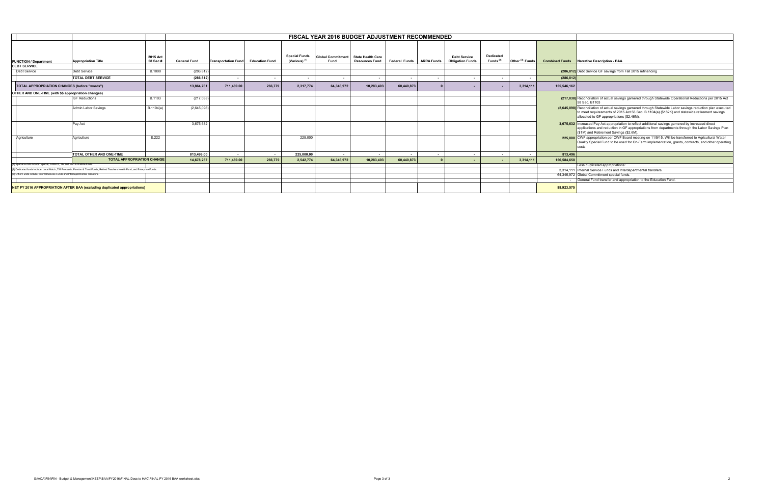|                                                                                  | <b>FISCAL YEAR 2016 BUDGET ADJUSTMENT RECOMMENDED</b>                                                                             |                                   |                     |                                    |         |                                                  |                                  |                                                   |                          |                          |                                                |                          |                            |             |                                                                                                                                                                                                                                                             |
|----------------------------------------------------------------------------------|-----------------------------------------------------------------------------------------------------------------------------------|-----------------------------------|---------------------|------------------------------------|---------|--------------------------------------------------|----------------------------------|---------------------------------------------------|--------------------------|--------------------------|------------------------------------------------|--------------------------|----------------------------|-------------|-------------------------------------------------------------------------------------------------------------------------------------------------------------------------------------------------------------------------------------------------------------|
|                                                                                  |                                                                                                                                   |                                   |                     |                                    |         |                                                  |                                  |                                                   |                          |                          |                                                |                          |                            |             |                                                                                                                                                                                                                                                             |
| <b>FUNCTION / Department</b>                                                     | <b>Appropriation Title</b>                                                                                                        | 2015 Act<br>58 Sec #              | <b>General Fund</b> | Transportation Fund Education Fund |         | <b>Special Funds</b><br>(Various) <sup>(1)</sup> | <b>Global Commitment</b><br>Fund | <b>State Health Care</b><br><b>Resources Fund</b> | <b>Federal Funds</b>     | <b>ARRA Funds</b>        | <b>Debt Service</b><br><b>Obligation Funds</b> | Dedicated<br>Funds $(2)$ | Other <sup>(3)</sup> Funds |             | <b>Combined Funds</b> Narrative Description - BAA                                                                                                                                                                                                           |
| <b>DEBT SERVICE</b>                                                              |                                                                                                                                   |                                   |                     |                                    |         |                                                  |                                  |                                                   |                          |                          |                                                |                          |                            |             |                                                                                                                                                                                                                                                             |
| <b>Debt Service</b>                                                              | <b>Debt Service</b>                                                                                                               | <b>B.1000</b>                     | (286, 812)          |                                    |         |                                                  |                                  |                                                   |                          |                          |                                                |                          |                            |             | (286,812) Debt Service GF savings from Fall 2015 refinancing                                                                                                                                                                                                |
|                                                                                  | <b>TOTAL DEBT SERVICE</b>                                                                                                         |                                   | (286, 812)          | $\overline{\phantom{a}}$           |         |                                                  |                                  |                                                   | $\overline{\phantom{a}}$ | . .                      |                                                |                          |                            | (286, 812)  |                                                                                                                                                                                                                                                             |
| TOTAL APPROPRIATION CHANGES (before "words")                                     |                                                                                                                                   |                                   | 13,864,761          | 711,489.00                         | 266,779 | 2,317,774                                        | 64,346,972                       | 10,283,403                                        | 60,440,873               |                          |                                                |                          | 3,314,111                  | 155,546,162 |                                                                                                                                                                                                                                                             |
| OTHER AND ONE-TIME (with \$\$ appropriation changes)                             |                                                                                                                                   |                                   |                     |                                    |         |                                                  |                                  |                                                   |                          |                          |                                                |                          |                            |             |                                                                                                                                                                                                                                                             |
|                                                                                  | <b>ISF Reductions</b>                                                                                                             | B.1103                            | (217, 038)          |                                    |         |                                                  |                                  |                                                   |                          |                          |                                                |                          |                            |             | (217,038) Reconciliation of actual savings garnered through Statewide Operational Reductions per 2015 Act<br>58 Sec. B1103                                                                                                                                  |
|                                                                                  | Admin Labor Savings                                                                                                               | B.1104(a)                         | (2,645,098)         |                                    |         |                                                  |                                  |                                                   |                          |                          |                                                |                          |                            |             | (2,645,098) Reconciliation of actual savings garnered through Statewide Labor savings reduction plan executed<br>to meet requiresments of 2015 Act 58 Sec. B.1104(a) (\$182K) and statewide retirement savings<br>allocated to GF appropriations (\$2.46M). |
|                                                                                  | Pay Act                                                                                                                           |                                   | 3.675.632           |                                    |         |                                                  |                                  |                                                   |                          |                          |                                                |                          |                            |             | 3,675,632 Increased Pay Act appropriation to reflect additional savings garnered by increased direct<br>applications and reduction in GF appropriations from departments through the Labor Savings Plan<br>(\$1M) and Retirement Savings (\$2.6M).          |
| Agriculture                                                                      | Agriculture                                                                                                                       | E.222                             |                     |                                    |         | 225,000                                          |                                  |                                                   |                          |                          |                                                |                          |                            |             | 225,000 CWF appropriation per CWF Board meeting on 11/9/15. Will be transferred to Agricultural Water<br>Quality Special Fund to be used for On-Farm implementation, grants, contracts, and other operating                                                 |
|                                                                                  | <b>TOTAL OTHER AND ONE-TIME</b>                                                                                                   |                                   | 813.496.00          | $\overline{\phantom{a}}$           | $\sim$  | 225,000.00                                       | $\sim$                           |                                                   | $\overline{\phantom{a}}$ | $\overline{\phantom{a}}$ | $\sim$                                         |                          |                            | 813.496     |                                                                                                                                                                                                                                                             |
|                                                                                  |                                                                                                                                   | <b>TOTAL APPROPRIATION CHANGE</b> | 14,678,257          | 711,489.00                         | 266,779 | 2,542,774                                        | 64,346,972                       | 10,283,403                                        | 60,440,873               |                          |                                                |                          | 3,314,111                  | 156,584,658 |                                                                                                                                                                                                                                                             |
| (1) Special Funds include: Special, Tobacco, TIB and Fish & Wildlife funds.      |                                                                                                                                   |                                   |                     |                                    |         |                                                  |                                  |                                                   |                          |                          |                                                |                          |                            |             | Less duplicated appropriations:                                                                                                                                                                                                                             |
|                                                                                  | 2) Dedicated funds include: Local Match. TIB Proceeds. Pension & Trust Funds. Retired Teachers Health Fund, and Enterprise Funds. |                                   |                     |                                    |         |                                                  |                                  |                                                   |                          |                          |                                                |                          |                            |             | 3,314,111 Internal Service Funds and Interdepartmental transfers                                                                                                                                                                                            |
| (3) Other Funds include: Internal Service Funds and Interdepartmental Transfers. |                                                                                                                                   |                                   |                     |                                    |         |                                                  |                                  |                                                   |                          |                          |                                                |                          |                            |             | 64.346.972 Global Commitment special funds.                                                                                                                                                                                                                 |
|                                                                                  |                                                                                                                                   |                                   |                     |                                    |         |                                                  |                                  |                                                   |                          |                          |                                                |                          |                            |             | General Fund transfer and appropriation to the Education Fund.                                                                                                                                                                                              |
|                                                                                  | NET FY 2016 APPROPRIATION AFTER BAA (excluding duplicated appropriations)                                                         |                                   |                     |                                    |         |                                                  |                                  |                                                   |                          |                          |                                                |                          |                            | 88,923,57   |                                                                                                                                                                                                                                                             |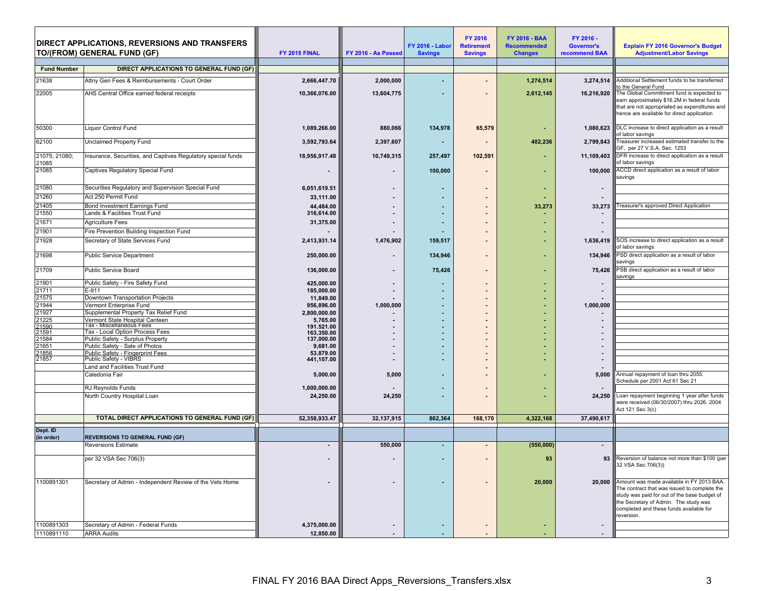|                        |                                                                    |                            |                     |                        | <b>FY 2016</b>    | <b>FY 2016 - BAA</b> | FY 2016 -            |                                                                                                                                                                                                                                             |
|------------------------|--------------------------------------------------------------------|----------------------------|---------------------|------------------------|-------------------|----------------------|----------------------|---------------------------------------------------------------------------------------------------------------------------------------------------------------------------------------------------------------------------------------------|
|                        | <b>DIRECT APPLICATIONS, REVERSIONS AND TRANSFERS</b>               |                            |                     | <b>FY 2016 - Labor</b> | <b>Retirement</b> | <b>Recommended</b>   | Governor's           | <b>Explain FY 2016 Governor's Budget</b>                                                                                                                                                                                                    |
|                        | TO/(FROM) GENERAL FUND (GF)                                        | FY 2015 FINAL              | FY 2016 - As Passed | <b>Savings</b>         | <b>Savings</b>    | <b>Changes</b>       | recommend BAA        | <b>Adjustment/Labor Savings</b>                                                                                                                                                                                                             |
|                        |                                                                    |                            |                     |                        |                   |                      |                      |                                                                                                                                                                                                                                             |
| <b>Fund Number</b>     | DIRECT APPLICATIONS TO GENERAL FUND (GF)                           |                            |                     |                        |                   |                      |                      |                                                                                                                                                                                                                                             |
| 21638                  | Attny Gen Fees & Reimbursements - Court Order                      | 2,666,447.70               | 2,000,000           |                        |                   | 1,274,514            | 3,274,514            | Additional Settlement funds to be transferred<br>to the General Fund                                                                                                                                                                        |
| 22005                  | AHS Central Office earned federal receipts                         | 10,366,076.00              | 13,604,775          |                        |                   | 2,612,145            | 16,216,920           | The Global Commitment fund is expected to<br>earn approximately \$16.2M in federal funds<br>that are not appropriated as expenditures and<br>hence are available for direct application                                                     |
| 50300                  | Liguor Control Fund                                                | 1,089,266.00               | 880,066             | 134,978                | 65,579            |                      | 1,080,623            | DLC increase to direct application as a result<br>of labor savings                                                                                                                                                                          |
| 62100                  | Unclaimed Property Fund                                            | 3,592,793.64               | 2,397,607           |                        |                   | 402,236              | 2,799,843            | Treasurer increased estimated transfer to the<br>GF, per 27 V.S.A. Sec. 1253                                                                                                                                                                |
| 21075; 21080;<br>21085 | Insurance, Securities, and Captives Regulatory special funds       | 18,956,917.48              | 10,749,315          | 257,497                | 102,591           |                      | 11,109,403           | DFR increase to direct application as a result<br>of labor savings                                                                                                                                                                          |
| 21085                  | Captives Regulatory Special Fund                                   |                            |                     | 100,000                |                   |                      | 100,000              | ACCD direct application as a result of labor<br>savings                                                                                                                                                                                     |
| 21080                  | Securities Regulatory and Supervision Special Fund                 | 6,051,619.51               |                     |                        |                   |                      |                      |                                                                                                                                                                                                                                             |
| 21260                  | Act 250 Permit Fund                                                | 33,111.00                  |                     |                        |                   |                      |                      |                                                                                                                                                                                                                                             |
| 21405                  | Bond Investment Earnings Fund                                      | 44,484.00                  |                     |                        |                   | 33,273               | 33,273               | Freasurer's approved Direct Application                                                                                                                                                                                                     |
| 21550<br>21671         | Lands & Facilities Trust Fund<br><b>Agriculture Fees</b>           | 316,614.00                 |                     |                        |                   |                      |                      |                                                                                                                                                                                                                                             |
|                        | Fire Prevention Building Inspection Fund                           | 31,375.00                  |                     |                        |                   |                      |                      |                                                                                                                                                                                                                                             |
| 21901                  | Secretary of State Services Fund                                   |                            |                     |                        |                   |                      |                      | SOS increase to direct application as a result                                                                                                                                                                                              |
| 21928<br>21698         | Public Service Department                                          | 2,413,931.14<br>250.000.00 | 1,476,902           | 159,517<br>134,946     |                   |                      | 1,636,419<br>134,946 | of labor savings<br>PSD direct application as a result of labor                                                                                                                                                                             |
|                        |                                                                    |                            |                     |                        |                   |                      |                      | savings                                                                                                                                                                                                                                     |
| 21709<br>21901         | Public Service Board<br>Public Safety - Fire Safety Fund           | 136,000.00<br>425,000.00   |                     | 75,426                 |                   |                      | 75,426               | PSB direct application as a result of labor<br>savings                                                                                                                                                                                      |
| 21711                  | E-911                                                              | 185,000.00                 |                     |                        |                   |                      | $\blacksquare$       |                                                                                                                                                                                                                                             |
| 21575                  | Downtown Transportation Projects                                   | 11,849.00                  |                     |                        |                   |                      |                      |                                                                                                                                                                                                                                             |
| 21944                  | Vermont Enterprise Fund                                            | 956,896.00                 | 1,000,000           |                        |                   |                      | 1,000,000            |                                                                                                                                                                                                                                             |
| 21927                  | Supplemental Property Tax Relief Fund                              | 2,800,000.00               |                     |                        |                   |                      |                      |                                                                                                                                                                                                                                             |
| 21225<br>21590         | Vermont State Hospital Canteen<br>Tax - Miscellaneous Fees         | 5,765.00<br>191,521.00     |                     |                        |                   |                      |                      |                                                                                                                                                                                                                                             |
| 21591<br>21584         | Tax - Local Option Process Fees                                    | 163,350.00                 |                     |                        |                   |                      |                      |                                                                                                                                                                                                                                             |
| 21651                  | Public Safety - Surplus Property<br>Public Safety - Sale of Photos | 137,000.00<br>9,681.00     |                     |                        |                   |                      |                      |                                                                                                                                                                                                                                             |
| 21856                  | <b>Public Safety - Fingerprint Fees</b>                            | 53.879.00                  |                     |                        |                   |                      |                      |                                                                                                                                                                                                                                             |
| 21857                  | Public Safety - VIBRS                                              | 441,107.00                 |                     |                        |                   |                      |                      |                                                                                                                                                                                                                                             |
|                        | Land and Facilities Trust Fund<br>Caledonia Fair                   | 5,000.00                   | 5,000               |                        |                   |                      | 5,000                | Annual repayment of loan thru 2055.                                                                                                                                                                                                         |
|                        | RJ Reynolds Funds                                                  | 1,000,000.00               |                     |                        |                   |                      |                      | Schedule per 2001 Act 61 Sec 21                                                                                                                                                                                                             |
|                        | North Country Hospital Loan                                        | 24,250.00                  | 24,250              |                        |                   |                      | 24,250               | Loan repayment beginning 1 year after funds                                                                                                                                                                                                 |
|                        |                                                                    |                            |                     |                        |                   |                      |                      | were received (06/30/2007) thru 2026. 2004<br>Act 121 Sec 3(c)                                                                                                                                                                              |
|                        | TOTAL DIRECT APPLICATIONS TO GENERAL FUND (GF)                     | 52,358,933.47              | 32, 137, 915        | 862,364                | 168,170           | 4,322,168            | 37,490,617           |                                                                                                                                                                                                                                             |
| Dept. ID               |                                                                    |                            |                     |                        |                   |                      |                      |                                                                                                                                                                                                                                             |
| (in order)             | <b>REVERSIONS TO GENERAL FUND (GF)</b>                             |                            |                     |                        |                   |                      |                      |                                                                                                                                                                                                                                             |
|                        | <b>Reversions Estimate</b>                                         |                            | 550,000             |                        |                   | (550,000)            |                      |                                                                                                                                                                                                                                             |
|                        | per 32 VSA Sec 706(3)                                              |                            |                     |                        |                   | 93                   |                      | 93 Reversion of balance not more than \$100 (per<br>32 VSA Sec 706(3))                                                                                                                                                                      |
| 1100891301             | Secretary of Admin - Independent Review of the Vets Home           | $\sim$                     |                     |                        |                   | 20,000               | 20.000               | Amount was made available in FY 2013 BAA.<br>The contract that was issued to complete the<br>study was paid for out of the base budget of<br>the Secretary of Admin. The study was<br>completed and these funds available for<br>reversion. |
| 1100891303             | Secretary of Admin - Federal Funds                                 | 4,375,000.00               |                     |                        |                   |                      |                      |                                                                                                                                                                                                                                             |
| 1110891110             | <b>ARRA Audits</b>                                                 | 12,850.00                  |                     |                        |                   |                      |                      |                                                                                                                                                                                                                                             |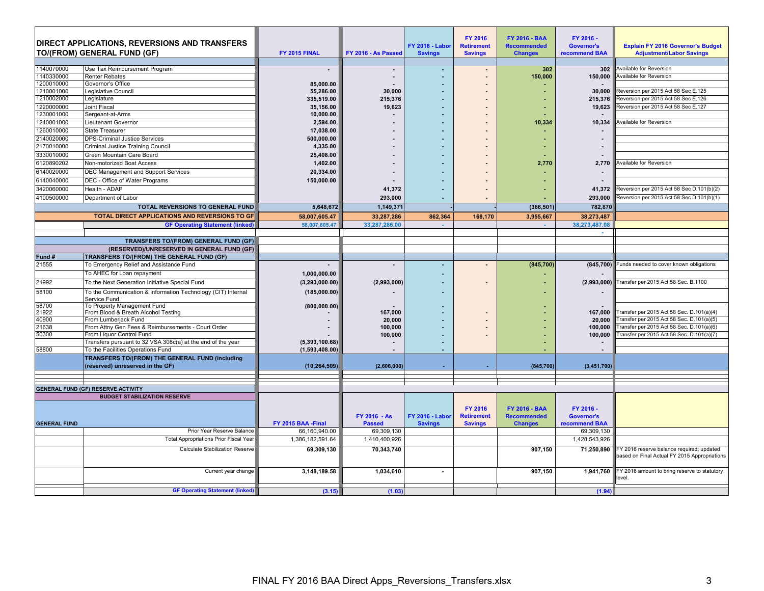|                     | <b>DIRECT APPLICATIONS, REVERSIONS AND TRANSFERS</b><br>TO/(FROM) GENERAL FUND (GF) | FY 2015 FINAL      | FY 2016 - As Passed | <b>FY 2016 - Labor</b><br><b>Savings</b> | <b>FY 2016</b><br><b>Retirement</b><br><b>Savings</b> | <b>FY 2016 - BAA</b><br><b>Recommended</b><br><b>Changes</b> | FY 2016 -<br><b>Governor's</b><br>recommend BAA | <b>Explain FY 2016 Governor's Budget</b><br><b>Adjustment/Labor Savings</b>               |
|---------------------|-------------------------------------------------------------------------------------|--------------------|---------------------|------------------------------------------|-------------------------------------------------------|--------------------------------------------------------------|-------------------------------------------------|-------------------------------------------------------------------------------------------|
| 1140070000          | Use Tax Reimbursement Program                                                       | $\sim$             |                     |                                          | $\blacksquare$                                        | 302                                                          | 302                                             | Available for Reversion                                                                   |
| 1140330000          | <b>Renter Rebates</b>                                                               |                    |                     |                                          |                                                       | 150.000                                                      | 150.000                                         | <b>Available for Reversion</b>                                                            |
| 1200010000          | Governor's Office                                                                   | 85.000.00          |                     |                                          |                                                       |                                                              |                                                 |                                                                                           |
| 1210001000          | Legislative Council                                                                 | 55,286.00          | 30.000              |                                          |                                                       |                                                              | 30.000                                          | Reversion per 2015 Act 58 Sec E.125                                                       |
| 1210002000          | Legislature                                                                         | 335,519.00         | 215,376             |                                          |                                                       |                                                              | 215.376                                         | Reversion per 2015 Act 58 Sec E.126                                                       |
| 1220000000          | Joint Fiscal                                                                        | 35.156.00          | 19,623              |                                          |                                                       |                                                              | 19.623                                          | Reversion per 2015 Act 58 Sec E.127                                                       |
| 1230001000          | Sergeant-at-Arms                                                                    | 10,000.00          |                     |                                          |                                                       |                                                              |                                                 |                                                                                           |
| 1240001000          | Lieutenant Governor                                                                 | 2,594.00           |                     |                                          |                                                       | 10,334                                                       | 10,334                                          | <b>Available for Reversion</b>                                                            |
| 1260010000          | <b>State Treasurer</b>                                                              | 17.038.00          |                     |                                          |                                                       |                                                              |                                                 |                                                                                           |
| 2140020000          | <b>DPS-Criminal Justice Services</b>                                                | 500.000.00         |                     |                                          |                                                       |                                                              |                                                 |                                                                                           |
| 2170010000          | Criminal Justice Training Council                                                   | 4,335.00           |                     |                                          |                                                       |                                                              |                                                 |                                                                                           |
| 3330010000          | Green Mountain Care Board                                                           | 25,408.00          |                     |                                          |                                                       |                                                              |                                                 |                                                                                           |
| 6120890202          | Non-motorized Boat Access                                                           | 1,402.00           |                     |                                          |                                                       | 2,770                                                        | 2,770                                           | Available for Reversion                                                                   |
| 6140020000          | DEC Management and Support Services                                                 | 20,334.00          |                     |                                          |                                                       |                                                              |                                                 |                                                                                           |
| 6140040000          | DEC - Office of Water Programs                                                      | 150,000.00         |                     |                                          |                                                       |                                                              | $\sim$                                          |                                                                                           |
| 3420060000          | Health - ADAP                                                                       |                    | 41,372              |                                          |                                                       |                                                              | 41,372                                          | Reversion per 2015 Act 58 Sec D.101(b)(2)                                                 |
| 4100500000          | Department of Labor                                                                 |                    | 293,000             |                                          |                                                       |                                                              | 293.000                                         | Reversion per 2015 Act 58 Sec D.101(b)(1)                                                 |
|                     | TOTAL REVERSIONS TO GENERAL FUND                                                    | 5,648,672          | 1,149,371           |                                          |                                                       | (366, 501)                                                   | 782,870                                         |                                                                                           |
|                     | TOTAL DIRECT APPLICATIONS AND REVERSIONS TO GF                                      | 58,007,605.47      | 33,287,286          | 862,364                                  | 168,170                                               | 3,955,667                                                    | 38,273,487                                      |                                                                                           |
|                     | <b>GF Operating Statement (linked)</b>                                              | 58,007,605.47      | 33,287,286.00       | $\sim$                                   |                                                       | $\sim$                                                       | 38.273.487.08                                   |                                                                                           |
|                     |                                                                                     |                    |                     |                                          |                                                       |                                                              |                                                 |                                                                                           |
|                     | TRANSFERS TO/(FROM) GENERAL FUND (GF)                                               |                    |                     |                                          |                                                       |                                                              |                                                 |                                                                                           |
|                     | (RESERVED)/UNRESERVED IN GENERAL FUND (GF)                                          |                    |                     |                                          |                                                       |                                                              |                                                 |                                                                                           |
| Fund #              | TRANSFERS TO/(FROM) THE GENERAL FUND (GF)                                           |                    |                     |                                          |                                                       |                                                              |                                                 |                                                                                           |
| 21555               | To Emergency Relief and Assistance Fund                                             |                    | $\sim$              |                                          |                                                       | (845,700)                                                    | (845, 700)                                      | Funds needed to cover known obligations                                                   |
|                     | To AHEC for Loan repayment                                                          | 1,000,000.00       |                     |                                          |                                                       |                                                              |                                                 |                                                                                           |
| 21992               | To the Next Generation Initiative Special Fund                                      | (3, 293, 000.00)   | (2,993,000)         |                                          |                                                       |                                                              | (2,993,000)                                     | Transfer per 2015 Act 58 Sec. B.1100                                                      |
| 58100               | To the Communication & Information Technology (CIT) Internal<br>Service Fund        | (185,000.00)       |                     |                                          |                                                       |                                                              |                                                 |                                                                                           |
| 58700               | To Property Management Fund                                                         | (800, 000.00)      |                     |                                          |                                                       |                                                              |                                                 |                                                                                           |
| 21922               | From Blood & Breath Alcohol Testing                                                 |                    | 167,000             |                                          |                                                       |                                                              | 167,000                                         | Transfer per 2015 Act 58 Sec. D.101(a)(4)                                                 |
| 40900<br>21638      | From Lumberjack Fund<br>From Attny Gen Fees & Reimbursements - Court Order          |                    | 20,000<br>100,000   |                                          |                                                       |                                                              | 20,000<br>100.000                               | Transfer per 2015 Act 58 Sec. D.101(a)(5)<br>Transfer per 2015 Act 58 Sec. D.101(a)(6)    |
| 50300               | From Liquor Control Fund                                                            |                    | 100,000             |                                          |                                                       |                                                              | 100,000                                         | Transfer per 2015 Act 58 Sec. D.101(a)(7)                                                 |
|                     | Transfers pursuant to 32 VSA 308c(a) at the end of the year                         | (5,393,100.68)     |                     |                                          |                                                       |                                                              |                                                 |                                                                                           |
| 58800               | To the Facilities Operations Fund                                                   | (1,593,408.00)     |                     |                                          |                                                       |                                                              |                                                 |                                                                                           |
|                     | TRANSFERS TO/(FROM) THE GENERAL FUND (including                                     |                    |                     |                                          |                                                       |                                                              |                                                 |                                                                                           |
|                     | (reserved) unreserved in the GF)                                                    | (10, 264, 509)     | (2,606,000)         |                                          |                                                       | (845,700                                                     | (3, 451, 700)                                   |                                                                                           |
|                     |                                                                                     |                    |                     |                                          |                                                       |                                                              |                                                 |                                                                                           |
|                     |                                                                                     |                    |                     |                                          |                                                       |                                                              |                                                 |                                                                                           |
|                     | <b>GENERAL FUND (GF) RESERVE ACTIVITY</b>                                           |                    |                     |                                          |                                                       |                                                              |                                                 |                                                                                           |
|                     | <b>BUDGET STABILIZATION RESERVE</b>                                                 |                    |                     |                                          |                                                       |                                                              |                                                 |                                                                                           |
|                     |                                                                                     |                    | FY 2016 - As        | <b>FY 2016 - Labor</b>                   | <b>FY 2016</b><br><b>Retirement</b>                   | <b>FY 2016 - BAA</b><br><b>Recommended</b>                   | FY 2016 -<br><b>Governor's</b>                  |                                                                                           |
| <b>GENERAL FUND</b> |                                                                                     | FY 2015 BAA -Final | <b>Passed</b>       | <b>Savings</b>                           | <b>Savings</b>                                        | <b>Changes</b>                                               | recommend BAA                                   |                                                                                           |
|                     | Prior Year Reserve Balance                                                          | 66.160.940.00      | 69.309.130          |                                          |                                                       |                                                              | 69,309,130                                      |                                                                                           |
|                     | <b>Total Appropriations Prior Fiscal Year</b>                                       | 1,386,182,591.64   | 1,410,400,926       |                                          |                                                       |                                                              | 1,428,543,926                                   |                                                                                           |
|                     | Calculate Stabilization Reserve                                                     | 69,309,130         | 70,343,740          |                                          |                                                       | 907,150                                                      | 71,250,890                                      | FY 2016 reserve balance required; updated<br>based on Final Actual FY 2015 Appropriations |
|                     | Current year change                                                                 | 3,148,189.58       | 1,034,610           |                                          |                                                       | 907.150                                                      | 1.941.760                                       | FY 2016 amount to bring reserve to statutory<br>level.                                    |
|                     | <b>GF Operating Statement (linked)</b>                                              | (3.15)             | (1.03)              |                                          |                                                       |                                                              | (1.94)                                          |                                                                                           |
|                     |                                                                                     |                    |                     |                                          |                                                       |                                                              |                                                 |                                                                                           |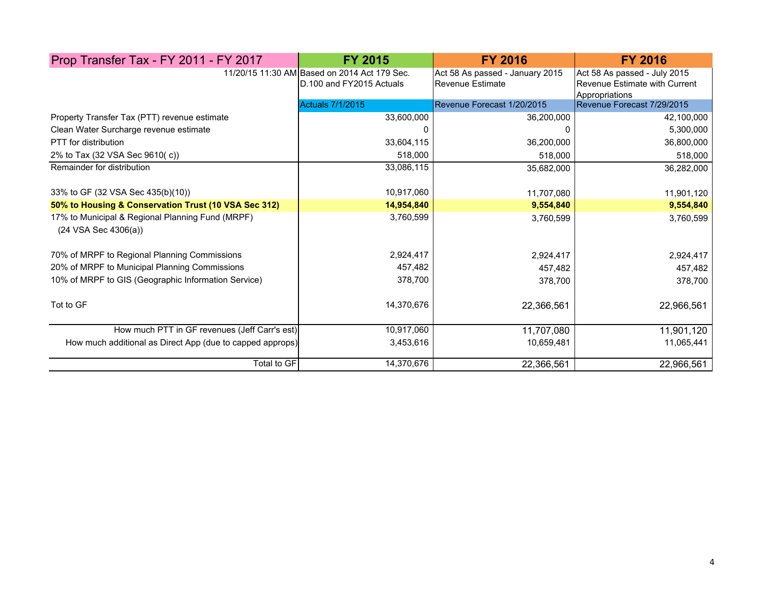| Prop Transfer Tax - FY 2011 - FY 2017                                                | <b>FY 2015</b>                                                           | <b>FY 2016</b>                                      | <b>FY 2016</b>                                                                  |
|--------------------------------------------------------------------------------------|--------------------------------------------------------------------------|-----------------------------------------------------|---------------------------------------------------------------------------------|
|                                                                                      | 11/20/15 11:30 AM Based on 2014 Act 179 Sec.<br>D.100 and FY2015 Actuals | Act 58 As passed - January 2015<br>Revenue Estimate | Act 58 As passed - July 2015<br>Revenue Estimate with Current<br>Appropriations |
|                                                                                      | <b>Actuals 7/1/2015</b>                                                  | Revenue Forecast 1/20/2015                          | Revenue Forecast 7/29/2015                                                      |
| Property Transfer Tax (PTT) revenue estimate                                         | 33,600,000                                                               | 36,200,000                                          | 42,100,000                                                                      |
| Clean Water Surcharge revenue estimate                                               | n                                                                        | 0                                                   | 5,300,000                                                                       |
| PTT for distribution                                                                 | 33,604,115                                                               | 36,200,000                                          | 36,800,000                                                                      |
| 2% to Tax (32 VSA Sec 9610(c))                                                       | 518,000                                                                  | 518,000                                             | 518,000                                                                         |
| Remainder for distribution                                                           | 33,086,115                                                               | 35,682,000                                          | 36,282,000                                                                      |
| 33% to GF (32 VSA Sec 435(b)(10))                                                    | 10,917,060                                                               | 11,707,080                                          | 11,901,120                                                                      |
| 50% to Housing & Conservation Trust (10 VSA Sec 312)                                 | 14,954,840                                                               | 9,554,840                                           | 9,554,840                                                                       |
| 17% to Municipal & Regional Planning Fund (MRPF)<br>$(24 \text{ VSA}$ Sec $4306(a))$ | 3,760,599                                                                | 3,760,599                                           | 3,760,599                                                                       |
| 70% of MRPF to Regional Planning Commissions                                         | 2,924,417                                                                | 2,924,417                                           | 2,924,417                                                                       |
| 20% of MRPF to Municipal Planning Commissions                                        | 457,482                                                                  | 457,482                                             | 457,482                                                                         |
| 10% of MRPF to GIS (Geographic Information Service)                                  | 378,700                                                                  | 378,700                                             | 378,700                                                                         |
| Tot to GF                                                                            | 14,370,676                                                               | 22,366,561                                          | 22,966,561                                                                      |
| How much PTT in GF revenues (Jeff Carr's est)                                        | 10,917,060                                                               | 11,707,080                                          | 11,901,120                                                                      |
| How much additional as Direct App (due to capped approps)                            | 3,453,616                                                                | 10,659,481                                          | 11,065,441                                                                      |
| Total to GF                                                                          | 14,370,676                                                               | 22,366,561                                          | 22,966,561                                                                      |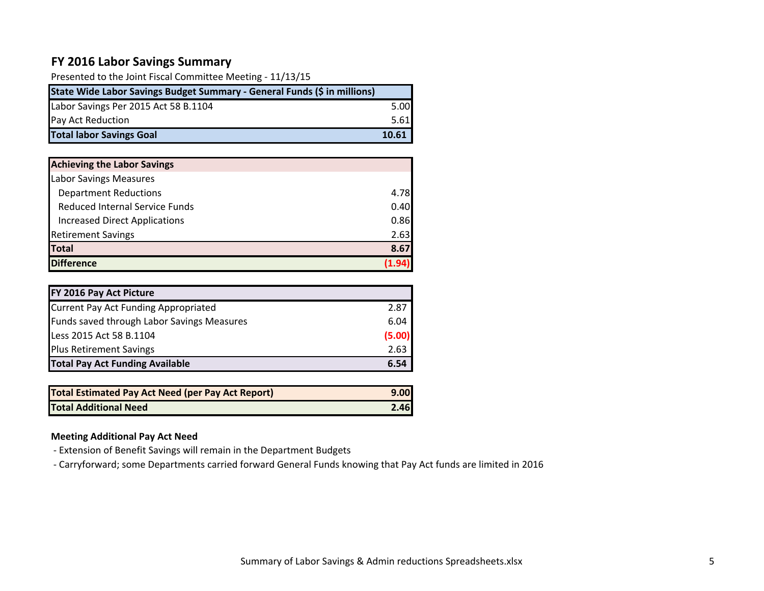## **FY 2016 Labor Savings Summary**

| Presented to the Joint Fiscal Committee Meeting - 11/13/15               |       |
|--------------------------------------------------------------------------|-------|
| State Wide Labor Savings Budget Summary - General Funds (\$ in millions) |       |
| Labor Savings Per 2015 Act 58 B.1104                                     | 5.00  |
| Pay Act Reduction                                                        | 5.61  |
| <b>Total labor Savings Goal</b>                                          | 10.61 |

| <b>Achieving the Labor Savings</b>    |      |
|---------------------------------------|------|
| <b>Labor Savings Measures</b>         |      |
| <b>Department Reductions</b>          | 4.78 |
| <b>Reduced Internal Service Funds</b> | 0.40 |
| <b>Increased Direct Applications</b>  | 0.86 |
| <b>Retirement Savings</b>             | 2.63 |
| <b>Total</b>                          | 8.67 |
| <b>Difference</b>                     |      |

| FY 2016 Pay Act Picture                     |        |
|---------------------------------------------|--------|
| <b>Current Pay Act Funding Appropriated</b> | 2.87   |
| Funds saved through Labor Savings Measures  | 6.04   |
| Less 2015 Act 58 B.1104                     | (5.00) |
| <b>Plus Retirement Savings</b>              | 2.63   |
| <b>Total Pay Act Funding Available</b>      | 6.54   |

| <b>Total Estimated Pay Act Need (per Pay Act Report)</b> | 9.00 |
|----------------------------------------------------------|------|
| <b>Total Additional Need</b>                             | 2.46 |

## **Meeting Additional Pay Act Need**

- ‐ Extension of Benefit Savings will remain in the Department Budgets
- ‐ Carryforward; some Departments carried forward General Funds knowing that Pay Act funds are limited in 2016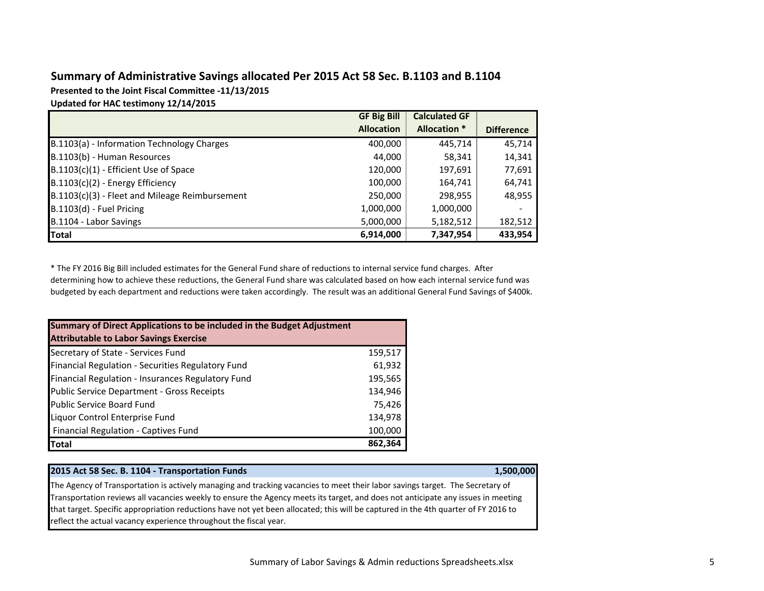## **Summary of Administrative Savings allocated Per 2015 Act 58 Sec. B.1103 and B.1104**

**Presented to the Joint Fiscal Committee ‐11/13/2015**

**Updated for HAC testimony 12/14/2015**

|                                                | <b>GF Big Bill</b> | <b>Calculated GF</b> |                   |
|------------------------------------------------|--------------------|----------------------|-------------------|
|                                                | <b>Allocation</b>  | <b>Allocation *</b>  | <b>Difference</b> |
| B.1103(a) - Information Technology Charges     | 400,000            | 445,714              | 45,714            |
| B.1103(b) - Human Resources                    | 44,000             | 58,341               | 14,341            |
| B.1103(c)(1) - Efficient Use of Space          | 120,000            | 197,691              | 77,691            |
| $B.1103(c)(2)$ - Energy Efficiency             | 100,000            | 164,741              | 64,741            |
| B.1103(c)(3) - Fleet and Mileage Reimbursement | 250,000            | 298,955              | 48,955            |
| B.1103(d) - Fuel Pricing                       | 1,000,000          | 1,000,000            |                   |
| B.1104 - Labor Savings                         | 5,000,000          | 5,182,512            | 182,512           |
| Total                                          | 6,914,000          | 7,347,954            | 433,954           |

\* The FY 2016 Big Bill included estimates for the General Fund share of reductions to internal service fund charges. After determining how to achieve these reductions, the General Fund share was calculated based on how each internal service fund was budgeted by each department and reductions were taken accordingly. The result was an additional General Fund Savings of \$400k.

| Summary of Direct Applications to be included in the Budget Adjustment |         |
|------------------------------------------------------------------------|---------|
| <b>Attributable to Labor Savings Exercise</b>                          |         |
| Secretary of State - Services Fund                                     | 159,517 |
| Financial Regulation - Securities Regulatory Fund                      | 61,932  |
| Financial Regulation - Insurances Regulatory Fund                      | 195,565 |
| Public Service Department - Gross Receipts                             | 134,946 |
| <b>Public Service Board Fund</b>                                       | 75,426  |
| Liquor Control Enterprise Fund                                         | 134,978 |
| <b>Financial Regulation - Captives Fund</b>                            | 100,000 |
| Total                                                                  | 862,364 |

#### **2015 Act 58 Sec. B. 1104 ‐ Transportation Funds 1,500,000**

The Agency of Transportation is actively managing and tracking vacancies to meet their labor savings target. The Secretary of Transportation reviews all vacancies weekly to ensure the Agency meets its target, and does not anticipate any issues in meeting that target. Specific appropriation reductions have not yet been allocated; this will be captured in the 4th quarter of FY 2016 to reflect the actual vacancy experience throughout the fiscal year.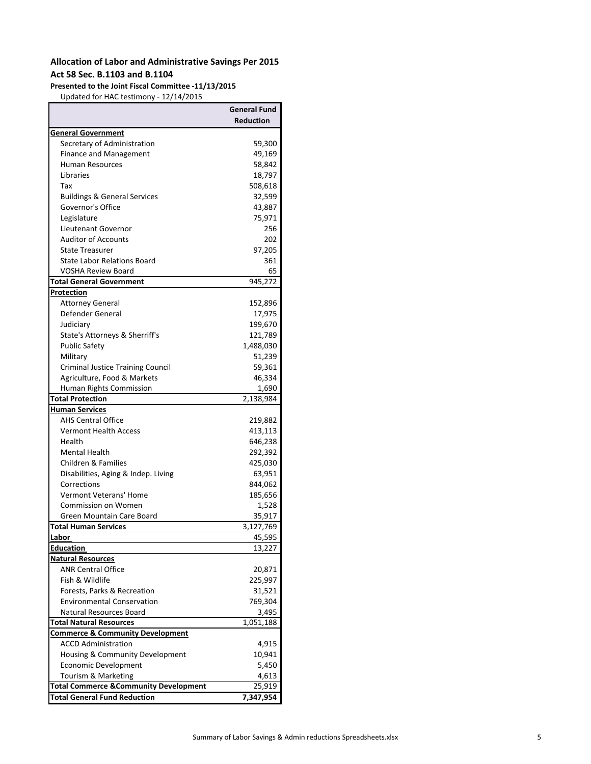## **Allocation of Labor and Administrative Savings Per 2015 Act 58 Sec. B.1103 and B.1104**

#### **Presented to the Joint Fiscal Committee ‐11/13/2015**

Updated for HAC testimony ‐ 12/14/2015

|                                                  | <b>General Fund</b> |
|--------------------------------------------------|---------------------|
|                                                  | <b>Reduction</b>    |
| <b>General Government</b>                        |                     |
| Secretary of Administration                      | 59,300              |
| <b>Finance and Management</b>                    | 49,169              |
| <b>Human Resources</b>                           | 58,842              |
| Libraries                                        | 18,797              |
| Tax                                              | 508,618             |
| <b>Buildings &amp; General Services</b>          | 32,599              |
| Governor's Office                                | 43,887              |
| Legislature                                      | 75,971              |
| Lieutenant Governor                              | 256                 |
| <b>Auditor of Accounts</b>                       | 202                 |
| <b>State Treasurer</b>                           | 97,205              |
| <b>State Labor Relations Board</b>               | 361                 |
| <b>VOSHA Review Board</b>                        | 65                  |
| Total General Government                         | 945,272             |
| Protection                                       |                     |
| <b>Attorney General</b>                          | 152,896             |
| Defender General                                 | 17,975              |
| Judiciary                                        | 199,670             |
| State's Attorneys & Sherriff's                   | 121,789             |
| <b>Public Safety</b>                             | 1,488,030           |
| Military                                         | 51,239              |
| <b>Criminal Justice Training Council</b>         | 59,361              |
| Agriculture, Food & Markets                      | 46,334              |
| Human Rights Commission                          | 1,690               |
| <b>Total Protection</b>                          | 2,138,984           |
| <b>Human Services</b>                            |                     |
| <b>AHS Central Office</b>                        | 219,882             |
| <b>Vermont Health Access</b>                     | 413,113             |
| Health                                           | 646,238             |
| <b>Mental Health</b>                             | 292,392             |
| Children & Families                              | 425,030             |
| Disabilities, Aging & Indep. Living              | 63,951              |
| Corrections                                      | 844,062             |
| <b>Vermont Veterans' Home</b>                    | 185,656             |
| <b>Commission on Women</b>                       | 1,528               |
| Green Mountain Care Board                        | 35,917              |
| <b>Total Human Services</b>                      | 3,127,769           |
| <u>Labor</u>                                     | 45,595              |
| <u>Education</u>                                 | 13,227              |
| <b>Natural Resources</b>                         |                     |
| <b>ANR Central Office</b>                        | 20,871              |
| Fish & Wildlife                                  | 225,997             |
| Forests, Parks & Recreation                      | 31,521              |
| <b>Environmental Conservation</b>                | 769,304             |
| Natural Resources Board                          | 3,495               |
| <b>Total Natural Resources</b>                   | 1,051,188           |
| <u>Commerce &amp; Community Development</u>      |                     |
| <b>ACCD Administration</b>                       | 4,915               |
| Housing & Community Development                  | 10,941              |
| Economic Development                             | 5,450               |
| Tourism & Marketing                              | 4,613               |
| <b>Total Commerce &amp;Community Development</b> | 25,919              |
| <b>Total General Fund Reduction</b>              | 7,347,954           |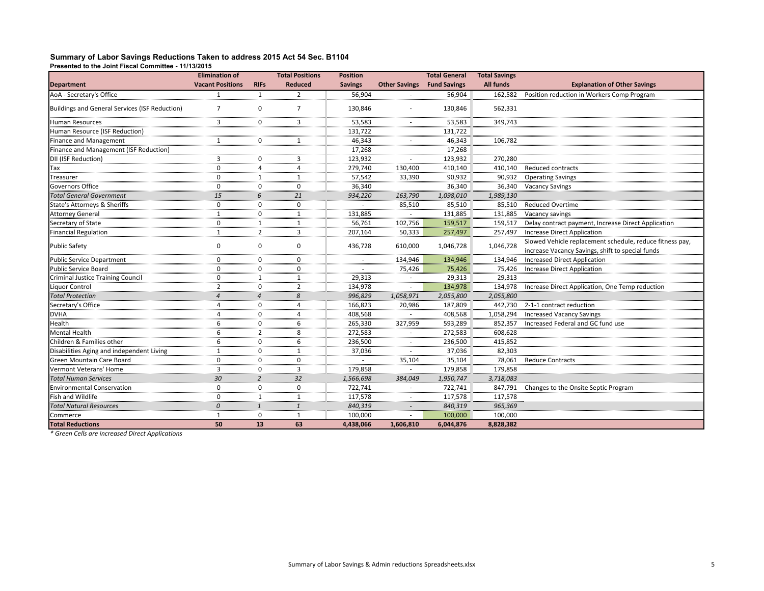#### **Summary of Labor Savings Reductions Taken to address 2015 Act 54 Sec. B1104**

**Presented to the Joint Fiscal Committee - 11/13/2015**

|                                                                  | <b>Elimination of</b>   |                   | <b>Total Positions</b> | <b>Position</b> |                      | <b>Total General</b> | <b>Total Savings</b> |                                                                                                              |
|------------------------------------------------------------------|-------------------------|-------------------|------------------------|-----------------|----------------------|----------------------|----------------------|--------------------------------------------------------------------------------------------------------------|
| <b>Department</b>                                                | <b>Vacant Positions</b> | <b>RIFs</b>       | <b>Reduced</b>         | <b>Savings</b>  | <b>Other Savings</b> | <b>Fund Savings</b>  | <b>All funds</b>     | <b>Explanation of Other Savings</b>                                                                          |
| AoA - Secretary's Office                                         | $\mathbf 1$             | $\mathbf{1}$      | $\overline{2}$         | 56,904          |                      | 56,904               | 162,582              | Position reduction in Workers Comp Program                                                                   |
| <b>Buildings and General Services (ISF Reduction)</b>            | $\overline{7}$          | $\mathbf 0$       | $\overline{7}$         | 130,846         |                      | 130,846              | 562,331              |                                                                                                              |
| <b>Human Resources</b>                                           | $\overline{3}$          | $\mathbf 0$       | 3                      | 53,583          |                      | 53,583               | 349,743              |                                                                                                              |
| Human Resource (ISF Reduction)<br>Human Resource (ISF Reduction) |                         |                   |                        | 131,722         |                      | 131,722              |                      |                                                                                                              |
| Finance and Management                                           | 1                       | $\mathbf 0$       |                        | 46,343          |                      | 46,343               | 106,782              |                                                                                                              |
| Finance and Management (ISF Reduction)                           |                         |                   |                        | 17,268          |                      | 17,268               |                      |                                                                                                              |
| DII (ISF Reduction)                                              | 3                       | $\mathbf 0$       | 3                      | 123,932         | $\sim$               | 123,932              | 270,280              |                                                                                                              |
| Tax                                                              | $\Omega$                | $\overline{4}$    | $\overline{4}$         | 279,740         | 130,400              | 410,140              | 410,140              | Reduced contracts                                                                                            |
| Treasurer                                                        | ŋ                       | $\mathbf{1}$      | -1                     | 57,542          | 33,390               | 90,932               | 90,932               | <b>Operating Savings</b>                                                                                     |
| <b>Governors Office</b>                                          | $\mathbf 0$             | 0                 | $\mathbf 0$            | 36,340          |                      | 36,340               | 36,340               | <b>Vacancy Savings</b>                                                                                       |
| <b>Total General Government</b>                                  | 15                      | 6                 | 21                     | 934,220         | 163,790              | 1,098,010            | 1,989,130            |                                                                                                              |
| State's Attorneys & Sheriffs                                     | $\Omega$                | $\mathbf 0$       | $\Omega$               | .               | 85,510               | 85,510               | 85,510               | <b>Reduced Overtime</b>                                                                                      |
| <b>Attorney General</b>                                          | 1                       | $\mathbf 0$       | $\mathbf{1}$           | 131,885         |                      | 131,885              | 131,885              | Vacancy savings                                                                                              |
| Secretary of State                                               | $\Omega$                | $\mathbf{1}$      | $\mathbf{1}$           | 56,761          | 102,756              | 159,517              | 159,517              | Delay contract payment, Increase Direct Application                                                          |
| Financial Regulation                                             | $\mathbf{1}$            | $\overline{2}$    | 3                      | 207,164         | 50,333               | 257,497              | 257,497              | <b>Increase Direct Application</b>                                                                           |
| Public Safety                                                    | 0                       | 0                 | 0                      | 436,728         | 610,000              | 1,046,728            | 1,046,728            | Slowed Vehicle replacement schedule, reduce fitness pay,<br>increase Vacancy Savings, shift to special funds |
| Public Service Department                                        | $\Omega$                | $\mathbf 0$       | $\mathbf 0$            |                 | 134,946              | 134,946              | 134,946              | <b>Increased Direct Application</b>                                                                          |
| Public Service Board                                             | $\Omega$                | $\Omega$          | $\Omega$               |                 | 75,426               | 75,426               | 75,426               | <b>Increase Direct Application</b>                                                                           |
| Criminal Justice Training Council                                | 0                       | -1                | -1                     | 29,313          | $\sim$               | 29,313               | 29,313               |                                                                                                              |
| Liquor Control                                                   | $\overline{2}$          | 0                 | $\overline{2}$         | 134,978         |                      | 134,978              | 134,978              | Increase Direct Application, One Temp reduction                                                              |
| <b>Total Protection</b>                                          | $\Delta$                | $\overline{A}$    | 8                      | 996,829         | 1,058,971            | 2,055,800            | 2,055,800            |                                                                                                              |
| Secretary's Office                                               |                         | $\Omega$<br>      | $\boldsymbol{\Delta}$  | 166,823         | 20,986               | 187,809              | 442,730              | 2-1-1 contract reduction                                                                                     |
| <b>DVHA</b>                                                      |                         | $\mathbf 0$       | $\boldsymbol{\Delta}$  | 408,568         |                      | 408,568              | 1,058,294            | <b>Increased Vacancy Savings</b>                                                                             |
| Health                                                           | 6                       | $\mathbf 0$       | 6                      | 265,330         | 327,959              | 593,289              | 852,357              | Increased Federal and GC fund use                                                                            |
| <b>Mental Health</b>                                             | 6                       | $\overline{2}$    | 8                      | 272,583         |                      | 272,583              | 608,628              |                                                                                                              |
| Children & Families other                                        | 6                       | $\mathbf 0$       | 6                      | 236,500         |                      | 236,500              | 415,852              |                                                                                                              |
| Disabilities Aging and independent Living                        | 1                       | $\mathbf 0$       | $\mathbf{1}$           | 37,036          | $\sim$               | 37,036               | 82,303               |                                                                                                              |
| Green Mountain Care Board                                        | $\Omega$                | $\mathbf 0$       | $\mathbf 0$            |                 | 35,104               | 35,104               | 78,061               | <b>Reduce Contracts</b>                                                                                      |
| Vermont Veterans' Home                                           |                         | $\Omega$          | 3                      | 179,858         |                      | 179,858              | 179,858              |                                                                                                              |
| <b>Total Human Services</b>                                      | 30                      | 2                 | 32                     | 1,566,698       | 384,049              | 1,950,747            | 3,718,083            |                                                                                                              |
| <b>Environmental Conservation</b>                                | $\Omega$                | $\mathbf 0$       | $\mathbf 0$            | 722,741         | $\sim$               | 722,741              | 847,791              | Changes to the Onsite Septic Program                                                                         |
| Fish and Wildlife                                                |                         | $\mathbf{1}$<br>. | $\cdots$               | 117,578         |                      | 117,578              | 117,578              |                                                                                                              |
| Total Natural Resources                                          | $\Omega$                | $\mathbf{1}$      | $\overline{1}$         | 840,319         |                      | 840,319              | 965,369              |                                                                                                              |
| Commerce                                                         | -1                      | 0                 | 1                      | 100,000         |                      | 100,000              | 100,000              |                                                                                                              |
| <b>Total Reductions</b>                                          | 50                      | 13                | 63                     | 4,438,066       | 1,606,810            | 6,044,876            | 8,828,382            |                                                                                                              |

*\* Green Cells are increased Direct Applications*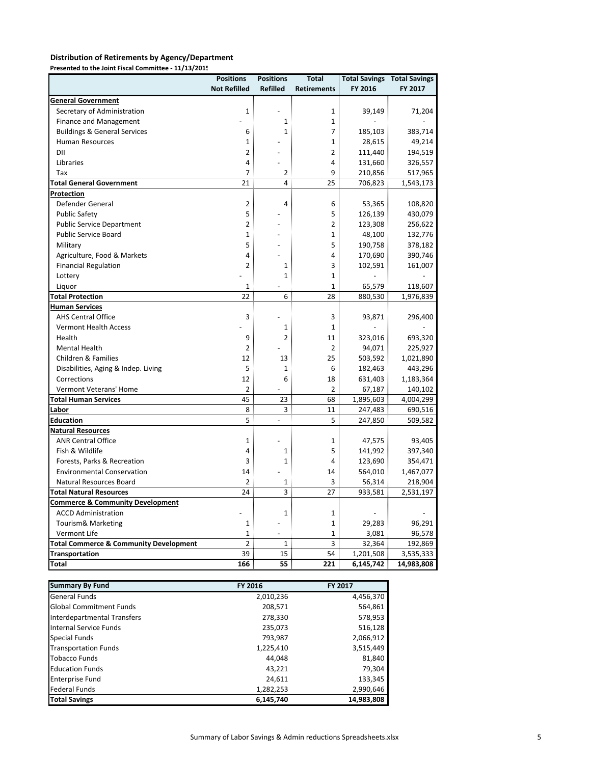#### **Distribution of Retirements by Agency/Department**

**Presented to the Joint Fiscal Committee ‐ 11/13/2015**

|                                                   | <b>Positions</b>    | <b>Positions</b> | <b>Total</b>       |           | <b>Total Savings Total Savings</b> |
|---------------------------------------------------|---------------------|------------------|--------------------|-----------|------------------------------------|
|                                                   | <b>Not Refilled</b> | <b>Refilled</b>  | <b>Retirements</b> | FY 2016   | FY 2017                            |
| <b>General Government</b>                         |                     |                  |                    |           |                                    |
| Secretary of Administration                       | $\mathbf{1}$        |                  | 1                  | 39,149    | 71,204                             |
| <b>Finance and Management</b>                     |                     | $\mathbf 1$      | 1                  |           |                                    |
| <b>Buildings &amp; General Services</b>           | 6                   | 1                | 7                  | 185,103   | 383,714                            |
| <b>Human Resources</b>                            | $\mathbf{1}$        |                  | $\mathbf{1}$       | 28,615    | 49,214                             |
| DII                                               | $\overline{2}$      |                  | $\overline{2}$     | 111,440   | 194,519                            |
| Libraries                                         | 4                   |                  | 4                  | 131,660   | 326,557                            |
| Tax                                               | $\overline{7}$      | $\overline{2}$   | 9                  | 210,856   | 517,965                            |
| <b>Total General Government</b>                   | 21                  | 4                | 25                 | 706,823   | 1,543,173                          |
| <u>Protection</u>                                 |                     |                  |                    |           |                                    |
| Defender General                                  | $\overline{2}$      | 4                | 6                  | 53,365    | 108,820                            |
| <b>Public Safety</b>                              | 5                   |                  | 5                  | 126,139   | 430,079                            |
| <b>Public Service Department</b>                  | 2                   |                  | 2                  | 123,308   | 256,622                            |
| <b>Public Service Board</b>                       | 1                   |                  | 1                  | 48,100    | 132,776                            |
| Military                                          | 5                   |                  | 5                  | 190,758   | 378,182                            |
| Agriculture, Food & Markets                       | 4                   |                  | 4                  | 170,690   | 390,746                            |
| <b>Financial Regulation</b>                       | $\overline{2}$      | $\mathbf{1}$     | 3                  | 102,591   | 161,007                            |
| Lottery                                           |                     | $\mathbf{1}$     | $\mathbf{1}$       |           |                                    |
| Liquor                                            | $\mathbf{1}$        |                  | 1                  | 65,579    | 118,607                            |
| <b>Total Protection</b>                           | 22                  | 6                | 28                 | 880,530   | 1,976,839                          |
| <b>Human Services</b>                             |                     |                  |                    |           |                                    |
| <b>AHS Central Office</b>                         | 3                   |                  | 3                  | 93,871    | 296,400                            |
| <b>Vermont Health Access</b>                      |                     | $\mathbf{1}$     | 1                  |           |                                    |
| Health                                            | 9                   | $\overline{2}$   | 11                 | 323,016   | 693,320                            |
| Mental Health                                     | $\overline{2}$      |                  | 2                  | 94,071    | 225,927                            |
| Children & Families                               | 12                  | 13               | 25                 | 503,592   | 1,021,890                          |
| Disabilities, Aging & Indep. Living               | 5                   | $\mathbf{1}$     | 6                  | 182,463   | 443,296                            |
| Corrections                                       | 12                  | 6                | 18                 | 631,403   | 1,183,364                          |
| Vermont Veterans' Home                            | 2                   |                  | 2                  | 67,187    | 140,102                            |
| <b>Total Human Services</b>                       | 45                  | 23               | 68                 | 1,895,603 | 4,004,299                          |
| Labor                                             | 8                   | 3                | 11                 | 247,483   | 690,516                            |
| <u>Education</u>                                  | 5                   | $\overline{a}$   | 5                  | 247,850   | 509,582                            |
| <b>Natural Resources</b>                          |                     |                  |                    |           |                                    |
| <b>ANR Central Office</b>                         | $\mathbf{1}$        |                  | 1                  | 47,575    | 93,405                             |
| Fish & Wildlife                                   | $\overline{4}$      | $\mathbf{1}$     | 5                  | 141,992   | 397,340                            |
| Forests, Parks & Recreation                       | 3                   | $\mathbf{1}$     | 4                  | 123,690   | 354,471                            |
| <b>Environmental Conservation</b>                 | 14                  |                  | 14                 | 564,010   | 1,467,077                          |
| Natural Resources Board                           | 2                   | 1                | 3                  | 56,314    | 218,904                            |
| <b>Total Natural Resources</b>                    | 24                  | 3                | 27                 | 933,581   | 2,531,197                          |
| <b>Commerce &amp; Community Development</b>       |                     |                  |                    |           |                                    |
| <b>ACCD Administration</b>                        |                     | $\mathbf{1}$     | 1                  |           |                                    |
| Tourism& Marketing                                | $\mathbf 1$         |                  | 1                  | 29,283    | 96,291                             |
| Vermont Life                                      | 1                   |                  | $\mathbf 1$        | 3,081     | 96,578                             |
| <b>Total Commerce &amp; Community Development</b> | $\overline{2}$      | $\mathbf{1}$     | 3                  | 32,364    | 192,869                            |
| <b>Transportation</b>                             | 39                  | 15               | 54                 | 1,201,508 | 3,535,333                          |
| <b>Total</b>                                      | 166                 | 55               | 221                | 6,145,742 | 14,983,808                         |

| <b>Summary By Fund</b>         | FY 2016   | FY 2017    |
|--------------------------------|-----------|------------|
| <b>General Funds</b>           | 2,010,236 | 4,456,370  |
| <b>Global Commitment Funds</b> | 208,571   | 564,861    |
| Interdepartmental Transfers    | 278,330   | 578,953    |
| Internal Service Funds         | 235,073   | 516,128    |
| <b>Special Funds</b>           | 793,987   | 2,066,912  |
| <b>Transportation Funds</b>    | 1,225,410 | 3,515,449  |
| <b>Tobacco Funds</b>           | 44,048    | 81,840     |
| <b>Education Funds</b>         | 43,221    | 79,304     |
| <b>Enterprise Fund</b>         | 24,611    | 133,345    |
| <b>Federal Funds</b>           | 1,282,253 | 2,990,646  |
| <b>Total Savings</b>           | 6,145,740 | 14,983,808 |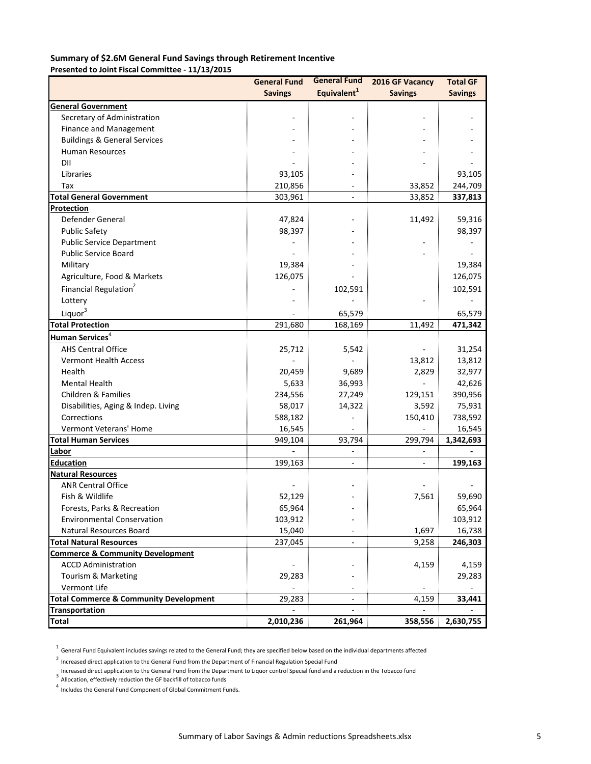#### **Summary of \$2.6M General Fund Savings through Retirement Incentive Presented to Joint Fiscal Committee ‐ 11/13/2015**

|                                                   | <b>General Fund</b> | <b>General Fund</b>      | 2016 GF Vacancy | <b>Total GF</b> |
|---------------------------------------------------|---------------------|--------------------------|-----------------|-----------------|
|                                                   | <b>Savings</b>      | Equivalent <sup>1</sup>  | <b>Savings</b>  | <b>Savings</b>  |
| General Government                                |                     |                          |                 |                 |
| Secretary of Administration                       |                     |                          |                 |                 |
| Finance and Management                            |                     |                          |                 |                 |
| <b>Buildings &amp; General Services</b>           |                     |                          |                 |                 |
| <b>Human Resources</b>                            |                     |                          |                 |                 |
| DII                                               |                     |                          |                 |                 |
| Libraries                                         | 93,105              |                          |                 | 93,105          |
| Tax                                               | 210,856             |                          | 33,852          | 244,709         |
| <b>Total General Government</b>                   | 303,961             | L.                       | 33,852          | 337,813         |
| Protection                                        |                     |                          |                 |                 |
| Defender General                                  | 47,824              |                          | 11,492          | 59,316          |
| <b>Public Safety</b>                              | 98,397              |                          |                 | 98,397          |
| <b>Public Service Department</b>                  |                     |                          |                 |                 |
| <b>Public Service Board</b>                       |                     |                          |                 |                 |
| Military                                          | 19,384              |                          |                 | 19,384          |
| Agriculture, Food & Markets                       | 126,075             |                          |                 | 126,075         |
| Financial Regulation <sup>2</sup>                 |                     | 102,591                  |                 | 102,591         |
| Lottery                                           |                     |                          |                 |                 |
| Liquor <sup>3</sup>                               |                     | 65,579                   |                 | 65,579          |
| <b>Total Protection</b>                           | 291,680             | 168,169                  | 11,492          | 471,342         |
| Human Services <sup>4</sup>                       |                     |                          |                 |                 |
| <b>AHS Central Office</b>                         | 25,712              | 5,542                    |                 | 31,254          |
| <b>Vermont Health Access</b>                      |                     |                          | 13,812          | 13,812          |
| Health                                            | 20,459              | 9,689                    | 2,829           | 32,977          |
| <b>Mental Health</b>                              | 5,633               | 36,993                   |                 | 42,626          |
| Children & Families                               | 234,556             | 27,249                   | 129,151         | 390,956         |
| Disabilities, Aging & Indep. Living               | 58,017              | 14,322                   | 3,592           | 75,931          |
| Corrections                                       | 588,182             |                          | 150,410         | 738,592         |
| Vermont Veterans' Home                            | 16,545              |                          |                 | 16,545          |
| <b>Total Human Services</b>                       | 949,104             | 93,794                   | 299,794         | 1,342,693       |
| Labor                                             |                     |                          |                 |                 |
| Education                                         | 199,163             | $\overline{\phantom{a}}$ | $\blacksquare$  | 199,163         |
| <b>Natural Resources</b>                          |                     |                          |                 |                 |
| <b>ANR Central Office</b>                         |                     |                          |                 |                 |
| Fish & Wildlife                                   | 52,129              |                          | 7,561           | 59,690          |
| Forests, Parks & Recreation                       | 65,964              |                          |                 | 65,964          |
| <b>Environmental Conservation</b>                 | 103,912             |                          |                 | 103,912         |
| Natural Resources Board                           | 15,040              |                          | 1,697           | 16,738          |
| <b>Total Natural Resources</b>                    | 237,045             |                          | 9,258           | 246,303         |
| <b>Commerce &amp; Community Development</b>       |                     |                          |                 |                 |
| <b>ACCD Administration</b>                        |                     |                          | 4,159           | 4,159           |
| Tourism & Marketing                               | 29,283              |                          |                 | 29,283          |
| Vermont Life                                      |                     |                          |                 |                 |
| <b>Total Commerce &amp; Community Development</b> | 29,283              |                          | 4,159           | 33,441          |
| <b>Transportation</b>                             |                     |                          |                 |                 |
| <b>Total</b>                                      | 2,010,236           | 261,964                  | 358,556         | 2,630,755       |

 $^1$  General Fund Equivalent includes savings related to the General Fund; they are specified below based on the individual departments affected

<sup>2</sup> Increased direct application to the General Fund from the Department of Financial Regulation Special Fund

Increased direct application to the General Fund from the Department to Liquor control Special fund and a reduction in the Tobacco fund<br>3. Allegation of festivaly reduction the CE haskfill of tabacco funds

Allocation, effectively reduction the GF backfill of tobacco funds

4 Includes the General Fund Component of Global Commitment Funds.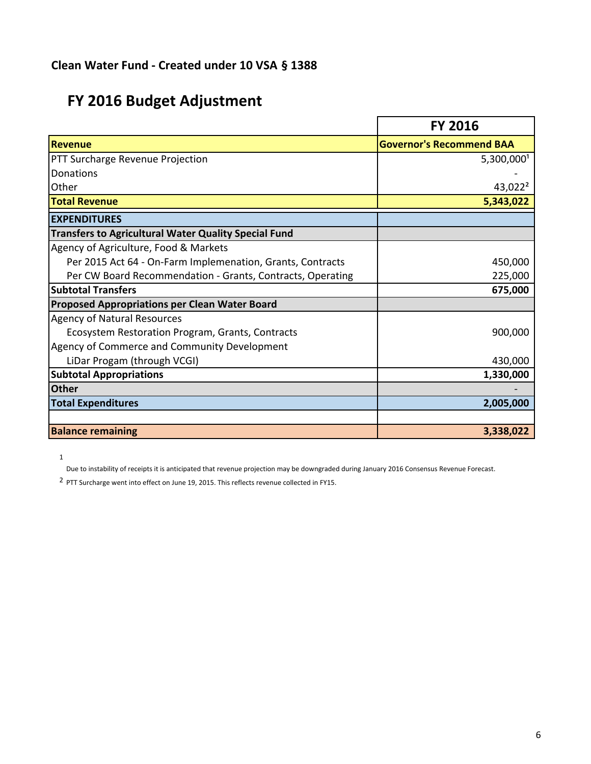# **FY 2016 Budget Adjustment**

|                                                             | <b>FY 2016</b>                  |
|-------------------------------------------------------------|---------------------------------|
| <b>Revenue</b>                                              | <b>Governor's Recommend BAA</b> |
| PTT Surcharge Revenue Projection                            | 5,300,000                       |
| Donations                                                   |                                 |
| Other                                                       | 43,022 <sup>2</sup>             |
| <b>Total Revenue</b>                                        | 5,343,022                       |
| <b>EXPENDITURES</b>                                         |                                 |
| <b>Transfers to Agricultural Water Quality Special Fund</b> |                                 |
| Agency of Agriculture, Food & Markets                       |                                 |
| Per 2015 Act 64 - On-Farm Implemenation, Grants, Contracts  | 450,000                         |
| Per CW Board Recommendation - Grants, Contracts, Operating  | 225,000                         |
| <b>Subtotal Transfers</b>                                   | 675,000                         |
| <b>Proposed Appropriations per Clean Water Board</b>        |                                 |
| <b>Agency of Natural Resources</b>                          |                                 |
| Ecosystem Restoration Program, Grants, Contracts            | 900,000                         |
| Agency of Commerce and Community Development                |                                 |
| LiDar Progam (through VCGI)                                 | 430,000                         |
| <b>Subtotal Appropriations</b>                              | 1,330,000                       |
| <b>Other</b>                                                |                                 |
| <b>Total Expenditures</b>                                   | 2,005,000                       |
|                                                             |                                 |
| <b>Balance remaining</b>                                    | 3,338,022                       |

1

Due to instability of receipts it is anticipated that revenue projection may be downgraded during January 2016 Consensus Revenue Forecast.

<sup>2</sup> PTT Surcharge went into effect on June 19, 2015. This reflects revenue collected in FY15.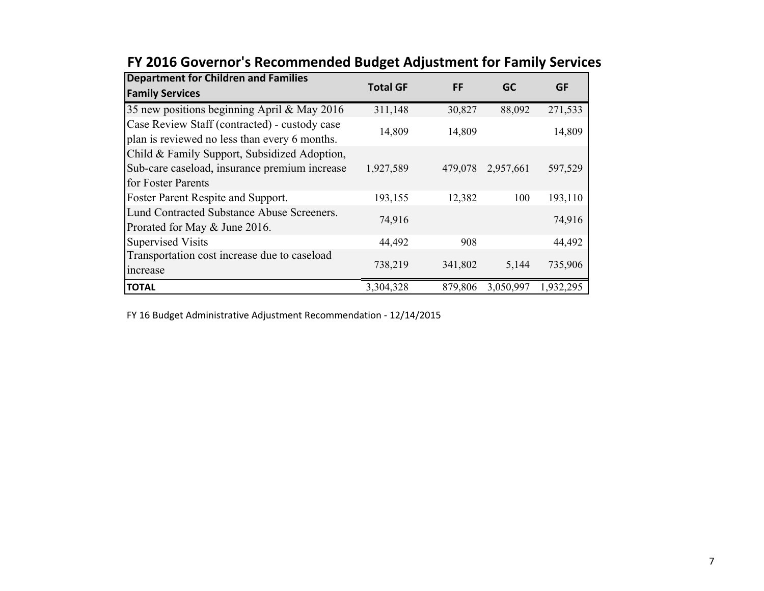| <b>Department for Children and Families</b><br><b>Family Services</b>                          | <b>Total GF</b> | FF      | <b>GC</b> | GF        |
|------------------------------------------------------------------------------------------------|-----------------|---------|-----------|-----------|
|                                                                                                |                 |         |           |           |
| 35 new positions beginning April & May 2016                                                    | 311,148         | 30,827  | 88,092    | 271,533   |
| Case Review Staff (contracted) - custody case<br>plan is reviewed no less than every 6 months. | 14,809          | 14,809  |           | 14,809    |
| Child & Family Support, Subsidized Adoption,                                                   |                 |         |           |           |
| Sub-care caseload, insurance premium increase                                                  | 1,927,589       | 479,078 | 2,957,661 | 597,529   |
| for Foster Parents                                                                             |                 |         |           |           |
| Foster Parent Respite and Support.                                                             | 193,155         | 12,382  | 100       | 193,110   |
| Lund Contracted Substance Abuse Screeners.<br>Prorated for May & June 2016.                    | 74,916          |         |           | 74,916    |
| <b>Supervised Visits</b>                                                                       | 44,492          | 908     |           | 44,492    |
| Transportation cost increase due to caseload                                                   |                 |         |           |           |
| increase                                                                                       | 738,219         | 341,802 | 5,144     | 735,906   |
| <b>TOTAL</b>                                                                                   | 3,304,328       | 879,806 | 3,050,997 | 1,932,295 |

## **FY 2016 Governor's Recommended Budget Adjustment for Family Services**

FY 16 Budget Administrative Adjustment Recommendation ‐ 12/14/2015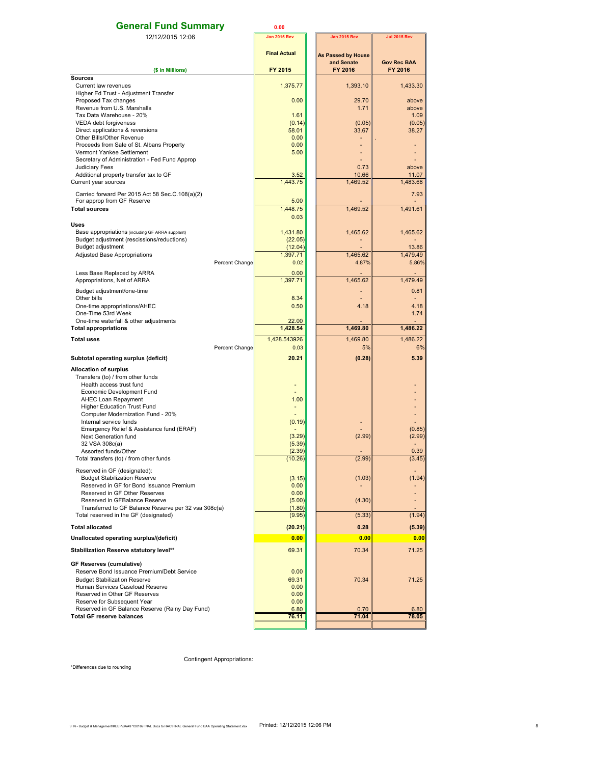| <b>General Fund Summary</b>                                                                   | 0.00                 |                           |                                      |
|-----------------------------------------------------------------------------------------------|----------------------|---------------------------|--------------------------------------|
| 12/12/2015 12:06                                                                              | <b>Jan 2015 Rev</b>  | <b>Jan 2015 Rev</b>       | <b>Jul 2015 Rev</b>                  |
|                                                                                               | <b>Final Actual</b>  | <b>As Passed by House</b> |                                      |
| (\$ in Millions)                                                                              | <b>FY 2015</b>       | and Senate<br>FY 2016     | <b>Gov Rec BAA</b><br><b>FY 2016</b> |
| <b>Sources</b>                                                                                |                      |                           |                                      |
| Current law revenues                                                                          | 1,375.77             | 1,393.10                  | 1,433.30                             |
| Higher Ed Trust - Adjustment Transfer<br>Proposed Tax changes                                 | 0.00                 | 29.70                     | above                                |
| Revenue from U.S. Marshalls                                                                   |                      | 1.71                      | above                                |
| Tax Data Warehouse - 20%                                                                      | 1.61                 |                           | 1.09                                 |
| VEDA debt forgiveness                                                                         | (0.14)               | (0.05)                    | (0.05)                               |
| Direct applications & reversions<br>Other Bills/Other Revenue                                 | 58.01<br>0.00        | 33.67                     | 38.27                                |
| Proceeds from Sale of St. Albans Property                                                     | 0.00                 |                           |                                      |
| Vermont Yankee Settlement                                                                     | 5.00                 |                           |                                      |
| Secretary of Administration - Fed Fund Approp<br>Judiciary Fees                               |                      | 0.73                      | above                                |
| Additional property transfer tax to GF                                                        | 3.52                 | 10.66                     | 11.07                                |
| Current year sources                                                                          | 1,443.75             | 1,469.52                  | 1,483.68                             |
| Carried forward Per 2015 Act 58 Sec.C.108(a)(2)                                               |                      |                           | 7.93                                 |
| For approp from GF Reserve<br><b>Total sources</b>                                            | 5.00<br>1.448.75     |                           |                                      |
|                                                                                               | 0.03                 | 1,469.52                  | 1,491.61                             |
| <b>Uses</b>                                                                                   |                      |                           |                                      |
| Base appropriations (including GF ARRA supplant)                                              | 1.431.80             | 1,465.62                  | 1,465.62                             |
| Budget adjustment (rescissions/reductions)<br>Budget adjustment                               | (22.05)<br>(12.04)   |                           | 13.86                                |
| <b>Adjusted Base Appropriations</b>                                                           | 1,397.71             | 1,465.62                  | 1,479.49                             |
| Percent Change                                                                                | 0.02                 | 4.87%                     | 5.86%                                |
| Less Base Replaced by ARRA                                                                    | 0.00                 |                           |                                      |
| Appropriations, Net of ARRA                                                                   | 1,397.71             | 1,465.62                  | 1.479.49                             |
| Budget adjustment/one-time                                                                    |                      |                           | 0.81                                 |
| Other bills                                                                                   | 8.34<br>0.50         | 4.18                      | $\sim$<br>4.18                       |
| One-time appropriations/AHEC<br>One-Time 53rd Week                                            |                      |                           | 1.74                                 |
| One-time waterfall & other adjustments                                                        | 22.00                |                           |                                      |
| <b>Total appropriations</b>                                                                   | 1,428.54             | 1,469.80                  | 1,486.22                             |
| <b>Total uses</b>                                                                             | 1,428.543926<br>0.03 | 1,469.80<br>5%            | 1,486.22<br>6%                       |
| Percent Change                                                                                | 20.21                | (0.28)                    | 5.39                                 |
| Subtotal operating surplus (deficit)                                                          |                      |                           |                                      |
| <b>Allocation of surplus</b><br>Transfers (to) / from other funds                             |                      |                           |                                      |
| Health access trust fund                                                                      |                      |                           |                                      |
| Economic Development Fund                                                                     |                      |                           |                                      |
| AHEC Loan Repayment<br><b>Higher Education Trust Fund</b>                                     | 1.00                 |                           |                                      |
| Computer Modernization Fund - 20%                                                             |                      |                           |                                      |
| Internal service funds                                                                        | (0.19)               |                           |                                      |
| Emergency Relief & Assistance fund (ERAF)<br>Next Generation fund                             | (3.29)               | (2.99)                    | (0.85)<br>(2.99)                     |
| 32 VSA 308c(a)                                                                                | (5.39)               |                           |                                      |
| Assorted funds/Other                                                                          | (2.39)               |                           | 0.39                                 |
| Total transfers (to) / from other funds                                                       | (10.26)              | (2.99)                    | (3.45)                               |
| Reserved in GF (designated):                                                                  |                      |                           |                                      |
| <b>Budget Stabilization Reserve</b><br>Reserved in GF for Bond Issuance Premium               | (3.15)<br>0.00       | (1.03)                    | (1.94)                               |
| Reserved in GF Other Reserves                                                                 | 0.00                 |                           |                                      |
| Reserved in GFBalance Reserve                                                                 | (5.00)               | (4.30)                    |                                      |
| Transferred to GF Balance Reserve per 32 vsa 308c(a)<br>Total reserved in the GF (designated) | (1.80)<br>(9.95)     | (5.33)                    | (1.94)                               |
| <b>Total allocated</b>                                                                        |                      | 0.28                      |                                      |
|                                                                                               | (20.21)              |                           | (5.39)                               |
| Unallocated operating surplus/(deficit)                                                       | 0.00                 | 0.00                      | 0.00                                 |
| Stabilization Reserve statutory level**                                                       | 69.31                | 70.34                     | 71.25                                |
| GF Reserves (cumulative)                                                                      |                      |                           |                                      |
| Reserve Bond Issuance Premium/Debt Service<br><b>Budget Stabilization Reserve</b>             | 0.00<br>69.31        | 70.34                     | 71.25                                |
| Human Services Caseload Reserve                                                               | 0.00                 |                           |                                      |
| Reserved in Other GF Reserves                                                                 | 0.00                 |                           |                                      |
| Reserve for Subsequent Year<br>Reserved in GF Balance Reserve (Rainy Day Fund)                | 0.00<br>6.80         | 0.70                      | 6.80                                 |
| <b>Total GF reserve balances</b>                                                              | 76.11                | 71.04                     | 78.05                                |
|                                                                                               |                      |                           |                                      |

Contingent Appropriations:

\*Differences due to rounding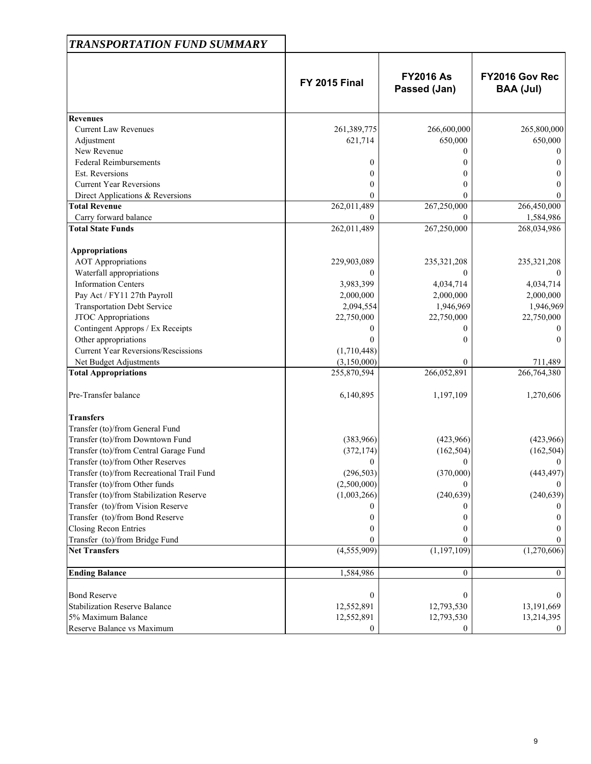| <b>TRANSPORTATION FUND SUMMARY</b>         |                      |                                  |                                    |
|--------------------------------------------|----------------------|----------------------------------|------------------------------------|
|                                            | <b>FY 2015 Final</b> | <b>FY2016 As</b><br>Passed (Jan) | FY2016 Gov Rec<br><b>BAA (Jul)</b> |
| <b>Revenues</b>                            |                      |                                  |                                    |
| <b>Current Law Revenues</b>                | 261,389,775          | 266,600,000                      | 265,800,000                        |
| Adjustment                                 | 621,714              | 650,000                          | 650,000                            |
| New Revenue                                |                      | 0                                | $\theta$                           |
| <b>Federal Reimbursements</b>              | $\theta$             |                                  |                                    |
| <b>Est. Reversions</b>                     | 0                    | $_{0}$                           | $\theta$                           |
| <b>Current Year Reversions</b>             | 0                    | 0                                | 0                                  |
| Direct Applications & Reversions           | 0                    | 0                                | $\theta$                           |
| <b>Total Revenue</b>                       | 262,011,489          | 267,250,000                      | 266,450,000                        |
| Carry forward balance                      |                      | $\theta$                         | 1,584,986                          |
| <b>Total State Funds</b>                   | 262,011,489          | 267,250,000                      | 268,034,986                        |
| <b>Appropriations</b>                      |                      |                                  |                                    |
| <b>AOT</b> Appropriations                  | 229,903,089          | 235,321,208                      | 235,321,208                        |
| Waterfall appropriations                   |                      | 0                                |                                    |
| <b>Information Centers</b>                 | 3,983,399            | 4,034,714                        | 4,034,714                          |
| Pay Act / FY11 27th Payroll                | 2,000,000            | 2,000,000                        | 2,000,000                          |
| <b>Transportation Debt Service</b>         | 2,094,554            | 1,946,969                        | 1,946,969                          |
| JTOC Appropriations                        | 22,750,000           | 22,750,000                       | 22,750,000                         |
| Contingent Approps / Ex Receipts           |                      | 0                                | $\theta$                           |
| Other appropriations                       |                      | 0                                | $\Omega$                           |
| <b>Current Year Reversions/Rescissions</b> | (1,710,448)          |                                  |                                    |
| Net Budget Adjustments                     | (3,150,000)          | $\theta$                         | 711,489                            |
| <b>Total Appropriations</b>                | 255,870,594          | 266,052,891                      | 266,764,380                        |
| Pre-Transfer balance                       | 6,140,895            | 1,197,109                        | 1,270,606                          |
| <b>Transfers</b>                           |                      |                                  |                                    |
| Transfer (to)/from General Fund            |                      |                                  |                                    |
| Transfer (to)/from Downtown Fund           | (383,966)            | (423,966)                        | (423,966)                          |
| Transfer (to)/from Central Garage Fund     | (372, 174)           | (162, 504)                       | (162, 504)                         |
| Transfer (to)/from Other Reserves          | 0                    | $\mathbf{0}$                     | $\bf{0}$                           |
| Transfer (to)/from Recreational Trail Fund | (296, 503)           | (370,000)                        | (443, 497)                         |
| Transfer (to)/from Other funds             | (2,500,000)          | 0                                |                                    |
| Transfer (to)/from Stabilization Reserve   | (1,003,266)          | (240, 639)                       | (240, 639)                         |
| Transfer (to)/from Vision Reserve          |                      |                                  |                                    |
| Transfer (to)/from Bond Reserve            |                      |                                  |                                    |
| <b>Closing Recon Entries</b>               |                      |                                  |                                    |
| Transfer (to)/from Bridge Fund             |                      | $^{(1)}$                         |                                    |
| <b>Net Transfers</b>                       | (4, 555, 909)        | (1, 197, 109)                    | (1,270,606)                        |
| <b>Ending Balance</b>                      | 1,584,986            | $\boldsymbol{0}$                 | $\mathbf{0}$                       |
| <b>Bond Reserve</b>                        | $\bf{0}$             | $\mathbf{0}$                     | $\Omega$                           |
| <b>Stabilization Reserve Balance</b>       | 12,552,891           | 12,793,530                       | 13,191,669                         |
| 5% Maximum Balance                         | 12,552,891           | 12,793,530                       | 13,214,395                         |
| Reserve Balance vs Maximum                 | $\Omega$             | $\overline{0}$                   | $\mathbf{0}$                       |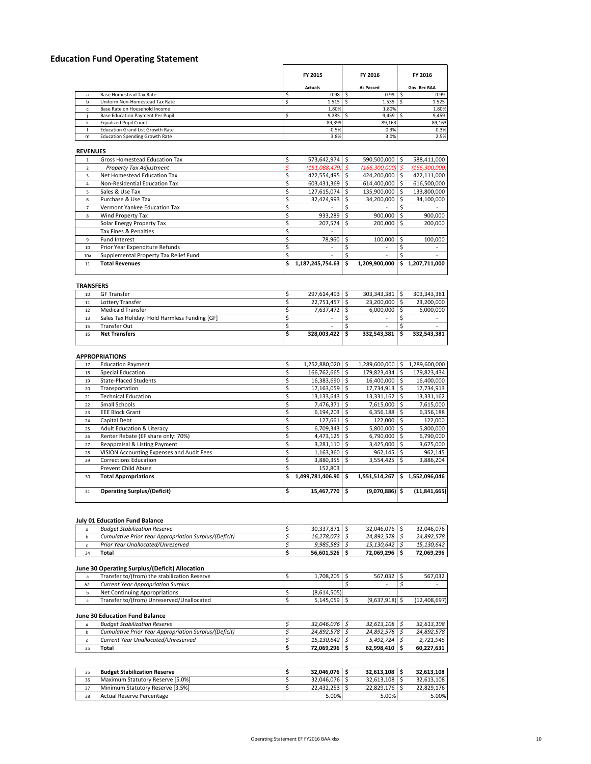## **Education Fund Operating Statement**

|   |                                         | FY 2015<br><b>Actuals</b> | FY 2016<br>As Passed | FY 2016<br>Gov. Rec BAA |
|---|-----------------------------------------|---------------------------|----------------------|-------------------------|
|   | Base Homestead Tax Rate                 | 0.98                      | 0.99                 | 0.99                    |
|   | Uniform Non-Homestead Tax Rate          | 1.515                     | 1.535                | 1.525                   |
|   | Base Rate on Household Income           | 1.80%                     | 1.80%                | 1.80%                   |
|   | Base Education Payment Per Pupil        | 9.285                     | 9.459                | 9,459                   |
|   | <b>Equalized Pupil Count</b>            | 89,399                    | 89,163               | 89,163                  |
|   | <b>Education Grand List Growth Rate</b> | $-0.5%$                   | 0.3%                 | 0.3%                    |
| m | <b>Education Spending Growth Rate</b>   | 3.8%                      | 3.0%                 | 2.5%                    |

**REVENUES**

|                | Gross Homestead Education Tax         | 573,642,974            |   | 590.500.000              |    | 588,411,000     |
|----------------|---------------------------------------|------------------------|---|--------------------------|----|-----------------|
| $\overline{2}$ | <b>Property Tax Adjustment</b>        | (151,088,479)          |   | $(166, 300, 000)$ \$     |    | (166, 300, 000) |
| 3              | Net Homestead Education Tax           | 422,554,495            |   | 424,200,000              |    | 422,111,000     |
| $\overline{a}$ | Non-Residential Education Tax         | 603,431,369            |   | 614,400,000              |    | 616,500,000     |
| 5.             | Sales & Use Tax                       | 127,615,074            |   | 135,900,000              |    | 133,800,000     |
| 6              | Purchase & Use Tax                    | 32,424,993             | S | 34,200,000               |    | 34,100,000      |
|                | Vermont Yankee Education Tax          |                        |   |                          |    |                 |
| 8              | Wind Property Tax                     | 933,289                |   | 900,000                  |    | 900,000         |
|                | Solar Energy Property Tax             | 207,574                |   | 200.000 \$               |    | 200.000         |
|                | Tax Fines & Penalties                 | ۰                      |   |                          |    |                 |
| 9              | Fund Interest                         | 78,960                 |   | 100.000                  |    | 100.000         |
| 10             | Prior Year Expenditure Refunds        |                        |   | $\overline{\phantom{a}}$ |    |                 |
| 10a            | Supplemental Property Tax Relief Fund |                        |   | ٠                        |    | $\sim$          |
| 11             | <b>Total Revenues</b>                 | \$<br>1,187,245,754.63 | Ś | 1,209,900,000            | S. | 1,207,711,000   |

#### **TRANSFERS**

| 10 | <b>GF Transfer</b>                            | 297,614,493 \$ | 303,343,381 | 303,343,381 |
|----|-----------------------------------------------|----------------|-------------|-------------|
| 11 | Lottery Transfer                              | 22,751,457 \$  | 23,200,000  | 23,200,000  |
| 12 | <b>Medicaid Transfer</b>                      | 7,637,472 \$   | 6,000,000   | 6,000,000   |
| 13 | Sales Tax Holiday: Hold Harmless Funding [GF] |                |             |             |
| 15 | Transfer Out                                  |                |             |             |
| 16 | <b>Net Transfers</b>                          | 328,003,422 \$ | 332,543,381 | 332.543.381 |
|    |                                               |                |             |             |

#### **APPROPRIATIONS**

| 17 | <b>Education Payment</b>                  | \$<br>1,252,880,020    | l \$ | 1,289,600,000    | \$  | 1,289,600,000  |
|----|-------------------------------------------|------------------------|------|------------------|-----|----------------|
| 18 | Special Education                         | \$<br>166,762,665      | Ŝ.   | 179,823,434 \$   |     | 179,823,434    |
| 19 | <b>State-Placed Students</b>              | \$<br>16,383,690       | Ŝ.   | 16,400,000       | Ś.  | 16,400,000     |
| 20 | Transportation                            | \$<br>17,163,059       | \$   | 17,734,913 \$    |     | 17,734,913     |
| 21 | Technical Education                       | \$<br>13,133,643       | -\$  | 13,331,162 \$    |     | 13,331,162     |
| 22 | Small Schools                             | \$<br>7,476,371        | Ŝ.   | 7,615,000        | Ŝ.  | 7,615,000      |
| 23 | <b>EEE Block Grant</b>                    | \$<br>6,194,203        | \$   | 6,356,188        | Ŝ   | 6,356,188      |
| 24 | Capital Debt                              | \$<br>127,661          | Ŝ.   | 122,000          | Ŝ   | 122,000        |
| 25 | <b>Adult Education &amp; Literacy</b>     | \$<br>6,709,343        | \$   | 5,800,000        | ۱\$ | 5,800,000      |
| 26 | Renter Rebate (EF share only: 70%)        | \$<br>4,473,125        | Ś    | 6,790,000        | Ś.  | 6,790,000      |
| 27 | Reappraisal & Listing Payment             | \$<br>3,281,110        | Ŝ.   | 3,425,000        | Ŝ   | 3,675,000      |
| 28 | VISION Accounting Expenses and Audit Fees | \$<br>1,163,360        | \$   | 962,145          | Ŝ   | 962,145        |
| 29 | <b>Corrections Education</b>              | \$<br>3,880,355        | \$   | 3,554,425        | \$  | 3,886,204      |
|    | Prevent Child Abuse                       | \$<br>152,803          |      |                  |     |                |
| 30 | <b>Total Appropriations</b>               | \$<br>1,499,781,406.90 | \$   | 1,551,514,267    | \$  | 1,552,096,046  |
| 31 | <b>Operating Surplus/(Deficit)</b>        | \$<br>15,467,770       | \$   | $(9,070,886)$ \$ |     | (11, 841, 665) |

#### **July 01 Education Fund Balance**

| <b>Budaet Stabilization Reserve</b>                   | 30.337.871 | 32.046.076 \$ | 32.046.076 |
|-------------------------------------------------------|------------|---------------|------------|
| Cumulative Prior Year Appropriation Surplus/(Deficit) | 16.278.073 | 24.892.578    | 24.892.578 |
| Prior Year Unallocated/Unreserved                     | 9.985.583  | 15.130.642    | 15.130.642 |
| Total                                                 | 56.601.526 | 72.069.296    | 72.069.296 |

#### **June 30 Operating Surplus/(Deficit) Allocation**

|    | Transfer to/(from) the stabilization Reserve | 1,708,205   | 567.032          | 567.032      |
|----|----------------------------------------------|-------------|------------------|--------------|
| b2 | <b>Current Year Appropriation Surplus</b>    |             |                  |              |
|    | Net Continuing Appropriations                | (8,614,505) |                  |              |
|    | Transfer to/(from) Unreserved/Unallocated    | 5.145.059   | $(9.637.918)$ \$ | (12.408.697) |

#### **June 30 Education Fund Balance**

|    | <b>Budget Stabilization Reserve</b>                   | $32.046.076$ S | 32.613.108 | 32.613.108 |
|----|-------------------------------------------------------|----------------|------------|------------|
|    | Cumulative Prior Year Appropriation Surplus/(Deficit) | 24.892.578 \$  | 24.892.578 | 24.892.578 |
|    | Current Year Unallocated/Unreserved                   | 15.130.642     | 5.492.724  | 2.721.945  |
| 35 | Total                                                 | 72,069,296 \$  | 62.998.410 | 60.227.631 |

| 35 | <b>Budget Stabilization Reserve</b> | 32.046.076 S | 32.613.108    | 32.613.108 |
|----|-------------------------------------|--------------|---------------|------------|
| 36 | Maximum Statutory Reserve [5.0%]    | 32.046.076   | 32.613.108    | 32.613.108 |
| 37 | Minimum Statutory Reserve [3.5%]    | 22.432.253   | 22.829.176 \$ | 22.829.176 |
| 38 | Actual Reserve Percentage           | 5.00%        | 5.00%         | 5.00%      |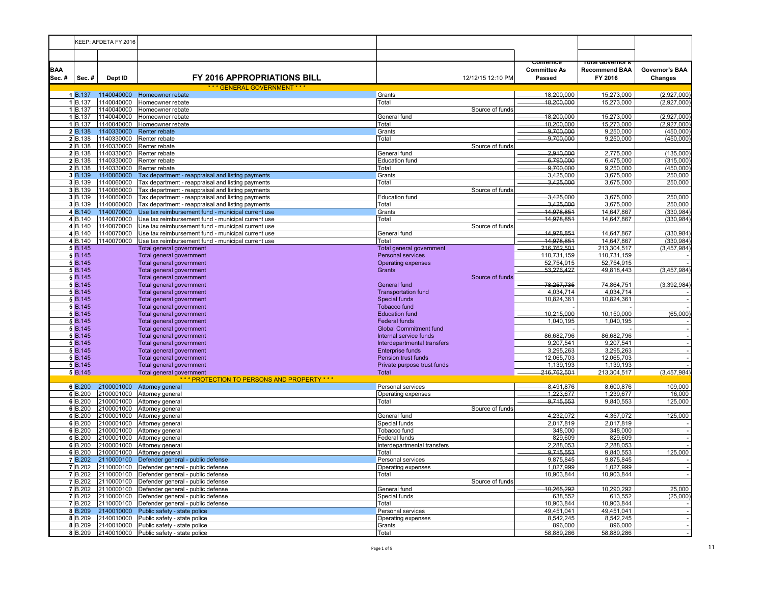|                     |                    | KEEP: AFDETA FY 2016     |                                                                                                          |                                                       |                                           |                                                      |                                  |
|---------------------|--------------------|--------------------------|----------------------------------------------------------------------------------------------------------|-------------------------------------------------------|-------------------------------------------|------------------------------------------------------|----------------------------------|
|                     |                    |                          |                                                                                                          |                                                       |                                           |                                                      |                                  |
| <b>BAA</b><br>Sec.# | Sec.#              | Dept ID                  | <b>FY 2016 APPROPRIATIONS BILL</b>                                                                       | 12/12/15 12:10 PM                                     | ∪omernce<br><b>Committee As</b><br>Passed | i olai Governor s<br><b>Recommend BAA</b><br>FY 2016 | Governor's BAA<br><b>Changes</b> |
|                     | 1 B.137            | 1140040000               | *** GENERAL GOVERNMENT ***                                                                               | Grants                                                | 18,200,000                                | 15,273,000                                           |                                  |
|                     | 1 B.137            | 1140040000               | Homeowner rebate<br>Homeowner rebate                                                                     | Total                                                 | 18,200,000                                | 15,273,000                                           | (2,927,000)<br>(2,927,000)       |
|                     | 1 B.137            | 1140040000               | Homeowner rebate                                                                                         | Source of funds                                       |                                           |                                                      |                                  |
|                     | 1 B.137            | 1140040000               | Homeowner rebate                                                                                         | General fund                                          | 18,200,000                                | 15,273,000                                           | (2,927,000)                      |
|                     | 1 B.137            | 1140040000               | Homeowner rebate                                                                                         | Total                                                 | 18,200,000                                | 15,273,000                                           | (2,927,000)                      |
|                     | 2 B.138            | 1140330000               | Renter rebate                                                                                            | Grants                                                | 9,700,000                                 | 9,250,000                                            | (450,000)                        |
|                     | 2 B.138            | 1140330000               | Renter rebate                                                                                            | Total                                                 | 9,700,000                                 | 9,250,000                                            | (450,000)                        |
|                     | 2B.138             | 1140330000               | Renter rebate                                                                                            | Source of funds                                       | 2.910.000                                 |                                                      |                                  |
|                     | 2 B.138<br>2 B.138 | 1140330000<br>1140330000 | Renter rebate<br>Renter rebate                                                                           | General fund<br><b>Education fund</b>                 | 6,790,000                                 | 2,775,000<br>6,475,000                               | (135,000)<br>(315,000)           |
|                     | 2 B.138            | 1140330000               | Renter rebate                                                                                            | Total                                                 | 9,700,000                                 | 9,250,000                                            | (450,000)                        |
|                     | 3 B.139            | 1140060000               | Tax department - reappraisal and listing payments                                                        | Grants                                                | 3,425,000                                 | 3,675,000                                            | 250,000                          |
|                     | 3 B.139            | 1140060000               | Tax department - reappraisal and listing payments                                                        | Total                                                 | 3,425,000                                 | 3,675,000                                            | 250,000                          |
|                     | 3 B.139            | 1140060000               | Tax department - reappraisal and listing payments                                                        | Source of funds                                       |                                           |                                                      |                                  |
|                     | $3$ B.139          | 1140060000               | Tax department - reappraisal and listing payments                                                        | <b>Education fund</b>                                 | 3,425,000                                 | 3,675,000                                            | 250,000                          |
|                     | 3 B.139            | 1140060000               | Tax department - reappraisal and listing payments                                                        | Total                                                 | 3,425,000                                 | 3,675,000                                            | 250,000                          |
|                     | 4 B.140<br>4B.140  | 1140070000<br>1140070000 | Use tax reimbursement fund - municipal current use<br>Use tax reimbursement fund - municipal current use | Grants                                                | 14,978,851<br>14,978,851                  | 14,647,867<br>14,647,867                             | (330, 984)<br>(330,984)          |
|                     | 4 B.140            |                          | 1140070000 Use tax reimbursement fund - municipal current use                                            | Total<br>Source of funds                              |                                           |                                                      |                                  |
|                     | 4B.140             | 1140070000               | Use tax reimbursement fund - municipal current use                                                       | General fund                                          | 14,978,851                                | 14,647,867                                           | (330, 984)                       |
|                     | 4B.140             | 1140070000               | Use tax reimbursement fund - municipal current use                                                       | Total                                                 | 14,978,851                                | 14,647,867                                           | (330,984)                        |
|                     | 5 B.145            |                          | Total general government                                                                                 | Total general government                              | 216,762,501                               | 213,304,517                                          | (3, 457, 984)                    |
|                     | 5 B.145            |                          | Total general government                                                                                 | <b>Personal services</b>                              | 110,731,159                               | 110,731,159                                          |                                  |
|                     | 5 B.145            |                          | Total general government                                                                                 | <b>Operating expenses</b>                             | 52,754,915                                | 52,754,915                                           |                                  |
|                     | 5 B.145            |                          | Total general government                                                                                 | Grants                                                | 53,276,427                                | 49,818,443                                           | (3,457,984)                      |
|                     | 5 B.145<br>5 B.145 |                          | Total general government<br>Total general government                                                     | Source of funds<br>General fund                       | 78,257,735                                | 74,864,751                                           | (3,392,984)                      |
|                     | 5 B.145            |                          | Total general government                                                                                 | <b>Transportation fund</b>                            | 4,034,714                                 | 4,034,714                                            |                                  |
|                     | 5 B.145            |                          | Total general government                                                                                 | Special funds                                         | 10,824,361                                | 10,824,361                                           |                                  |
|                     | 5 B.145            |                          | Total general government                                                                                 | <b>Tobacco fund</b>                                   |                                           |                                                      |                                  |
|                     | 5 B.145            |                          | Total general government                                                                                 | <b>Education fund</b>                                 | 10,215,000                                | 10,150,000                                           | (65,000)                         |
|                     | 5 B.145            |                          | Total general government                                                                                 | <b>Federal funds</b>                                  | 1,040,195                                 | 1,040,195                                            |                                  |
|                     | 5 B.145            |                          | Total general government                                                                                 | <b>Global Commitment fund</b>                         |                                           |                                                      | $\sim$                           |
|                     | 5 B.145<br>5 B.145 |                          | Total general government<br>Total general government                                                     | Internal service funds<br>Interdepartmental transfers | 86,682,796<br>9,207,541                   | 86,682,796<br>9,207,541                              |                                  |
|                     | 5 B.145            |                          | Total general government                                                                                 | <b>Enterprise funds</b>                               | 3,295,263                                 | 3,295,263                                            |                                  |
|                     | 5 B.145            |                          | Total general government                                                                                 | Pension trust funds                                   | 12,065,703                                | 12,065,703                                           |                                  |
|                     | 5 B.145            |                          | Total general government                                                                                 | Private purpose trust funds                           | 1,139,193                                 | 1,139,193                                            |                                  |
|                     | 5 B.145            |                          | Total general government                                                                                 | Total                                                 | 216,762,501                               | 213,304,517                                          | (3,457,984)                      |
|                     |                    |                          | *** PROTECTION TO PERSONS AND PROPERTY ***                                                               |                                                       |                                           |                                                      |                                  |
|                     | 6 B.200<br>6B.200  | 2100001000<br>2100001000 | Attorney general<br>Attorney general                                                                     | Personal services<br>Operating expenses               | 8,491,876<br>1,223,677                    | 8,600,876<br>1,239,677                               | 109,000<br>16,000                |
|                     | 6B.200             | 2100001000               | Attorney general                                                                                         | Total                                                 | 9,715,553                                 | 9,840,553                                            | 125,000                          |
|                     | 6B.200             | 2100001000               | Attorney general                                                                                         | Source of funds                                       |                                           |                                                      |                                  |
|                     | 6 B.200            | 2100001000               | Attorney general                                                                                         | General fund                                          | 4,232,072                                 | 4,357,072                                            | 125,000                          |
|                     | 6 B.200            | 2100001000               | Attorney general                                                                                         | Special funds                                         | 2.017.819                                 | 2.017.819                                            |                                  |
|                     | 6 B.200            | 2100001000               | Attorney general                                                                                         | Tobacco fund                                          | 348,000                                   | 348,000                                              |                                  |
|                     | 6B.200<br>6 B.200  | 2100001000<br>2100001000 | Attorney general<br>Attorney general                                                                     | Federal funds<br>Interdepartmental transfers          | 829,609<br>2,288,053                      | 829,609<br>2,288,053                                 | $\sim$                           |
|                     | 6 B.200            | 2100001000               | Attorney general                                                                                         | Total                                                 | 9,715,553                                 | 9,840,553                                            | 125,000                          |
|                     | 7 B.202            | 2110000100               | Defender general - public defense                                                                        | Personal services                                     | 9,875,845                                 | 9,875,845                                            |                                  |
|                     | <b>7</b> B.202     | 2110000100               | Defender general - public defense                                                                        | Operating expenses                                    | 1,027,999                                 | 1,027,999                                            |                                  |
|                     | 7 B.202            | 2110000100               | Defender general - public defense                                                                        | Total                                                 | 10,903,844                                | 10,903,844                                           | $\overline{\phantom{a}}$         |
|                     | <b>7</b> B.202     | 2110000100               | Defender general - public defense                                                                        | Source of funds                                       |                                           |                                                      |                                  |
|                     | 7B.202<br>7 B.202  | 2110000100<br>2110000100 | Defender general - public defense                                                                        | General fund                                          | 10,265,292<br>638,552                     | 10,290,292<br>613,552                                | 25,000                           |
|                     | <b>7</b> B.202     | 2110000100               | Defender general - public defense<br>Defender general - public defense                                   | Special funds<br>Total                                | 10,903,844                                | 10,903,844                                           | (25,000)                         |
|                     | 8 B.209            | 2140010000               | Public safety - state police                                                                             | Personal services                                     | 49,451,041                                | 49,451,041                                           |                                  |
|                     | 8 B.209            | 2140010000               | Public safety - state police                                                                             | Operating expenses                                    | 8,542,245                                 | 8,542,245                                            |                                  |
|                     | 8 B.209            | 2140010000               | Public safety - state police                                                                             | Grants                                                | 896,000                                   | 896,000                                              | $\sim$                           |
|                     | 8B.209             | 2140010000               | Public safety - state police                                                                             | Total                                                 | 58,889,286                                | 58,889,286                                           |                                  |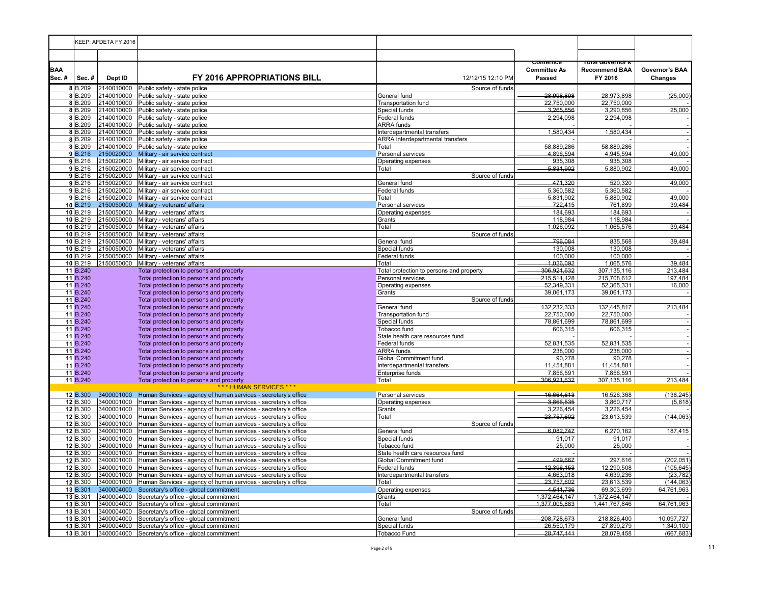|                     |                      | KEEP: AFDETA FY 2016     |                                                                                                                                  |                                                  |                               |                                 |                           |
|---------------------|----------------------|--------------------------|----------------------------------------------------------------------------------------------------------------------------------|--------------------------------------------------|-------------------------------|---------------------------------|---------------------------|
|                     |                      |                          |                                                                                                                                  |                                                  |                               |                                 |                           |
|                     |                      |                          |                                                                                                                                  |                                                  | ∪omernce                      | rotal Governor s                |                           |
| <b>BAA</b><br>Sec.# | Sec.#                | Dept ID                  | <b>FY 2016 APPROPRIATIONS BILL</b>                                                                                               | 12/12/15 12:10 PM                                | <b>Committee As</b><br>Passed | <b>Recommend BAA</b><br>FY 2016 | Governor's BAA<br>Changes |
|                     | 8B.209               |                          | 2140010000 Public safety - state police                                                                                          | Source of funds                                  |                               |                                 |                           |
|                     | 8B.209               |                          | 2140010000 Public safety - state police                                                                                          | General fund                                     | 28,998,898                    | 28,973,898                      | (25,000)                  |
|                     | $8$ <sub>B.209</sub> |                          | 2140010000 Public safety - state police                                                                                          | Transportation fund                              | 22.750.000                    | 22.750.000                      |                           |
|                     | 8 B.209              | 2140010000               | Public safety - state police                                                                                                     | Special funds                                    | 3,265,856                     | 3,290,856                       | 25,000                    |
|                     | 8 B.209              | 2140010000               | Public safety - state police                                                                                                     | Federal funds                                    | 2,294,098                     | 2,294,098                       |                           |
|                     | 8 B.209<br>8B.209    | 2140010000               | 2140010000 Public safety - state police<br>Public safety - state police                                                          | <b>ARRA</b> funds<br>Interdepartmental transfers | 1,580,434                     | 1,580,434                       |                           |
|                     | 8B.209               |                          | 2140010000 Public safety - state police                                                                                          | <b>ARRA</b> Interdepartmental transfers          |                               |                                 | $\sim$                    |
|                     | 8 B.209              |                          | 2140010000 Public safety - state police                                                                                          | Total                                            | 58.889.286                    | 58.889.286                      |                           |
|                     | 9 B.216              | 2150020000               | Military - air service contract                                                                                                  | Personal services                                | 4,896,594                     | 4,945,594                       | 49,000                    |
|                     | 9B.216               | 2150020000               | Military - air service contract                                                                                                  | Operating expenses                               | 935,308                       | 935,308                         |                           |
|                     | $9$ $B.216$          | 2150020000               | Military - air service contract                                                                                                  | Total                                            | 5,831,902                     | 5,880,902                       | 49,000                    |
|                     | $9$ $B.216$          | 2150020000               | Military - air service contract                                                                                                  | Source of funds                                  |                               |                                 |                           |
|                     | 9B.216<br>9B.216     |                          | 2150020000 Military - air service contract<br>2150020000 Military - air service contract                                         | General fund<br>Federal funds                    | 471,320<br>5,360,582          | 520,320<br>5,360,582            | 49,000                    |
|                     | $9$ B.216            | 2150020000               | Military - air service contract                                                                                                  | Total                                            | 5,831,902                     | 5,880,902                       | 49,000                    |
|                     | 10 B.219             | 2150050000               | Military - veterans' affairs                                                                                                     | Personal services                                | 722,415                       | 761,899                         | 39,484                    |
|                     | 10 B.219             | 2150050000               | Military - veterans' affairs                                                                                                     | Operating expenses                               | 184,693                       | 184,693                         |                           |
|                     | 10 B.219             | 2150050000               | Military - veterans' affairs                                                                                                     | Grants                                           | 118,984                       | 118,984                         |                           |
|                     | 10 B.219             | 2150050000               | Military - veterans' affairs                                                                                                     | Total                                            | 1,026,092                     | 1,065,576                       | 39,484                    |
|                     | 10 B.219             | 2150050000               | Military - veterans' affairs                                                                                                     | Source of funds                                  |                               |                                 |                           |
|                     | 10 B.219             | 2150050000               | Military - veterans' affairs                                                                                                     | General fund                                     | 796,084                       | 835,568                         | 39,484                    |
|                     | 10 B.219<br>10 B.219 | 2150050000               | Military - veterans' affairs                                                                                                     | Special funds<br>Federal funds                   | 130,008                       | 130,008                         |                           |
|                     | $10$ B.219           | 2150050000               | Military - veterans' affairs<br>2150050000 Military - veterans' affairs                                                          | Total                                            | 100,000<br>1,026,092          | 100,000<br>1,065,576            | 39,484                    |
|                     | 11 B.240             |                          | Total protection to persons and property                                                                                         | Total protection to persons and property         | 306,921,632                   | 307, 135, 116                   | 213,484                   |
|                     | 11 B.240             |                          | Total protection to persons and property                                                                                         | Personal services                                | 215,511,128                   | 215,708,612                     | 197,484                   |
|                     | 11 B.240             |                          | Total protection to persons and property                                                                                         | Operating expenses                               | 52,349,331                    | 52,365,331                      | 16,000                    |
|                     | 11 B.240             |                          | Total protection to persons and property                                                                                         | Grants                                           | 39,061,173                    | 39,061,173                      |                           |
|                     | 11 B.240             |                          | Total protection to persons and property                                                                                         | Source of funds                                  |                               |                                 |                           |
|                     | 11 B.240             |                          | Total protection to persons and property                                                                                         | General fund                                     | 132,232,333                   | 132,445,817                     | 213,484                   |
|                     | 11 B.240             |                          | Total protection to persons and property                                                                                         | <b>Transportation fund</b>                       | 22,750,000                    | 22,750,000                      |                           |
|                     | 11 B.240<br>11 B.240 |                          | Total protection to persons and property<br>Total protection to persons and property                                             | Special funds<br>Tobacco fund                    | 78,861,699<br>606,315         | 78,861,699<br>606,315           |                           |
|                     | 11 B.240             |                          | Total protection to persons and property                                                                                         | State health care resources fund                 |                               |                                 |                           |
|                     | 11 B.240             |                          | Total protection to persons and property                                                                                         | Federal funds                                    | 52,831,535                    | 52,831,535                      | $\sim$                    |
|                     | 11 B.240             |                          | Total protection to persons and property                                                                                         | <b>ARRA</b> funds                                | 238,000                       | 238,000                         | $\sim$                    |
|                     | 11 B.240             |                          | Total protection to persons and property                                                                                         | <b>Global Commitment fund</b>                    | 90,278                        | 90,278                          | $\bar{z}$                 |
|                     | 11 B.240             |                          | Total protection to persons and property                                                                                         | Interdepartmental transfers                      | 11,454,881                    | 11,454,881                      |                           |
|                     | 11 B.240             |                          | Total protection to persons and property                                                                                         | Enterprise funds                                 | 7,856,591                     | 7,856,591                       |                           |
|                     | 11 B.240             |                          | Total protection to persons and property<br>*** HUMAN SERVICES ***                                                               | Total                                            | 306,921,632                   | 307, 135, 116                   | 213,484                   |
|                     | 12 B.300             | 3400001000               | Human Services - agency of human services - secretary's office                                                                   | Personal services                                | 16,664,613                    | 16,526,368                      | (138, 245)                |
|                     | 12 B.300             | 3400001000               | Human Services - agency of human services - secretary's office                                                                   | Operating expenses                               | 3,866,535                     | 3,860,717                       | (5, 818)                  |
|                     | 12 B.300             | 3400001000               | Human Services - agency of human services - secretary's office                                                                   | Grants                                           | 3,226,454                     | 3,226,454                       |                           |
|                     | 12 B.300             | 3400001000               | Human Services - agency of human services - secretary's office                                                                   | Total                                            | 23,757,602                    | 23,613,539                      | (144, 063)                |
|                     | 12 B.300             | 3400001000               | Human Services - agency of human services - secretary's office                                                                   | Source of funds                                  |                               |                                 |                           |
|                     | 12 B.300             | 3400001000               | Human Services - agency of human services - secretary's office                                                                   | General fund                                     | 6,082,747                     | 6,270,162                       | 187,415                   |
|                     | 12 B.300<br>12 B.300 | 3400001000<br>3400001000 | Human Services - agency of human services - secretary's office                                                                   | Special funds<br>Tobacco fund                    | 91.017<br>25,000              | 91.017<br>25,000                |                           |
|                     | 12 B.300             | 3400001000               | Human Services - agency of human services - secretary's office<br>Human Services - agency of human services - secretary's office | State health care resources fund                 |                               |                                 |                           |
|                     | 12 B.300             | 3400001000               | Human Services - agency of human services - secretary's office                                                                   | Global Commitment fund                           | 499.667                       | 297,616                         | (202, 051)                |
|                     | 12 B.300             | 3400001000               | Human Services - agency of human services - secretary's office                                                                   | Federal funds                                    | 12,396,153                    | 12,290,508                      | (105, 645)                |
|                     | 12 B.300             | 3400001000               | Human Services - agency of human services - secretary's office                                                                   | Interdepartmental transfers                      | 4,663,018                     | 4,639,236                       | (23, 782)                 |
|                     | 12 B.300             | 3400001000               | Human Services - agency of human services - secretary's office                                                                   | Total                                            | 23.757.602                    | 23.613.539                      | (144, 063)                |
|                     | 13 B.301             | 3400004000               | Secretary's office - global commitment                                                                                           | Operating expenses                               | 4,541,736                     | 69,303,699                      | 64,761,963                |
|                     | 13 B.301             | 3400004000               | Secretary's office - global commitment                                                                                           | Grants                                           | 1,372,464,147                 | 1,372,464,147                   |                           |
|                     | 13 B.301<br>13 B.301 | 3400004000<br>3400004000 | Secretary's office - global commitment<br>Secretary's office - global commitment                                                 | Total<br>Source of funds                         | 1,377,005,883                 | 1,441,767,846                   | 64,761,963                |
|                     | 13 B.301             | 3400004000               | Secretary's office - global commitment                                                                                           | General fund                                     | 208.728.673                   | 218,826,400                     | 10,097,727                |
|                     | 13 B.301             | 3400004000               | Secretary's office - global commitment                                                                                           | Special funds                                    | 26,550,179                    | 27,899,279                      | 1,349,100                 |
|                     | 13 B.301             |                          | 3400004000 Secretary's office - global commitment                                                                                | <b>Tobacco Fund</b>                              | 28,747,141                    | 28,079,458                      | (667, 683)                |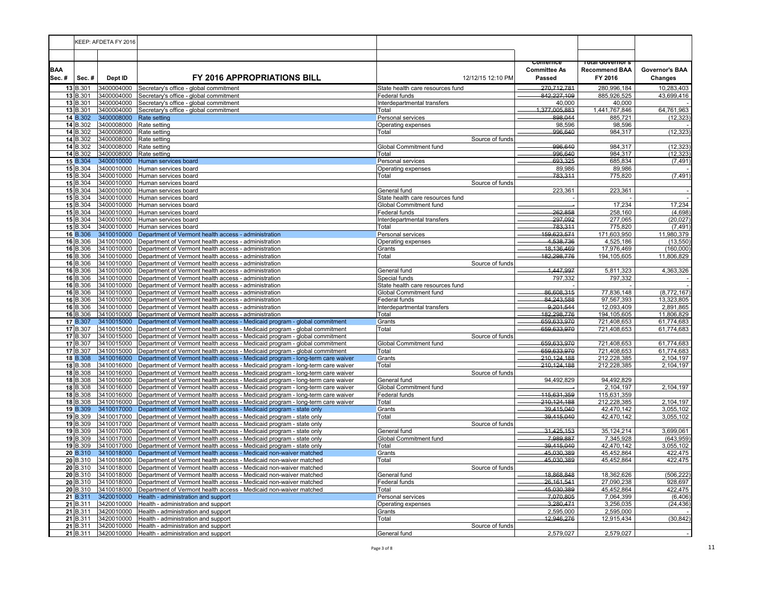|                     |                      | KEEP: AFDETA FY 2016     |                                                                                                                                                                     |                                              |                                           |                                                      |                           |
|---------------------|----------------------|--------------------------|---------------------------------------------------------------------------------------------------------------------------------------------------------------------|----------------------------------------------|-------------------------------------------|------------------------------------------------------|---------------------------|
|                     |                      |                          |                                                                                                                                                                     |                                              |                                           |                                                      |                           |
| <b>BAA</b><br>Sec.# | Sec.#                | Dept ID                  | <b>FY 2016 APPROPRIATIONS BILL</b>                                                                                                                                  | 12/12/15 12:10 PM                            | comernce<br><b>Committee As</b><br>Passed | i olai Governor s<br><b>Recommend BAA</b><br>FY 2016 | Governor's BAA<br>Changes |
|                     | 13 B.301             | 3400004000               | Secretary's office - global commitment                                                                                                                              | State health care resources fund             | 270.712.781                               | 280,996,184                                          | 10,283,403                |
|                     | 13 B.301             | 3400004000               | Secretary's office - global commitment                                                                                                                              | Federal funds                                | 842,227,109                               | 885,926,525                                          | 43,699,416                |
|                     | 13 B.301<br>13 B.301 | 3400004000<br>3400004000 | Secretary's office - global commitment<br>Secretary's office - global commitment                                                                                    | Interdepartmental transfers<br>Total         | 40,000<br>1,377,005,883                   | 40,000<br>1,441,767,846                              | 64,761,963                |
|                     | 14 B.302             | 3400008000               | Rate setting                                                                                                                                                        | Personal services                            | 898.044                                   | 885,721                                              | (12, 323)                 |
|                     | 14 B.302             | 3400008000               | Rate setting                                                                                                                                                        | Operating expenses                           | 98,596                                    | 98,596                                               |                           |
|                     | 14 B.302             | 3400008000               | Rate setting                                                                                                                                                        | Total                                        | 996,640                                   | 984,317                                              | (12, 323)                 |
|                     | 14 B.302             | 3400008000               | Rate setting                                                                                                                                                        | Source of funds                              |                                           |                                                      |                           |
|                     | 14 B.302             | 3400008000               | Rate setting                                                                                                                                                        | Global Commitment fund                       | 996.640                                   | 984.317                                              | (12, 323)                 |
|                     | 14 B.302<br>15 B.304 | 3400008000<br>3400010000 | Rate setting<br>Human services board                                                                                                                                | Total<br>Personal services                   | 996,640<br>693,325                        | 984.317<br>685,834                                   | (12, 323)<br>(7, 491)     |
|                     | 15 B.304             | 3400010000               | Human services board                                                                                                                                                | Operating expenses                           | 89,986                                    | 89,986                                               |                           |
|                     | 15 B.304             | 3400010000               | Human services board                                                                                                                                                | Total                                        | 783,311                                   | 775,820                                              | (7, 491)                  |
|                     | 15 B.304             | 3400010000               | Human services board                                                                                                                                                | Source of funds                              |                                           |                                                      |                           |
|                     | 15 B.304             | 3400010000               | Human services board                                                                                                                                                | General fund                                 | 223,361                                   | 223,361                                              |                           |
|                     | 15 B.304             | 3400010000               | Human services board                                                                                                                                                | State health care resources fund             |                                           |                                                      |                           |
|                     | 15 B.304             | 3400010000               | Human services board                                                                                                                                                | Global Commitment fund                       | 262,858                                   | 17,234                                               | 17,234                    |
|                     | 15 B.304<br>15 B.304 | 3400010000               | Human services board<br>3400010000 Human services board                                                                                                             | Federal funds<br>Interdepartmental transfers | 297,092                                   | 258,160<br>277,065                                   | (4,698)<br>(20, 027)      |
|                     | 15 B.304             |                          | 3400010000 Human services board                                                                                                                                     | Total                                        | 783,311                                   | 775,820                                              | (7, 491)                  |
|                     | 16 B.306             | 3410010000               | Department of Vermont health access - administration                                                                                                                | Personal services                            | 159,623,571                               | 171,603,950                                          | 11,980,379                |
|                     | 16 B.306             | 3410010000               | Department of Vermont health access - administration                                                                                                                | Operating expenses                           | 4,538,736                                 | 4,525,186                                            | (13, 550)                 |
|                     | 16 B.306             | 3410010000               | Department of Vermont health access - administration                                                                                                                | Grants                                       | 18,136,469                                | 17,976,469                                           | (160,000)                 |
|                     | 16 B.306             | 3410010000               | Department of Vermont health access - administration                                                                                                                | Total                                        | 182,298,776                               | 194,105,605                                          | 11,806,829                |
|                     | 16 B.306             |                          | 3410010000 Department of Vermont health access - administration                                                                                                     | Source of funds                              |                                           |                                                      |                           |
|                     | 16 B.306<br>16 B.306 | 3410010000               | 3410010000 Department of Vermont health access - administration                                                                                                     | General fund<br>Special funds                | 1,447,997<br>797,332                      | 5,811,323<br>797,332                                 | 4,363,326                 |
|                     | 16 B.306             | 3410010000               | Department of Vermont health access - administration<br>Department of Vermont health access - administration                                                        | State health care resources fund             |                                           |                                                      |                           |
|                     | 16 B.306             | 3410010000               | Department of Vermont health access - administration                                                                                                                | Global Commitment fund                       | 86,608,315                                | 77,836,148                                           | (8,772,167)               |
|                     | 16 B.306             | 3410010000               | Department of Vermont health access - administration                                                                                                                | Federal funds                                | 84,243,588                                | 97,567,393                                           | 13,323,805                |
|                     | 16 B.306             | 3410010000               | Department of Vermont health access - administration                                                                                                                | Interdepartmental transfers                  | 9.201.544                                 | 12,093,409                                           | 2,891,865                 |
|                     | 16 B.306             | 3410010000               | Department of Vermont health access - administration                                                                                                                | Total                                        | 182,298,776                               | 194,105,605                                          | 11,806,829                |
|                     | 17 B.307             | 3410015000               | Department of Vermont health access - Medicaid program - global commitment                                                                                          | Grants                                       | 659,633,970                               | 721,408,653                                          | 61,774,683                |
|                     | 17 B.307             | 3410015000               | Department of Vermont health access - Medicaid program - global commitment                                                                                          | Total                                        | 659,633,970                               | 721,408,653                                          | 61,774,683                |
|                     | 17 B.307<br>17 B.307 | 3410015000               | Department of Vermont health access - Medicaid program - global commitment<br>3410015000 Department of Vermont health access - Medicaid program - global commitment | Source of funds<br>Global Commitment fund    | 659,633,970                               | 721,408,653                                          | 61,774,683                |
|                     | 17 B.307             |                          | 3410015000 Department of Vermont health access - Medicaid program - global commitment                                                                               | Total                                        | 659,633,970                               | 721,408,653                                          | 61,774,683                |
|                     | 18 B.308             | 3410016000               | Department of Vermont health access - Medicaid program - long-term care waiver                                                                                      | Grants                                       | 210,124,188                               | 212,228,385                                          | 2,104,197                 |
|                     | 18 B.308             | 3410016000               | Department of Vermont health access - Medicaid program - long-term care waiver                                                                                      | Total                                        | 210,124,188                               | 212,228,385                                          | 2,104,197                 |
|                     | 18 B.308             | 3410016000               | Department of Vermont health access - Medicaid program - long-term care waiver                                                                                      | Source of funds                              |                                           |                                                      |                           |
|                     | 18 B.308             | 3410016000               | Department of Vermont health access - Medicaid program - long-term care waiver                                                                                      | General fund                                 | 94,492,829                                | 94,492,829                                           |                           |
|                     | 18 B.308             | 3410016000               | Department of Vermont health access - Medicaid program - long-term care waiver                                                                                      | Global Commitment fund                       |                                           | 2,104,197                                            | 2,104,197                 |
|                     | 18 B.308<br>18 B.308 | 3410016000<br>3410016000 | Department of Vermont health access - Medicaid program - long-term care waiver<br>Department of Vermont health access - Medicaid program - long-term care waiver    | Federal funds<br>Total                       | 115.631.359<br>210,124,188                | 115,631,359<br>212,228,385                           | 2,104,197                 |
|                     | 19 B.309             | 3410017000               | Department of Vermont health access - Medicaid program - state only                                                                                                 | Grants                                       | 39,415,040                                | 42,470,142                                           | 3,055,102                 |
|                     | 19 B.309             | 3410017000               | Department of Vermont health access - Medicaid program - state only                                                                                                 | Total                                        | 39,415,040                                | 42,470,142                                           | 3,055,102                 |
|                     | 19 B.309             | 3410017000               | Department of Vermont health access - Medicaid program - state only                                                                                                 | Source of funds                              |                                           |                                                      |                           |
|                     | 19 B.309             | 3410017000               | Department of Vermont health access - Medicaid program - state only                                                                                                 | General fund                                 | 31,425,153                                | 35, 124, 214                                         | 3,699,061                 |
|                     | 19 B.309             | 3410017000               | Department of Vermont health access - Medicaid program - state only                                                                                                 | Global Commitment fund                       | 7,989,887                                 | 7,345,928                                            | (643, 959)                |
|                     | 19 B.309             | 3410017000               | Department of Vermont health access - Medicaid program - state only                                                                                                 | Total                                        | 39,415,040                                | 42,470,142                                           | 3,055,102                 |
|                     | 20 B.310             | 3410018000               | Department of Vermont health access - Medicaid non-waiver matched                                                                                                   | Grants                                       | 45,030,389                                | 45,452,864                                           | 422,475                   |
|                     | 20 B.310<br>20 B.310 | 3410018000<br>3410018000 | Department of Vermont health access - Medicaid non-waiver matched<br>Department of Vermont health access - Medicaid non-waiver matched                              | Total<br>Source of funds                     | 45,030,389                                | 45,452,864                                           | 422,475                   |
|                     | 20 B.310             | 3410018000               | Department of Vermont health access - Medicaid non-waiver matched                                                                                                   | General fund                                 | 18.868.848                                | 18,362,626                                           | (506, 222)                |
|                     | 20 B.310             | 3410018000               | Department of Vermont health access - Medicaid non-waiver matched                                                                                                   | Federal funds                                | 26,161,541                                | 27,090,238                                           | 928,697                   |
|                     | 20 B.310             | 3410018000               | Department of Vermont health access - Medicaid non-waiver matched                                                                                                   | Total                                        | 45,030,389                                | 45,452,864                                           | 422,475                   |
|                     | 21 B.311             | 3420010000               | Health - administration and support                                                                                                                                 | Personal services                            | 7,070,805                                 | 7,064,399                                            | (6, 406)                  |
|                     | 21 B.311             | 3420010000               | Health - administration and support                                                                                                                                 | Operating expenses                           | 3,280,471                                 | 3,256,035                                            | (24, 436)                 |
|                     | 21 B.311             | 3420010000               | Health - administration and support                                                                                                                                 | Grants                                       | 2,595,000                                 | 2,595,000                                            |                           |
|                     | 21 B.311<br>21 B.311 | 3420010000               | Health - administration and support<br>3420010000 Health - administration and support                                                                               | Total<br>Source of funds                     | 12,946,276                                | 12,915,434                                           | (30, 842)                 |
|                     |                      |                          | 21 B.311 3420010000 Health - administration and support                                                                                                             | General fund                                 | 2,579,027                                 | 2,579,027                                            |                           |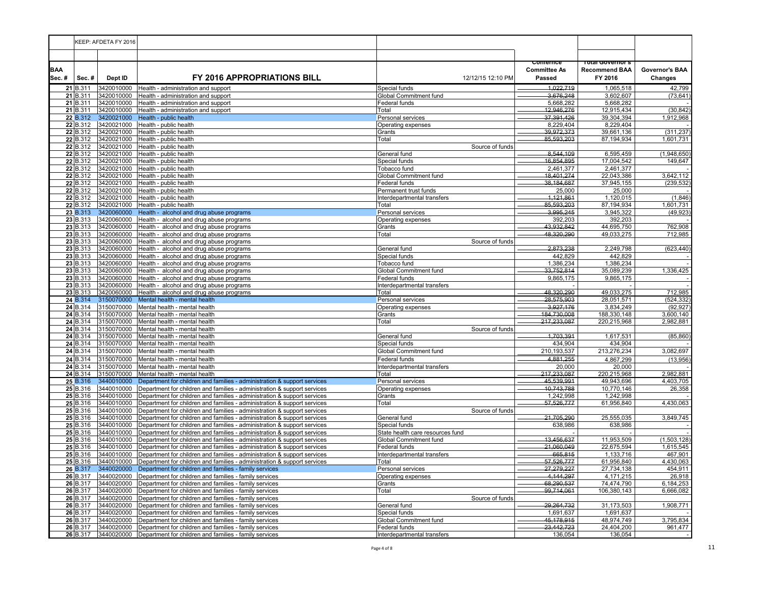|                     |                      | KEEP: AFDETA FY 2016     |                                                                                                                                                      |                                              |                                           |                                                            |                           |
|---------------------|----------------------|--------------------------|------------------------------------------------------------------------------------------------------------------------------------------------------|----------------------------------------------|-------------------------------------------|------------------------------------------------------------|---------------------------|
|                     |                      |                          |                                                                                                                                                      |                                              |                                           |                                                            |                           |
| <b>BAA</b><br>Sec.# | Sec.#                | Dept ID                  | <b>FY 2016 APPROPRIATIONS BILL</b>                                                                                                                   | 12/12/15 12:10 PM                            | comernce<br><b>Committee As</b><br>Passed | <u>rotal Governor s</u><br><b>Recommend BAA</b><br>FY 2016 | Governor's BAA<br>Changes |
|                     | 21 B.311             | 3420010000               | Health - administration and support                                                                                                                  | Special funds                                | 1,022,719                                 | 1,065,518                                                  | 42,799                    |
|                     | 21 B.311<br>21 B.311 | 3420010000<br>3420010000 | Health - administration and support                                                                                                                  | Global Commitment fund                       | 3,676,248<br>5,668,282                    | 3,602,607<br>5,668,282                                     | (73, 641)                 |
|                     | 21 B.311             | 3420010000               | Health - administration and support<br>Health - administration and support                                                                           | Federal funds<br>Total                       | 12,946,276                                | 12,915,434                                                 | (30, 842)                 |
|                     | 22 B.312             | 3420021000               | Health - public health                                                                                                                               | Personal services                            | 37,391,426                                | 39,304,394                                                 | 1,912,968                 |
|                     | 22 B.312             | 3420021000               | Health - public health                                                                                                                               | Operating expenses                           | 8,229,404                                 | 8,229,404                                                  |                           |
|                     | 22 B.312             | 3420021000               | Health - public health                                                                                                                               | Grants                                       | 39,972,373                                | 39,661,136                                                 | (311, 237)                |
|                     | 22 B.312             | 3420021000               | Health - public health                                                                                                                               | Total                                        | 85,593,203                                | 87,194,934                                                 | 1,601,731                 |
|                     | 22 B.312<br>22 B.312 | 3420021000               | Health - public health                                                                                                                               | Source of funds<br>General fund              | 8.544.109                                 |                                                            | (1,948,650)               |
|                     | 22 B.312             | 3420021000<br>3420021000 | Health - public health<br>Health - public health                                                                                                     | Special funds                                | 16,854,895                                | 6,595,459<br>17,004,542                                    | 149,647                   |
|                     | 22 B.312             | 3420021000               | Health - public health                                                                                                                               | Tobacco fund                                 | 2,461,377                                 | 2,461,377                                                  |                           |
|                     | 22 B.312             | 3420021000               | Health - public health                                                                                                                               | Global Commitment fund                       | 18,401,274                                | 22,043,386                                                 | 3,642,112                 |
|                     | 22 B.312             | 3420021000               | Health - public health                                                                                                                               | Federal funds                                | 38,184,687                                | 37,945,155                                                 | (239, 532)                |
|                     | 22 B.312             | 3420021000               | Health - public health                                                                                                                               | Permanent trust funds                        | 25,000                                    | 25,000                                                     |                           |
|                     | 22 B.312             | 3420021000               | Health - public health                                                                                                                               | Interdepartmental transfers                  | 1,121,861                                 | 1,120,015                                                  | (1,846)                   |
|                     | 22 B.312<br>23 B.313 | 3420021000<br>3420060000 | Health - public health<br>Health - alcohol and drug abuse programs                                                                                   | Total<br>Personal services                   | 85,593,203<br>3,995,245                   | 87,194,934<br>3,945,322                                    | 1,601,731<br>(49, 923)    |
|                     | 23 B.313             | 3420060000               | Health - alcohol and drug abuse programs                                                                                                             | Operating expenses                           | 392,203                                   | 392,203                                                    |                           |
|                     | 23 B.313             | 3420060000               | Health - alcohol and drug abuse programs                                                                                                             | Grants                                       | 43,932,842                                | 44,695,750                                                 | 762,908                   |
|                     | 23 B.313             | 3420060000               | Health - alcohol and drug abuse programs                                                                                                             | Total                                        | 48,320,290                                | 49,033,275                                                 | 712,985                   |
|                     | 23 B.313             | 3420060000               | Health - alcohol and drug abuse programs                                                                                                             | Source of funds                              |                                           |                                                            |                           |
|                     | 23 B.313             | 3420060000               | Health - alcohol and drug abuse programs                                                                                                             | General fund                                 | 2,873,238                                 | 2,249,798                                                  | (623, 440)                |
|                     | 23 B.313             | 3420060000               | Health - alcohol and drug abuse programs                                                                                                             | Special funds                                | 442,829                                   | 442,829                                                    |                           |
|                     | 23 B.313<br>23 B.313 | 3420060000<br>3420060000 | Health - alcohol and drug abuse programs<br>Health - alcohol and drug abuse programs                                                                 | Tobacco fund<br>Global Commitment fund       | 1,386,234<br>33,752,814                   | 1,386,234<br>35,089,239                                    | 1,336,425                 |
|                     | 23 B.313             | 3420060000               | Health - alcohol and drug abuse programs                                                                                                             | Federal funds                                | 9,865,175                                 | 9,865,175                                                  |                           |
|                     | 23 B.313             | 3420060000               | Health - alcohol and drug abuse programs                                                                                                             | Interdepartmental transfers                  |                                           |                                                            |                           |
|                     | 23 B.313             | 3420060000               | Health - alcohol and drug abuse programs                                                                                                             | Total                                        | 48,320,290                                | 49,033,275                                                 | 712,985                   |
|                     | 24 B.314             | 3150070000               | Mental health - mental health                                                                                                                        | Personal services                            | 28,575,903                                | 28,051,571                                                 | (524, 332)                |
|                     | 24 B.314             | 3150070000               | Mental health - mental health                                                                                                                        | Operating expenses                           | 3,927,176                                 | 3,834,249                                                  | (92, 927)                 |
|                     | 24 B.314             | 3150070000               | Mental health - mental health                                                                                                                        | Grants                                       | 184,730,008                               | 188,330,148                                                | 3,600,140                 |
|                     | 24 B.314<br>24 B.314 | 3150070000<br>3150070000 | Mental health - mental health<br>Mental health - mental health                                                                                       | Total<br>Source of funds                     | 217,233,087                               | 220,215,968                                                | 2,982,881                 |
|                     | 24 B.314             | 3150070000               | Mental health - mental health                                                                                                                        | General fund                                 | 1,703,391                                 | 1,617,531                                                  | (85, 860)                 |
|                     | 24 B.314             | 3150070000               | Mental health - mental health                                                                                                                        | Special funds                                | 434,904                                   | 434,904                                                    |                           |
|                     | 24 B.314             | 3150070000               | Mental health - mental health                                                                                                                        | Global Commitment fund                       | 210,193,537                               | 213,276,234                                                | 3,082,697                 |
|                     | 24 B.314             | 3150070000               | Mental health - mental health                                                                                                                        | Federal funds                                | 4,881,255                                 | 4,867,299                                                  | (13,956)                  |
|                     | 24 B.314             | 3150070000               | Mental health - mental health                                                                                                                        | Interdepartmental transfers                  | 20,000                                    | 20,000                                                     |                           |
|                     | 24 B.314             | 3150070000               | Mental health - mental health                                                                                                                        | Total                                        | 217,233,087                               | 220,215,968                                                | 2,982,881                 |
|                     | 25 B.316             | 3440010000               | Department for children and families - administration & support services                                                                             | Personal services                            | 45,539,991                                | 49,943,696                                                 | 4,403,705                 |
|                     | 25 B.316<br>25 B.316 | 3440010000<br>3440010000 | Department for children and families - administration & support services<br>Department for children and families - administration & support services | Operating expenses<br>Grants                 | 10,743,788<br>1,242,998                   | 10,770,146<br>1,242,998                                    | 26,358                    |
|                     | 25 B.316             | 3440010000               | Department for children and families - administration & support services                                                                             | Total                                        | 57,526,777                                | 61,956,840                                                 | 4,430,063                 |
|                     | 25 B.316             | 3440010000               | Department for children and families - administration & support services                                                                             | Source of funds                              |                                           |                                                            |                           |
|                     | 25 B.316             | 3440010000               | Department for children and families - administration & support services                                                                             | General fund                                 | 21,705,290                                | 25,555,035                                                 | 3,849,745                 |
|                     | 25 B.316             | 3440010000               | Department for children and families - administration & support services                                                                             | Special funds                                | 638,986                                   | 638,986                                                    |                           |
|                     | 25 B.316             | 3440010000               | Department for children and families - administration & support services                                                                             | State health care resources fund             |                                           |                                                            |                           |
|                     | 25 B.316             | 3440010000               | Department for children and families - administration & support services                                                                             | Global Commitment fund                       | 13,456,637                                | 11,953,509                                                 | (1,503,128)               |
|                     | 25 B.316<br>25 B.316 | 3440010000<br>3440010000 | Department for children and families - administration & support services<br>Department for children and families - administration & support services | Federal funds<br>Interdepartmental transfers | 21,060,049<br>665,815                     | 22,675,594<br>1,133,716                                    | 1,615,545<br>467,901      |
|                     | 25 B.316             | 3440010000               | Department for children and families - administration & support services                                                                             | Total                                        | 57,526,777                                | 61,956,840                                                 | 4,430,063                 |
|                     | 26 B.317             | 3440020000               | Department for children and families - family services                                                                                               | Personal services                            | 27,279,227                                | 27,734,138                                                 | 454,911                   |
|                     | 26 B.317             | 3440020000               | Department for children and families - family services                                                                                               | Operating expenses                           | 4,144,297                                 | 4,171,215                                                  | 26,918                    |
|                     | 26 B.317             | 3440020000               | Department for children and families - family services                                                                                               | Grants                                       | 68,290,537                                | 74,474,790                                                 | 6,184,253                 |
|                     | 26 B.317             | 3440020000               | Department for children and families - family services                                                                                               | Total                                        | 99,714,061                                | 106,380,143                                                | 6,666,082                 |
|                     | 26 B.317             | 3440020000               | Department for children and families - family services                                                                                               | Source of funds                              |                                           |                                                            |                           |
|                     | 26 B.317<br>26 B.317 | 3440020000<br>3440020000 | Department for children and families - family services<br>Department for children and families - family services                                     | General fund<br>Special funds                | 29,264,732<br>1,691,637                   | 31,173,503<br>1,691,637                                    | 1,908,771                 |
|                     | 26 B.317             | 3440020000               | Department for children and families - family services                                                                                               | Global Commitment fund                       | 45,178,915                                | 48,974,749                                                 | 3,795,834                 |
|                     | 26 B.317             | 3440020000               | Department for children and families - family services                                                                                               | Federal funds                                | 23,442,723                                | 24,404,200                                                 | 961,477                   |
|                     | 26 B.317             | 3440020000               | Department for children and families - family services                                                                                               | Interdepartmental transfers                  | 136,054                                   | 136,054                                                    |                           |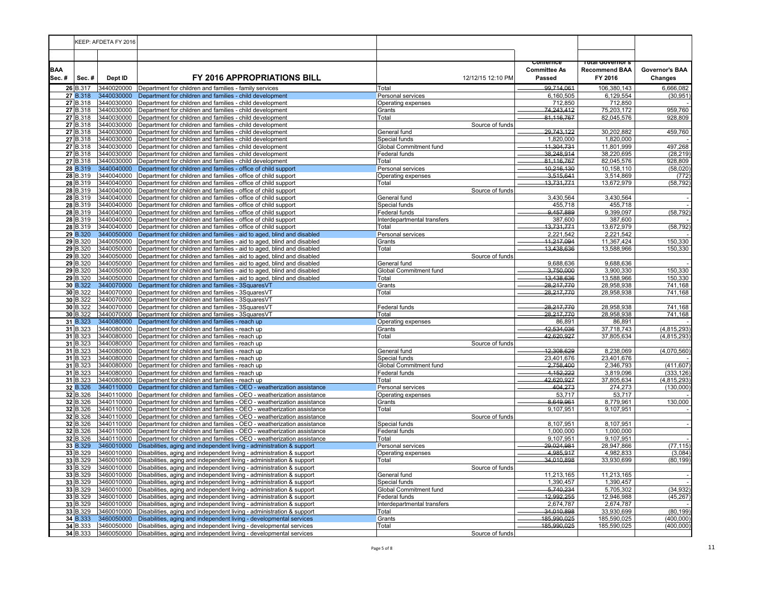|                     |                      | KEEP: AFDETA FY 2016     |                                                                                                                                                             |                                                |                                           |                                                      |                           |
|---------------------|----------------------|--------------------------|-------------------------------------------------------------------------------------------------------------------------------------------------------------|------------------------------------------------|-------------------------------------------|------------------------------------------------------|---------------------------|
|                     |                      |                          |                                                                                                                                                             |                                                |                                           |                                                      |                           |
| <b>BAA</b><br>Sec.# | Sec.#                | Dept ID                  | <b>FY 2016 APPROPRIATIONS BILL</b>                                                                                                                          | 12/12/15 12:10 PM                              | comernce<br><b>Committee As</b><br>Passed | i olai Governor s<br><b>Recommend BAA</b><br>FY 2016 | Governor's BAA<br>Changes |
|                     | 26 B.317             | 3440020000               | Department for children and families - family services                                                                                                      | Total                                          | 99,714,061                                | 106,380,143                                          | 6,666,082                 |
|                     | 27 B.318             | 3440030000               | Department for children and families - child development                                                                                                    | Personal services                              | 6,160,505                                 | 6,129,554                                            | (30, 951)                 |
|                     | 27 B.318<br>27 B.318 | 3440030000<br>3440030000 | Department for children and families - child development<br>Department for children and families - child development                                        | Operating expenses<br>Grants                   | 712,850<br>74,243,412                     | 712,850<br>75,203,172                                | 959,760                   |
|                     | 27 B.318             | 3440030000               | Department for children and families - child development                                                                                                    | Total                                          | 81,116,767                                | 82,045,576                                           | 928,809                   |
|                     | 27 B.318             | 3440030000               | Department for children and families - child development                                                                                                    | Source of funds                                |                                           |                                                      |                           |
|                     | 27 B.318             | 3440030000               | Department for children and families - child development                                                                                                    | General fund                                   | 29,743,122                                | 30,202,882                                           | 459,760                   |
|                     | 27 B.318             | 3440030000               | Department for children and families - child development                                                                                                    | Special funds                                  | 1,820,000                                 | 1,820,000                                            |                           |
|                     | 27 B.318             | 3440030000               | Department for children and families - child development                                                                                                    | Global Commitment fund                         | 11,304,731                                | 11,801,999                                           | 497,268                   |
|                     | 27 B.318             | 3440030000               | Department for children and families - child development                                                                                                    | Federal funds                                  | 38.248.914                                | 38,220,695                                           | (28, 219)                 |
|                     | 27 B.318<br>28 B.319 | 3440030000<br>3440040000 | Department for children and families - child development<br>Department for children and families - office of child support                                  | Total                                          | 81,116,767<br>10,216,130                  | 82,045,576<br>10,158,110                             | 928,809<br>(58, 020)      |
|                     | 28 B.319             | 3440040000               | Department for children and families - office of child support                                                                                              | Personal services<br>Operating expenses        | 3,515,641                                 | 3,514,869                                            | (772)                     |
|                     | 28 B.319             |                          | 3440040000 Department for children and families - office of child support                                                                                   | Total                                          | 13,731,771                                | 13,672,979                                           | (58, 792)                 |
|                     | 28 B.319             |                          | 3440040000 Department for children and families - office of child support                                                                                   | Source of funds                                |                                           |                                                      |                           |
|                     | 28 B.319             | 3440040000               | Department for children and families - office of child support                                                                                              | General fund                                   | 3,430,564                                 | 3,430,564                                            |                           |
|                     | 28 B.319             | 3440040000               | Department for children and families - office of child support                                                                                              | Special funds                                  | 455,718                                   | 455,718                                              |                           |
|                     | 28 B.319             | 3440040000               | Department for children and families - office of child support                                                                                              | Federal funds                                  | 9.457.889                                 | 9.399.097                                            | (58, 792)                 |
|                     | 28 B.319             | 3440040000               | Department for children and families - office of child support                                                                                              | Interdepartmental transfers                    | 387,600                                   | 387,600                                              |                           |
|                     | 28 B.319<br>29 B.320 | 3440040000<br>3440050000 | Department for children and families - office of child support                                                                                              | Total                                          | 13,731,771                                | 13,672,979                                           | (58, 792)                 |
|                     | 29 B.320             | 3440050000               | Department for children and families - aid to aged, blind and disabled<br>Department for children and families - aid to aged, blind and disabled            | Personal services<br>Grants                    | 2,221,542<br>11,217,094                   | 2,221,542<br>11,367,424                              | 150,330                   |
|                     | 29 B.320             | 3440050000               | Department for children and families - aid to aged, blind and disabled                                                                                      | Total                                          | 13,438,636                                | 13,588,966                                           | 150,330                   |
|                     | 29 B.320             | 3440050000               | Department for children and families - aid to aged, blind and disabled                                                                                      | Source of funds                                |                                           |                                                      |                           |
|                     | 29 B.320             |                          | 3440050000 Department for children and families - aid to aged, blind and disabled                                                                           | General fund                                   | 9,688,636                                 | 9,688,636                                            |                           |
|                     | 29 B.320             |                          | 3440050000 Department for children and families - aid to aged, blind and disabled                                                                           | Global Commitment fund                         | 3,750,000                                 | 3,900,330                                            | 150,330                   |
|                     | 29 B.320             | 3440050000               | Department for children and families - aid to aged, blind and disabled                                                                                      | Total                                          | 13,438,636                                | 13,588,966                                           | 150,330                   |
|                     | 30 B.322             | 3440070000               | Department for children and families - 3SquaresVT                                                                                                           | Grants                                         | 28,217,770                                | 28,958,938                                           | 741,168                   |
|                     | 30 B.322             | 3440070000               | Department for children and families - 3SquaresVT                                                                                                           | Total                                          | 28,217,770                                | 28,958,938                                           | 741,168                   |
|                     | 30 B.322<br>30 B.322 | 3440070000               | Department for children and families - 3SquaresVT<br>3440070000 Department for children and families - 3SquaresVT                                           | Federal funds                                  | 28,217,770                                | 28,958,938                                           | 741,168                   |
|                     | 30 B.322             |                          | 3440070000 Department for children and families - 3SquaresVT                                                                                                | Total                                          | 28,217,770                                | 28,958,938                                           | 741,168                   |
|                     | 31 B.323             | 3440080000               | Department for children and families - reach up                                                                                                             | Operating expenses                             | 86,891                                    | 86,891                                               |                           |
|                     | 31 B.323             | 3440080000               | Department for children and families - reach up                                                                                                             | Grants                                         | 42,534,036                                | 37,718,743                                           | (4, 815, 293)             |
|                     | $31$ B.323           | 3440080000               | Department for children and families - reach up                                                                                                             | Total                                          | 42,620,927                                | 37,805,634                                           | (4,815,293)               |
|                     | 31 B.323             | 3440080000               | Department for children and families - reach up                                                                                                             | Source of funds                                |                                           |                                                      |                           |
|                     | 31 B.323             |                          | 3440080000 Department for children and families - reach up                                                                                                  | General fund                                   | 12,308,629                                | 8,238,069                                            | (4,070,560)               |
|                     | 31 B.323             | 3440080000               | Department for children and families - reach up                                                                                                             | Special funds                                  | 23,401,676                                | 23,401,676                                           |                           |
|                     | 31 B.323<br>31 B.323 | 3440080000<br>3440080000 | Department for children and families - reach up<br>Department for children and families - reach up                                                          | <b>Global Commitment fund</b><br>Federal funds | 2,758,400<br>4,152,222                    | 2,346,793<br>3,819,096                               | (411, 607)<br>(333, 126)  |
|                     | 31 B.323             | 3440080000               | Department for children and families - reach up                                                                                                             | Total                                          | 42,620,927                                | 37,805,634                                           | (4, 815, 293)             |
|                     | 32 B.326             | 3440110000               | Department for children and families - OEO - weatherization assistance                                                                                      | Personal services                              | 404,273                                   | 274,273                                              | (130,000)                 |
|                     | 32 B.326             | 3440110000               | Department for children and families - OEO - weatherization assistance                                                                                      | Operating expenses                             | 53,717                                    | 53,717                                               |                           |
|                     | 32 B.326             | 3440110000               | Department for children and families - OEO - weatherization assistance                                                                                      | Grants                                         | 8,649,961                                 | 8,779,961                                            | 130,000                   |
|                     | 32 B.326             | 3440110000               | Department for children and families - OEO - weatherization assistance                                                                                      | Total                                          | 9,107,951                                 | 9,107,951                                            |                           |
|                     | 32 B.326             | 3440110000               | Department for children and families - OEO - weatherization assistance                                                                                      | Source of funds                                |                                           |                                                      |                           |
|                     | 32 B.326             | 3440110000               | Department for children and families - OEO - weatherization assistance                                                                                      | Special funds                                  | 8,107,951                                 | 8,107,951                                            |                           |
|                     | 32 B.326<br>32 B.326 | 3440110000               | Department for children and families - OEO - weatherization assistance<br>3440110000 Department for children and families - OEO - weatherization assistance | Federal funds<br>Total                         | 1,000,000<br>9.107.951                    | 1,000,000<br>9.107.951                               |                           |
|                     | 33 B.329             | 3460010000               | Disabilities, aging and independent living - administration & support                                                                                       | Personal services                              | 29,024,981                                | 28,947,866                                           | (77, 115)                 |
|                     | 33 B.329             | 3460010000               | Disabilities, aging and independent living - administration & support                                                                                       | Operating expenses                             | 4,985,917                                 | 4,982,833                                            | (3,084)                   |
|                     | 33 B.329             |                          | 3460010000 Disabilities, aging and independent living - administration & support                                                                            | Total                                          | 34.010.898                                | 33,930,699                                           | (80, 199)                 |
|                     | 33 B.329             |                          | 3460010000 Disabilities, aging and independent living - administration & support                                                                            | Source of funds                                |                                           |                                                      |                           |
|                     | 33 B.329             | 3460010000               | Disabilities, aging and independent living - administration & support                                                                                       | General fund                                   | 11,213,165                                | 11,213,165                                           |                           |
|                     | 33 B.329             | 3460010000               | Disabilities, aging and independent living - administration & support                                                                                       | Special funds                                  | 1,390,457                                 | 1,390,457                                            |                           |
|                     | 33 B.329<br>33 B.329 | 3460010000<br>3460010000 | Disabilities, aging and independent living - administration & support                                                                                       | Global Commitment fund                         | 5,740,234                                 | 5,705,302<br>12,946,988                              | (34, 932)<br>(45, 267)    |
|                     | 33 B.329             | 3460010000               | Disabilities, aging and independent living - administration & support<br>Disabilities, aging and independent living - administration & support              | Federal funds<br>Interdepartmental transfers   | 12,992,255<br>2,674,787                   | 2,674,787                                            |                           |
|                     | 33 B.329             |                          | 3460010000 Disabilities, aging and independent living - administration & support                                                                            | Total                                          | 34,010,898                                | 33,930,699                                           | (80, 199)                 |
|                     | 34 B.333             | 3460050000               | Disabilities, aging and independent living - developmental services                                                                                         | Grants                                         | 185,990,025                               | 185,590,025                                          | (400,000)                 |
|                     | 34 B.333             | 3460050000               | Disabilities, aging and independent living - developmental services                                                                                         | Total                                          | 185,990,025                               | 185,590,025                                          | (400,000)                 |
|                     | 34 B.333             | 3460050000               | Disabilities, aging and independent living - developmental services                                                                                         | Source of funds                                |                                           |                                                      |                           |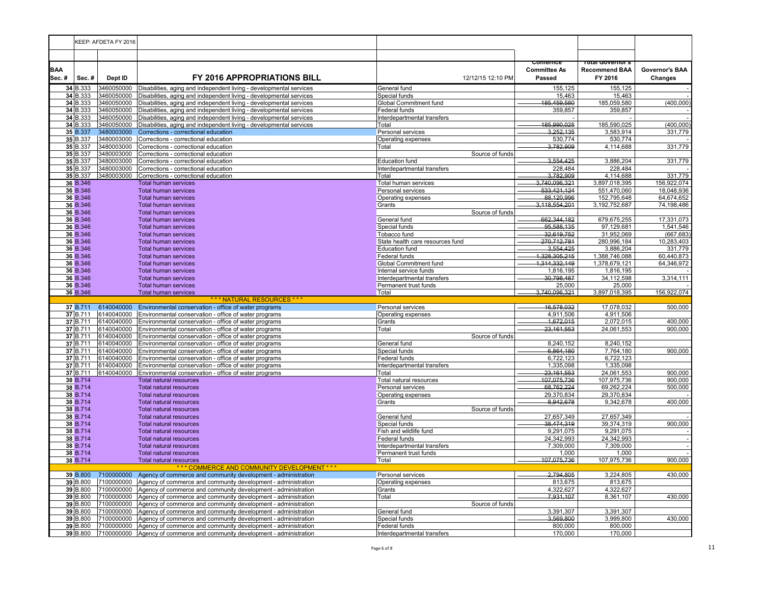|                     | KEEP: AFDETA FY 2016                                                                                                              |                                                     |                                                                                                                |                                         |                                           |                                                     |                                  |
|---------------------|-----------------------------------------------------------------------------------------------------------------------------------|-----------------------------------------------------|----------------------------------------------------------------------------------------------------------------|-----------------------------------------|-------------------------------------------|-----------------------------------------------------|----------------------------------|
|                     |                                                                                                                                   |                                                     |                                                                                                                |                                         |                                           |                                                     |                                  |
| <b>BAA</b><br>Sec.# | Sec.#                                                                                                                             | Dept ID                                             | <b>FY 2016 APPROPRIATIONS BILL</b>                                                                             | 12/12/15 12:10 PM                       | comernce<br><b>Committee As</b><br>Passed | rotal Governor s<br><b>Recommend BAA</b><br>FY 2016 | Governor's BAA<br><b>Changes</b> |
|                     | 34 B.333                                                                                                                          | 3460050000                                          | Disabilities, aging and independent living - developmental services                                            | General fund                            | 155,125                                   | 155,125                                             |                                  |
|                     | 34 B.333                                                                                                                          | 3460050000                                          | Disabilities, aging and independent living - developmental services                                            | Special funds                           | 15,463                                    | 15,463                                              |                                  |
|                     | 34 B.333                                                                                                                          | 3460050000                                          | Disabilities, aging and independent living - developmental services                                            | <b>Global Commitment fund</b>           | 185.459.580                               | 185,059,580                                         | (400,000)                        |
|                     | 34 B.333                                                                                                                          | 3460050000                                          | Disabilities, aging and independent living - developmental services                                            | Federal funds                           | 359,857                                   | 359,857                                             |                                  |
|                     | 34 B.333                                                                                                                          | 3460050000<br>3460050000                            | Disabilities, aging and independent living - developmental services                                            | Interdepartmental transfers             | 185,990,025                               | 185,590,025                                         | (400, 000)                       |
|                     | 34 B.333                                                                                                                          | 3480003000                                          | Disabilities, aging and independent living - developmental services                                            | Total                                   |                                           |                                                     |                                  |
|                     | 35 B.337<br>35 B.337                                                                                                              | 3480003000                                          | Corrections - correctional education<br>Corrections - correctional education                                   | Personal services<br>Operating expenses | 3,252,135<br>530,774                      | 3,583,914<br>530,774                                | 331,779                          |
|                     | 35 B.337                                                                                                                          | 3480003000                                          | Corrections - correctional education                                                                           | Total                                   | 3.782.909                                 | 4,114,688                                           | 331,779                          |
|                     | 35 B.337                                                                                                                          | 3480003000                                          | Corrections - correctional education                                                                           | Source of funds                         |                                           |                                                     |                                  |
|                     | 35 B.337                                                                                                                          | 3480003000                                          | Corrections - correctional education                                                                           | <b>Education fund</b>                   | 3,554,425                                 | 3,886,204                                           | 331,779                          |
|                     | 35 B.337                                                                                                                          | 3480003000                                          | Corrections - correctional education                                                                           | Interdepartmental transfers             | 228,484                                   | 228.484                                             |                                  |
|                     | 35 B.337                                                                                                                          | 3480003000                                          | Corrections - correctional education                                                                           | Total                                   | 3,782,909                                 | 4,114,688                                           | 331,779                          |
|                     | 36 B.346                                                                                                                          |                                                     | Total human services                                                                                           | Total human services                    | 3,740,096,321                             | 3,897,018,395                                       | 156,922,074                      |
|                     | 36 B.346                                                                                                                          |                                                     | <b>Total human services</b>                                                                                    | Personal services                       | 533.421.124                               | 551,470,060                                         | 18,048,936                       |
|                     | 36 B.346                                                                                                                          |                                                     | <b>Total human services</b>                                                                                    | Operating expenses                      | 88,120,996                                | 152,795,648                                         | 64,674,652                       |
|                     | 36 B.346                                                                                                                          |                                                     | <b>Total human services</b>                                                                                    | Grants                                  | 3,118,554,201                             | 3, 192, 752, 687                                    | 74,198,486                       |
|                     | 36 B.346                                                                                                                          |                                                     | <b>Total human services</b>                                                                                    | Source of funds                         |                                           |                                                     |                                  |
|                     | 36 B.346                                                                                                                          |                                                     | <b>Total human services</b>                                                                                    | General fund                            | 662,344,182                               | 679,675,255                                         | 17,331,073                       |
|                     | 36 B.346                                                                                                                          |                                                     | <b>Total human services</b>                                                                                    | Special funds                           | 95,588,135                                | 97,129,681                                          | 1,541,546                        |
|                     | 36 B.346                                                                                                                          |                                                     | <b>Total human services</b>                                                                                    | Tobacco fund                            | 32,619,752                                | 31,952,069                                          | (667, 683)                       |
|                     | 36 B.346                                                                                                                          |                                                     | <b>Total human services</b>                                                                                    | State health care resources fund        | 270,712,781                               | 280,996,184                                         | 10,283,403                       |
|                     | 36 B.346                                                                                                                          |                                                     | <b>Total human services</b>                                                                                    | <b>Education fund</b>                   | 3,554,425                                 | 3,886,204                                           | 331,779                          |
|                     | 36 B.346                                                                                                                          | <b>Total human services</b><br><b>Federal funds</b> |                                                                                                                |                                         | 1,328,305,215                             | 1,388,746,088                                       | 60,440,873<br>64,346,972         |
|                     | 36 B.346<br><b>Global Commitment fund</b><br><b>Total human services</b><br><b>Total human services</b><br>Internal service funds |                                                     | 1,314,332,149<br>1,816,195                                                                                     | 1,378,679,121<br>1,816,195              |                                           |                                                     |                                  |
|                     | 36 B.346<br>36 B.346<br><b>Total human services</b>                                                                               |                                                     | Interdepartmental transfers                                                                                    | 30,798,487                              | 34,112,598                                | 3,314,111                                           |                                  |
|                     | 36 B.346                                                                                                                          |                                                     | <b>Total human services</b>                                                                                    | Permanent trust funds                   | 25,000                                    | 25,000                                              |                                  |
|                     | 36 B.346                                                                                                                          |                                                     | Total human services                                                                                           | Total                                   | 3,740,096,321                             | 3,897,018,395                                       | 156,922,074                      |
|                     |                                                                                                                                   |                                                     | *** NATURAL RESOURCES ***                                                                                      |                                         |                                           |                                                     |                                  |
|                     | 37 B.711                                                                                                                          | 6140040000                                          | Environmental conservation - office of water programs                                                          | Personal services                       | 16,578,032                                | 17,078,032                                          | 500,000                          |
|                     | 37 B.711                                                                                                                          | 6140040000                                          | Environmental conservation - office of water programs                                                          | Operating expenses                      | 4.911.506                                 | 4,911,506                                           |                                  |
|                     | 37 B.711                                                                                                                          | 6140040000                                          | Environmental conservation - office of water programs                                                          | Grants                                  | 1,672,015                                 | 2,072,015                                           | 400,000                          |
|                     | 37 B.711                                                                                                                          | 6140040000                                          | Environmental conservation - office of water programs                                                          | Total                                   | 23, 161, 553                              | 24,061,553                                          | 900,000                          |
|                     | 37 B.711                                                                                                                          | 6140040000                                          | Environmental conservation - office of water programs                                                          | Source of funds                         |                                           |                                                     |                                  |
|                     | 37 B.711                                                                                                                          | 6140040000                                          | Environmental conservation - office of water programs                                                          | General fund                            | 8,240,152                                 | 8,240,152                                           |                                  |
|                     | 37 B.711                                                                                                                          | 6140040000                                          | Environmental conservation - office of water programs                                                          | Special funds                           | 6,864,180                                 | 7,764,180                                           | 900,000                          |
|                     | 37 B.711<br>37 B.711                                                                                                              | 6140040000<br>6140040000                            | Environmental conservation - office of water programs                                                          | Federal funds                           | 6,722,123<br>1,335,098                    | 6,722,123<br>1,335,098                              |                                  |
|                     | 37 B.711                                                                                                                          | 6140040000                                          | Environmental conservation - office of water programs<br>Environmental conservation - office of water programs | Interdepartmental transfers<br>Total    | 23,161,553                                | 24,061,553                                          | 900,000                          |
|                     | 38 B.714                                                                                                                          |                                                     | <b>Total natural resources</b>                                                                                 | Total natural resources                 | 107,075,736                               | 107,975,736                                         | 900,000                          |
|                     | 38 B.714                                                                                                                          |                                                     | <b>Total natural resources</b>                                                                                 | Personal services                       | 68,762,224                                | 69,262,224                                          | 500,000                          |
|                     | 38 B.714                                                                                                                          |                                                     | <b>Total natural resources</b>                                                                                 | Operating expenses                      | 29,370,834                                | 29,370,834                                          |                                  |
|                     | 38 B.714                                                                                                                          |                                                     | <b>Total natural resources</b>                                                                                 | Grants                                  | 8,942,678                                 | 9,342,678                                           | 400,000                          |
|                     | 38 B.714                                                                                                                          |                                                     | Total natural resources                                                                                        | Source of funds                         |                                           |                                                     |                                  |
|                     | 38 B.714                                                                                                                          |                                                     | <b>Total natural resources</b>                                                                                 | General fund                            | 27,657,349                                | 27,657,349                                          |                                  |
|                     | 38 B.714                                                                                                                          |                                                     | <b>Total natural resources</b>                                                                                 | Special funds                           | 38,474,319                                | 39,374,319                                          | 900,000                          |
|                     | 38 B.714                                                                                                                          |                                                     | Total natural resources                                                                                        | Fish and wildlife fund                  | 9,291,075                                 | 9,291,075                                           |                                  |
|                     | 38 B.714                                                                                                                          |                                                     | <b>Total natural resources</b>                                                                                 | <b>Federal funds</b>                    | 24,342,993                                | 24,342,993                                          | ÷.                               |
|                     | 38 B.714                                                                                                                          |                                                     | <b>Total natural resources</b>                                                                                 | Interdepartmental transfers             | 7,309,000                                 | 7,309,000                                           |                                  |
|                     | 38 B.714                                                                                                                          |                                                     | <b>Total natural resources</b>                                                                                 | Permanent trust funds                   | 1,000<br>107,075,736                      | 1,000                                               |                                  |
|                     | 38 B.714                                                                                                                          |                                                     | <b>Total natural resources</b><br>*** COMMERCE AND COMMUNITY DEVELOPMENT ***                                   | Total                                   |                                           | 107,975,736                                         | 900,000                          |
|                     | 39 B.800                                                                                                                          | 7100000000                                          | Agency of commerce and community development - administration                                                  | Personal services                       | 2,794,805                                 | 3,224,805                                           | 430,000                          |
|                     | 39 B.800                                                                                                                          | 7100000000                                          | Agency of commerce and community development - administration                                                  | Operating expenses                      | 813,675                                   | 813,675                                             |                                  |
|                     | 39 B.800                                                                                                                          | 7100000000                                          | Agency of commerce and community development - administration                                                  | Grants                                  | 4,322,627                                 | 4,322,627                                           |                                  |
|                     | 39 B.800                                                                                                                          | 7100000000                                          | Agency of commerce and community development - administration                                                  | Total                                   | 7,931,107                                 | 8,361,107                                           | 430,000                          |
|                     | 39 B.800                                                                                                                          | 7100000000                                          | Agency of commerce and community development - administration                                                  | Source of funds                         |                                           |                                                     |                                  |
|                     | 39 B.800                                                                                                                          | 7100000000                                          | Agency of commerce and community development - administration                                                  | General fund                            | 3,391,307                                 | 3,391,307                                           |                                  |
|                     | 39 B.800                                                                                                                          | 7100000000                                          | Agency of commerce and community development - administration                                                  | Special funds                           | 3.569.800                                 | 3,999,800                                           | 430,000                          |
|                     | 39 B.800                                                                                                                          | 7100000000                                          | Agency of commerce and community development - administration                                                  | Federal funds                           | 800,000                                   | 800,000                                             |                                  |
|                     | 39 B.800                                                                                                                          | 7100000000                                          | Agency of commerce and community development - administration                                                  | Interdepartmental transfers             | 170,000                                   | 170,000                                             |                                  |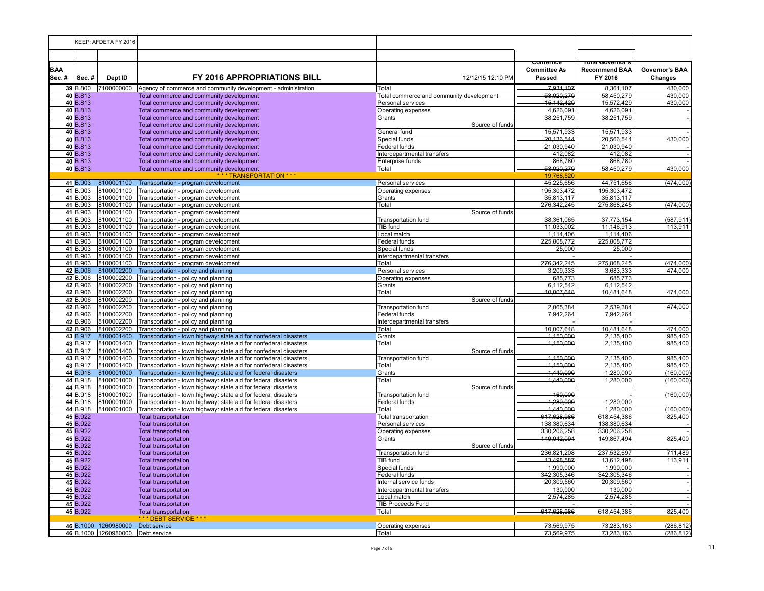|                     |                      | KEEP: AFDETA FY 2016                                                   |                                                                                                                                  |                                               |                                           |                                                      |                           |
|---------------------|----------------------|------------------------------------------------------------------------|----------------------------------------------------------------------------------------------------------------------------------|-----------------------------------------------|-------------------------------------------|------------------------------------------------------|---------------------------|
|                     |                      |                                                                        |                                                                                                                                  |                                               |                                           |                                                      |                           |
| <b>BAA</b><br>Sec.# | Sec.#                | Dept ID                                                                | FY 2016 APPROPRIATIONS BILL                                                                                                      | 12/12/15 12:10 PM                             | comernce<br><b>Committee As</b><br>Passed | i olai Governor s<br><b>Recommend BAA</b><br>FY 2016 | Governor's BAA<br>Changes |
|                     | 39 B.800             |                                                                        | 7100000000 Agency of commerce and community development - administration                                                         | Total                                         | 7.931.107                                 | 8,361,107                                            | 430,000                   |
|                     | 40 B.813             |                                                                        | Total commerce and community development                                                                                         | Total commerce and community development      | 58,020,279                                | 58,450,279                                           | 430,000                   |
|                     | 40 B.813             |                                                                        | Total commerce and community development                                                                                         | Personal services                             | 15,142,429                                | 15,572,429                                           | 430,000                   |
|                     | 40 B.813             |                                                                        | Total commerce and community development                                                                                         | Operating expenses                            | 4,626,091                                 | 4,626,091                                            |                           |
|                     | 40 B.813             |                                                                        | Total commerce and community development                                                                                         | Grants                                        | 38,251,759                                | 38,251,759                                           |                           |
|                     | 40 B.813<br>40 B.813 |                                                                        | Total commerce and community development<br>Total commerce and community development                                             | Source of funds<br>General fund               | 15,571,933                                | 15,571,933                                           |                           |
|                     | 40 B.813             |                                                                        | Total commerce and community development                                                                                         | Special funds                                 | 20,136,544                                | 20,566,544                                           | 430,000                   |
|                     | 40 B.813             |                                                                        | Total commerce and community development                                                                                         | <b>Federal funds</b>                          | 21.030.940                                | 21,030,940                                           |                           |
|                     | 40 B.813             |                                                                        | Total commerce and community development                                                                                         | Interdepartmental transfers                   | 412,082                                   | 412,082                                              |                           |
|                     | 40 B.813             |                                                                        | Total commerce and community development                                                                                         | <b>Enterprise funds</b>                       | 868,780                                   | 868,780                                              |                           |
|                     | 40 B.813             |                                                                        | Total commerce and community development                                                                                         | Total                                         | 58,020,279                                | 58,450,279                                           | 430,000                   |
|                     |                      |                                                                        | *** TRANSPORTATION ***                                                                                                           |                                               | 19,768,520                                |                                                      |                           |
|                     | 41 B.903             | 8100001100                                                             | Transportation - program development                                                                                             | Personal services                             | 45,225,656                                | 44,751,656                                           | (474,000)                 |
|                     | 41 B.903             | 8100001100                                                             | Transportation - program development                                                                                             | Operating expenses                            | 195,303,472                               | 195,303,472                                          |                           |
|                     | 41 B.903             | 8100001100                                                             | Transportation - program development                                                                                             | Grants                                        | 35,813,117                                | 35,813,117                                           |                           |
|                     | 41 B.903<br>41 B.903 | 8100001100<br>8100001100                                               | Transportation - program development<br>Transportation - program development                                                     | Total<br>Source of funds                      | 276,342,245                               | 275,868,245                                          | (474,000)                 |
|                     | 41 B.903             | 8100001100                                                             | Transportation - program development                                                                                             | Transportation fund                           | 38,361,065                                | 37,773,154                                           | (587, 911)                |
|                     | 41 B.903             | 8100001100                                                             | Transportation - program development                                                                                             | TIB fund                                      | 11,033,002                                | 11,146,913                                           | 113,911                   |
|                     | 41 B.903             | 8100001100                                                             | Transportation - program development                                                                                             | Local match                                   | 1,114,406                                 | 1,114,406                                            |                           |
|                     | 41 B.903             | 8100001100                                                             | Transportation - program development                                                                                             | Federal funds                                 | 225,808,772                               | 225,808,772                                          |                           |
|                     | 41 B.903             | 8100001100                                                             | Transportation - program development                                                                                             | Special funds                                 | 25,000                                    | 25,000                                               |                           |
|                     | 41 B.903             | 8100001100                                                             | Transportation - program development                                                                                             | Interdepartmental transfers                   |                                           |                                                      |                           |
|                     | 41 B.903             | 8100001100                                                             | Transportation - program development                                                                                             | Total                                         | 276,342,245                               | 275,868,245                                          | (474,000)                 |
|                     | 42 B.906             | 8100002200                                                             | Transportation - policy and planning                                                                                             | Personal services                             | 3,209,333                                 | 3,683,333                                            | 474,000                   |
|                     | 42 B.906             | 8100002200                                                             | Transportation - policy and planning                                                                                             | Operating expenses                            | 685,773                                   | 685,773                                              |                           |
|                     | 42 B.906             | 8100002200                                                             | Transportation - policy and planning                                                                                             | Grants                                        | 6,112,542<br>10,007,648                   | 6,112,542                                            | 474,000                   |
|                     | 42 B.906<br>42 B.906 | 8100002200<br>8100002200                                               | Transportation - policy and planning<br>Transportation - policy and planning                                                     | Total<br>Source of funds                      |                                           | 10,481,648                                           |                           |
|                     | 42 B.906             | 8100002200                                                             | Transportation - policy and planning                                                                                             | Transportation fund                           | 2,065,384                                 | 2,539,384                                            | 474,000                   |
|                     | 42 B.906             | 8100002200                                                             | Transportation - policy and planning                                                                                             | <b>Federal funds</b>                          | 7,942,264                                 | 7,942,264                                            |                           |
|                     | 42 B.906             | 8100002200                                                             | Transportation - policy and planning                                                                                             | Interdepartmental transfers                   |                                           |                                                      |                           |
|                     | 42 B.906             | 8100002200                                                             | Transportation - policy and planning                                                                                             | Total                                         | 10,007,648                                | 10,481,648                                           | 474,000                   |
|                     | 43 B.917             | 8100001400                                                             | Transportation - town highway: state aid for nonfederal disasters                                                                | Grants                                        | 1,150,000                                 | 2,135,400                                            | 985,400                   |
|                     | 43 B.917             | 8100001400                                                             | Transportation - town highway: state aid for nonfederal disasters                                                                | Total                                         | 4,150,000                                 | 2,135,400                                            | 985,400                   |
|                     | 43 B.917             | 8100001400                                                             | Transportation - town highway: state aid for nonfederal disasters                                                                | Source of funds                               |                                           |                                                      |                           |
|                     | 43 B.917             | 8100001400                                                             | Transportation - town highway: state aid for nonfederal disasters                                                                | Transportation fund                           | 1,150,000                                 | 2,135,400                                            | 985,400                   |
|                     | 43 B.917<br>44 B.918 | 8100001400<br>8100001000                                               | Transportation - town highway: state aid for nonfederal disasters                                                                | Total<br>Grants                               | 1,150,000<br>1,440,000                    | 2,135,400<br>1,280,000                               | 985,400<br>(160,000)      |
|                     | 44 B.918             | 8100001000                                                             | Transportation - town highway: state aid for federal disasters<br>Transportation - town highway: state aid for federal disasters | Total                                         | 1,440,000                                 | 1,280,000                                            | (160,000)                 |
|                     | 44 B.918             | 8100001000                                                             | Transportation - town highway: state aid for federal disasters                                                                   | Source of funds                               |                                           |                                                      |                           |
|                     | 44 B.918             | 8100001000                                                             | Transportation - town highway: state aid for federal disasters                                                                   | <b>Transportation fund</b>                    | 160.000                                   |                                                      | (160,000)                 |
|                     | 44 B.918             | 8100001000                                                             | Transportation - town highway: state aid for federal disasters                                                                   | Federal funds                                 | 1,280,000                                 | 1,280,000                                            |                           |
|                     | 44 B.918             | 8100001000                                                             | Transportation - town highway: state aid for federal disasters                                                                   | Total                                         | 1,440,000                                 | 1,280,000                                            | (160,000)                 |
|                     | 45 B.922             |                                                                        | <b>Total transportation</b>                                                                                                      | Total transportation                          | 617,628,986                               | 618,454,386                                          | 825,400                   |
|                     | 45 B.922             |                                                                        | <b>Total transportation</b>                                                                                                      | Personal services                             | 138,380,634                               | 138,380,634                                          |                           |
|                     | 45 B.922             |                                                                        | <b>Total transportation</b>                                                                                                      | Operating expenses                            | 330,206,258                               | 330,206,258                                          |                           |
|                     | 45 B.922             |                                                                        | <b>Total transportation</b>                                                                                                      | Grants                                        | 149,042,094                               | 149,867,494                                          | 825,400                   |
|                     | 45 B.922<br>45 B.922 |                                                                        | <b>Total transportation</b><br><b>Total transportation</b>                                                                       | Source of funds<br><b>Transportation fund</b> | 236,821,208                               | 237,532,697                                          | 711,489                   |
|                     | 45 B.922             |                                                                        | <b>Total transportation</b>                                                                                                      | TIB fund                                      | 13,498,587                                | 13,612,498                                           | 113,911                   |
|                     | 45 B.922             |                                                                        | <b>Total transportation</b>                                                                                                      | Special funds                                 | 1,990,000                                 | 1,990,000                                            |                           |
|                     | 45 B.922             |                                                                        | <b>Total transportation</b>                                                                                                      | <b>Federal funds</b>                          | 342,305,346                               | 342,305,346                                          | $\sim$                    |
|                     | 45 B.922             |                                                                        | <b>Total transportation</b>                                                                                                      | Internal service funds                        | 20,309,560                                | 20,309,560                                           |                           |
|                     | 45 B.922             |                                                                        | <b>Total transportation</b>                                                                                                      | Interdepartmental transfers                   | 130,000                                   | 130,000                                              |                           |
|                     | 45 B.922             |                                                                        | <b>Total transportation</b>                                                                                                      | Local match                                   | 2,574,285                                 | 2,574,285                                            |                           |
|                     | 45 B.922             |                                                                        | <b>Total transportation</b>                                                                                                      | <b>TIB Proceeds Fund</b>                      |                                           |                                                      |                           |
|                     | 45 B.922             |                                                                        | <b>Total transportation</b>                                                                                                      | Total                                         | 617,628,986                               | 618,454,386                                          | 825,400                   |
|                     |                      |                                                                        | *** DEBT SERVICE ***                                                                                                             |                                               |                                           |                                                      |                           |
|                     |                      | 46 B.1000 1260980000 Debt service<br>46 B.1000 1260980000 Debt service |                                                                                                                                  | Operating expenses<br>Total                   | 73,569,975<br>73.569.975                  | 73,283,163<br>73,283,163                             | (286, 812)<br>(286, 812)  |
|                     |                      |                                                                        |                                                                                                                                  |                                               |                                           |                                                      |                           |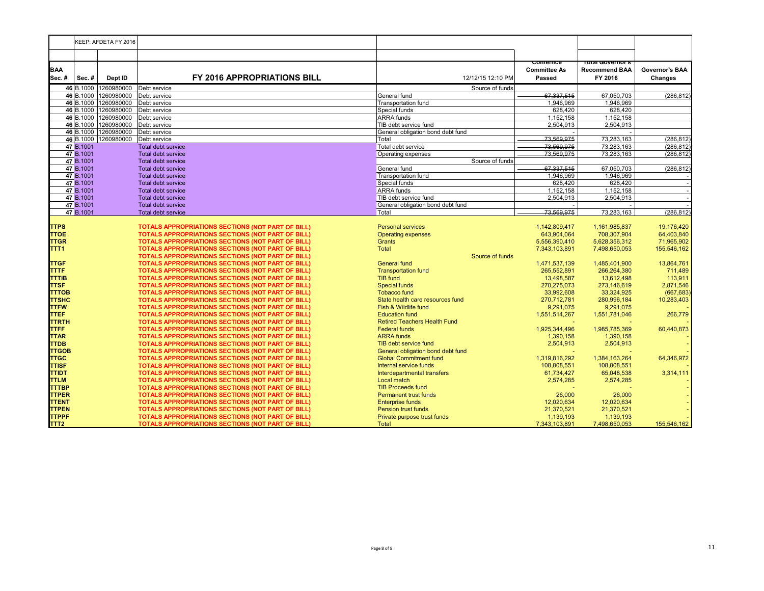|                              | KEEP: AFDETA FY 2016 |                                               |                                                          |                                                                    |                              |                              |                       |
|------------------------------|----------------------|-----------------------------------------------|----------------------------------------------------------|--------------------------------------------------------------------|------------------------------|------------------------------|-----------------------|
|                              |                      |                                               |                                                          |                                                                    |                              |                              |                       |
|                              |                      |                                               |                                                          |                                                                    | comernce                     | Total Governor's             |                       |
| <b>BAA</b>                   |                      |                                               |                                                          |                                                                    | <b>Committee As</b>          | <b>Recommend BAA</b>         | <b>Governor's BAA</b> |
| Sec.#                        | Sec.#                | Dept ID                                       | <b>FY 2016 APPROPRIATIONS BILL</b>                       | 12/12/15 12:10 PM                                                  | Passed                       | FY 2016                      | <b>Changes</b>        |
|                              | 46 B.1000            | 1260980000<br>Debt service<br>Source of funds |                                                          |                                                                    |                              |                              |                       |
|                              | 46 B.1000            | 1260980000                                    | Debt service                                             | General fund                                                       | 67,337,515                   | 67,050,703                   | (286, 812)            |
|                              | 46 B.1000            | 1260980000                                    | Debt service                                             | <b>Transportation fund</b>                                         | 1,946,969                    | 1.946.969                    |                       |
|                              | 46 B.1000            | 1260980000                                    | Debt service                                             | Special funds                                                      | 628,420                      | 628,420                      |                       |
|                              | 46 B.1000            | 1260980000                                    | Debt service                                             | <b>ARRA</b> funds                                                  | 1,152,158                    | 1.152.158                    |                       |
|                              | 46 B.1000            | 1260980000                                    | Debt service                                             | TIB debt service fund                                              | 2.504.913                    | 2,504,913                    |                       |
|                              |                      | 46 B.1000 1260980000                          | Debt service                                             | General obligation bond debt fund                                  |                              |                              |                       |
|                              | 46 B.1000            | 1260980000                                    | Debt service                                             | Total                                                              | 73,569,975                   | 73,283,163                   | (286, 812)            |
|                              | 47 B.1001            |                                               | <b>Total debt service</b>                                | Total debt service                                                 | 73.569.975                   | 73,283,163                   | (286, 812)            |
|                              | 47 B.1001            |                                               | <b>Total debt service</b>                                | Operating expenses                                                 | 73,569,975                   | 73,283,163                   | (286, 812)            |
|                              | 47 B.1001            |                                               | <b>Total debt service</b>                                | Source of funds                                                    |                              |                              |                       |
|                              | 47 B.1001            |                                               | <b>Total debt service</b>                                | General fund                                                       | 67,337,515                   | 67,050,703                   | (286, 812)            |
|                              | 47 B.1001            |                                               | <b>Total debt service</b>                                | <b>Transportation fund</b>                                         | 1,946,969                    | 1,946,969                    |                       |
|                              | 47 B.1001            |                                               | <b>Total debt service</b>                                | Special funds                                                      | 628,420                      | 628,420                      |                       |
|                              | 47 B.1001            |                                               | <b>Total debt service</b>                                | <b>ARRA</b> funds                                                  | 1,152,158                    | 1,152,158                    |                       |
|                              | 47 B.1001            |                                               | <b>Total debt service</b>                                | TIB debt service fund                                              | 2,504,913                    | 2,504,913                    |                       |
|                              | 47 B.1001            |                                               | <b>Total debt service</b>                                | General obligation bond debt fund                                  |                              |                              |                       |
|                              | 47 B.1001            |                                               | <b>Total debt service</b>                                | Total                                                              | 73.569.975                   | 73,283,163                   | (286, 812)            |
|                              |                      |                                               |                                                          |                                                                    |                              |                              |                       |
| <b>TTPS</b>                  |                      |                                               | TOTALS APPROPRIATIONS SECTIONS (NOT PART OF BILL)        | <b>Personal services</b>                                           | 1,142,809,417                | 1,161,985,837                | 19,176,420            |
| <b>TTOE</b>                  |                      |                                               | <b>TOTALS APPROPRIATIONS SECTIONS (NOT PART OF BILL)</b> | <b>Operating expenses</b>                                          | 643,904,064                  | 708,307,904                  | 64,403,840            |
| <b>TTGR</b>                  |                      |                                               | TOTALS APPROPRIATIONS SECTIONS (NOT PART OF BILL)        | <b>Grants</b>                                                      | 5,556,390,410                | 5,628,356,312                | 71,965,902            |
| TTT <sub>1</sub>             |                      |                                               | <b>TOTALS APPROPRIATIONS SECTIONS (NOT PART OF BILL)</b> | Total                                                              | 7,343,103,891                | 7,498,650,053                | 155,546,162           |
|                              |                      |                                               | <b>TOTALS APPROPRIATIONS SECTIONS (NOT PART OF BILL)</b> | Source of funds                                                    |                              |                              |                       |
| <b>TTGF</b>                  |                      |                                               | TOTALS APPROPRIATIONS SECTIONS (NOT PART OF BILL)        | <b>General fund</b>                                                | 1,471,537,139                | 1,485,401,900                | 13,864,761            |
| <b>TTTF</b>                  |                      |                                               | <b>TOTALS APPROPRIATIONS SECTIONS (NOT PART OF BILL)</b> | <b>Transportation fund</b>                                         | 265,552,891                  | 266,264,380                  | 711,489               |
| <b>TTTIB</b>                 |                      |                                               | TOTALS APPROPRIATIONS SECTIONS (NOT PART OF BILL)        | TIB fund                                                           | 13,498,587                   | 13,612,498                   | 113,911               |
| <b>TTSF</b>                  |                      |                                               | <b>TOTALS APPROPRIATIONS SECTIONS (NOT PART OF BILL)</b> | <b>Special funds</b>                                               | 270,275,073                  | 273,146,619                  | 2,871,546             |
| <b>TTTOB</b>                 |                      |                                               | <b>TOTALS APPROPRIATIONS SECTIONS (NOT PART OF BILL)</b> | <b>Tobacco fund</b>                                                | 33,992,608                   | 33,324,925                   | (667, 683)            |
| <b>TTSHC</b>                 |                      |                                               | <b>TOTALS APPROPRIATIONS SECTIONS (NOT PART OF BILL)</b> | State health care resources fund<br>270,712,781                    |                              | 280,996,184                  | 10,283,403            |
| <b>TTFW</b>                  |                      |                                               | TOTALS APPROPRIATIONS SECTIONS (NOT PART OF BILL)        | Fish & Wildlife fund<br>9,291,075                                  |                              | 9,291,075                    |                       |
| <b>TTEF</b>                  |                      |                                               | TOTALS APPROPRIATIONS SECTIONS (NOT PART OF BILL)        | <b>Education fund</b><br>1,551,514,267                             |                              | 1,551,781,046                | 266,779               |
| <b>TTRTH</b>                 |                      |                                               | TOTALS APPROPRIATIONS SECTIONS (NOT PART OF BILL)        | <b>Retired Teachers Health Fund</b>                                |                              |                              |                       |
| <b>TTFF</b>                  |                      |                                               | TOTALS APPROPRIATIONS SECTIONS (NOT PART OF BILL)        | <b>Federal funds</b><br>1,925,344,496                              |                              | 1,985,785,369                | 60,440,873            |
| <b>TTAR</b>                  |                      |                                               | <b>TOTALS APPROPRIATIONS SECTIONS (NOT PART OF BILL)</b> | <b>ARRA</b> funds                                                  | 1,390,158                    | 1,390,158                    |                       |
| <b>TTDB</b><br><b>TTGOB</b>  |                      |                                               | <b>TOTALS APPROPRIATIONS SECTIONS (NOT PART OF BILL)</b> | TIB debt service fund                                              | 2,504,913                    | 2,504,913                    |                       |
|                              |                      |                                               | TOTALS APPROPRIATIONS SECTIONS (NOT PART OF BILL)        | General obligation bond debt fund<br><b>Global Commitment fund</b> |                              |                              | 64,346,972            |
| <b>TTGC</b>                  |                      |                                               | <b>TOTALS APPROPRIATIONS SECTIONS (NOT PART OF BILL)</b> | Internal service funds                                             | 1,319,816,292<br>108.808.551 | 1,384,163,264<br>108.808.551 |                       |
| <b>TTISF</b>                 |                      |                                               | <b>TOTALS APPROPRIATIONS SECTIONS (NOT PART OF BILL)</b> |                                                                    |                              |                              |                       |
| <b>TTIDT</b>                 |                      |                                               | <b>TOTALS APPROPRIATIONS SECTIONS (NOT PART OF BILL)</b> | Interdepartmental transfers                                        | 61,734,427                   | 65,048,538                   | 3,314,111             |
| <b>TTLM</b>                  |                      |                                               | <b>TOTALS APPROPRIATIONS SECTIONS (NOT PART OF BILL)</b> | Local match<br><b>TIB Proceeds fund</b>                            | 2,574,285                    | 2,574,285                    |                       |
| <b>TTTBP</b><br><b>TTPER</b> |                      |                                               | TOTALS APPROPRIATIONS SECTIONS (NOT PART OF BILL)        |                                                                    |                              |                              |                       |
| <b>TTENT</b>                 |                      |                                               | TOTALS APPROPRIATIONS SECTIONS (NOT PART OF BILL)        | <b>Permanent trust funds</b><br><b>Enterprise funds</b>            | 26,000<br>12.020.634         | 26,000<br>12,020,634         |                       |
|                              |                      |                                               | TOTALS APPROPRIATIONS SECTIONS (NOT PART OF BILL)        | <b>Pension trust funds</b>                                         | 21,370,521                   | 21,370,521                   |                       |
| <b>TTPEN</b>                 |                      |                                               | <b>TOTALS APPROPRIATIONS SECTIONS (NOT PART OF BILL)</b> | Private purpose trust funds                                        | 1,139,193                    | 1,139,193                    |                       |
| <b>TTPPF</b>                 |                      |                                               | <b>TOTALS APPROPRIATIONS SECTIONS (NOT PART OF BILL)</b> |                                                                    |                              |                              |                       |
| TTT <sub>2</sub>             |                      |                                               | <b>TOTALS APPROPRIATIONS SECTIONS (NOT PART OF BILL)</b> | <b>Total</b>                                                       | 7,343,103,891                | 7,498,650,053                | 155,546,162           |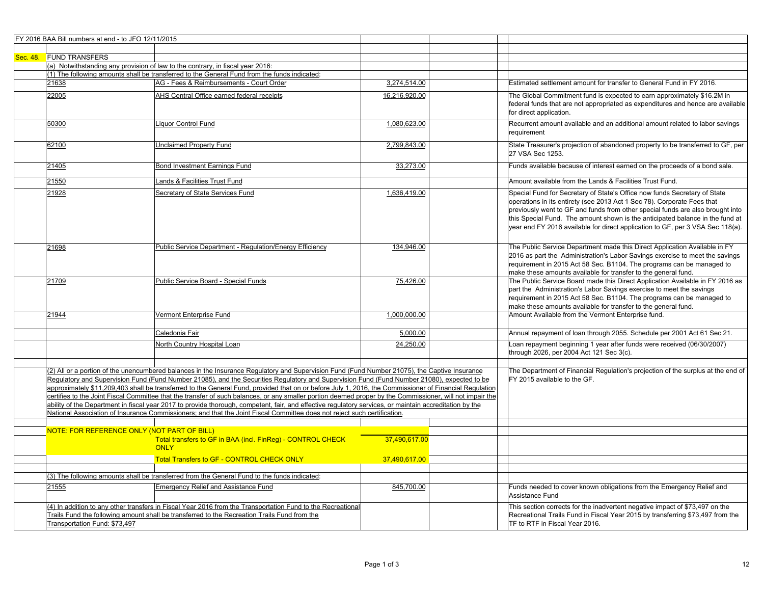| FY 2016 BAA Bill numbers at end - to JFO 12/11/2015 |                                                                                                                                                                                                                                                                                                                                                                                                                                                                                                                                                                                                                                                                                                                                                                                                                                                                                                            |               |                                                                                                                                                                                                                                                                                                                                                                                                           |
|-----------------------------------------------------|------------------------------------------------------------------------------------------------------------------------------------------------------------------------------------------------------------------------------------------------------------------------------------------------------------------------------------------------------------------------------------------------------------------------------------------------------------------------------------------------------------------------------------------------------------------------------------------------------------------------------------------------------------------------------------------------------------------------------------------------------------------------------------------------------------------------------------------------------------------------------------------------------------|---------------|-----------------------------------------------------------------------------------------------------------------------------------------------------------------------------------------------------------------------------------------------------------------------------------------------------------------------------------------------------------------------------------------------------------|
|                                                     |                                                                                                                                                                                                                                                                                                                                                                                                                                                                                                                                                                                                                                                                                                                                                                                                                                                                                                            |               |                                                                                                                                                                                                                                                                                                                                                                                                           |
| Sec. 48. FUND TRANSFERS                             |                                                                                                                                                                                                                                                                                                                                                                                                                                                                                                                                                                                                                                                                                                                                                                                                                                                                                                            |               |                                                                                                                                                                                                                                                                                                                                                                                                           |
|                                                     | (a) Notwithstanding any provision of law to the contrary, in fiscal year 2016:                                                                                                                                                                                                                                                                                                                                                                                                                                                                                                                                                                                                                                                                                                                                                                                                                             |               |                                                                                                                                                                                                                                                                                                                                                                                                           |
|                                                     | (1) The following amounts shall be transferred to the General Fund from the funds indicated:                                                                                                                                                                                                                                                                                                                                                                                                                                                                                                                                                                                                                                                                                                                                                                                                               |               |                                                                                                                                                                                                                                                                                                                                                                                                           |
| 21638                                               | AG - Fees & Reimbursements - Court Order                                                                                                                                                                                                                                                                                                                                                                                                                                                                                                                                                                                                                                                                                                                                                                                                                                                                   | 3,274,514.00  | Estimated settlement amount for transfer to General Fund in FY 2016.                                                                                                                                                                                                                                                                                                                                      |
| 22005                                               | AHS Central Office earned federal receipts                                                                                                                                                                                                                                                                                                                                                                                                                                                                                                                                                                                                                                                                                                                                                                                                                                                                 | 16,216,920.00 | The Global Commitment fund is expected to earn approximately \$16.2M in<br>federal funds that are not appropriated as expenditures and hence are available<br>for direct application.                                                                                                                                                                                                                     |
| 50300                                               | Liquor Control Fund                                                                                                                                                                                                                                                                                                                                                                                                                                                                                                                                                                                                                                                                                                                                                                                                                                                                                        | 1,080,623.00  | Recurrent amount available and an additional amount related to labor savings<br>requirement                                                                                                                                                                                                                                                                                                               |
| 62100                                               | <b>Unclaimed Property Fund</b>                                                                                                                                                                                                                                                                                                                                                                                                                                                                                                                                                                                                                                                                                                                                                                                                                                                                             | 2,799,843.00  | State Treasurer's projection of abandoned property to be transferred to GF, per<br>27 VSA Sec 1253.                                                                                                                                                                                                                                                                                                       |
| 21405                                               | Bond Investment Earnings Fund                                                                                                                                                                                                                                                                                                                                                                                                                                                                                                                                                                                                                                                                                                                                                                                                                                                                              | 33,273.00     | Funds available because of interest earned on the proceeds of a bond sale.                                                                                                                                                                                                                                                                                                                                |
| 21550                                               | Lands & Facilities Trust Fund                                                                                                                                                                                                                                                                                                                                                                                                                                                                                                                                                                                                                                                                                                                                                                                                                                                                              |               | Amount available from the Lands & Facilities Trust Fund.                                                                                                                                                                                                                                                                                                                                                  |
| 21928                                               | Secretary of State Services Fund                                                                                                                                                                                                                                                                                                                                                                                                                                                                                                                                                                                                                                                                                                                                                                                                                                                                           | 1,636,419.00  | Special Fund for Secretary of State's Office now funds Secretary of State<br>operations in its entirety (see 2013 Act 1 Sec 78). Corporate Fees that<br>previously went to GF and funds from other special funds are also brought into<br>this Special Fund. The amount shown is the anticipated balance in the fund at<br>year end FY 2016 available for direct application to GF, per 3 VSA Sec 118(a). |
| 21698                                               | <b>Public Service Department - Requlation/Energy Efficiency</b>                                                                                                                                                                                                                                                                                                                                                                                                                                                                                                                                                                                                                                                                                                                                                                                                                                            | 134,946.00    | The Public Service Department made this Direct Application Available in FY<br>2016 as part the Administration's Labor Savings exercise to meet the savings<br>requirement in 2015 Act 58 Sec. B1104. The programs can be managed to<br>make these amounts available for transfer to the general fund.                                                                                                     |
| 21709                                               | Public Service Board - Special Funds                                                                                                                                                                                                                                                                                                                                                                                                                                                                                                                                                                                                                                                                                                                                                                                                                                                                       | 75,426.00     | The Public Service Board made this Direct Application Available in FY 2016 as<br>part the Administration's Labor Savings exercise to meet the savings<br>requirement in 2015 Act 58 Sec. B1104. The programs can be managed to<br>make these amounts available for transfer to the general fund.                                                                                                          |
| 21944                                               | Vermont Enterprise Fund                                                                                                                                                                                                                                                                                                                                                                                                                                                                                                                                                                                                                                                                                                                                                                                                                                                                                    | 1,000,000.00  | Amount Available from the Vermont Enterprise fund.                                                                                                                                                                                                                                                                                                                                                        |
|                                                     | Caledonia Fair                                                                                                                                                                                                                                                                                                                                                                                                                                                                                                                                                                                                                                                                                                                                                                                                                                                                                             | 5,000.00      | Annual repayment of loan through 2055. Schedule per 2001 Act 61 Sec 21.                                                                                                                                                                                                                                                                                                                                   |
|                                                     | North Country Hospital Loan                                                                                                                                                                                                                                                                                                                                                                                                                                                                                                                                                                                                                                                                                                                                                                                                                                                                                | 24,250.00     | Loan repayment beginning 1 year after funds were received (06/30/2007)<br>through 2026, per 2004 Act 121 Sec 3(c).                                                                                                                                                                                                                                                                                        |
|                                                     | (2) All or a portion of the unencumbered balances in the Insurance Regulatory and Supervision Fund (Fund Number 21075), the Captive Insurance<br>Regulatory and Supervision Fund (Fund Number 21085), and the Securities Regulatory and Supervision Fund (Fund Number 21080), expected to be<br>approximately \$11,209,403 shall be transferred to the General Fund, provided that on or before July 1, 2016, the Commissioner of Financial Requlation<br>certifies to the Joint Fiscal Committee that the transfer of such balances, or any smaller portion deemed proper by the Commissioner, will not impair the<br>ability of the Department in fiscal year 2017 to provide thorough, competent, fair, and effective regulatory services, or maintain accreditation by the<br>National Association of Insurance Commissioners; and that the Joint Fiscal Committee does not reject such certification. |               | The Department of Financial Regulation's projection of the surplus at the end of<br>FY 2015 available to the GF.                                                                                                                                                                                                                                                                                          |
|                                                     |                                                                                                                                                                                                                                                                                                                                                                                                                                                                                                                                                                                                                                                                                                                                                                                                                                                                                                            |               |                                                                                                                                                                                                                                                                                                                                                                                                           |
| NOTE: FOR REFERENCE ONLY (NOT PART OF BILL)         | Total transfers to GF in BAA (incl. FinReg) - CONTROL CHECK<br><b>ONLY</b>                                                                                                                                                                                                                                                                                                                                                                                                                                                                                                                                                                                                                                                                                                                                                                                                                                 | 37.490.617.00 |                                                                                                                                                                                                                                                                                                                                                                                                           |
|                                                     | <b>Total Transfers to GF - CONTROL CHECK ONLY</b>                                                                                                                                                                                                                                                                                                                                                                                                                                                                                                                                                                                                                                                                                                                                                                                                                                                          | 37,490,617.00 |                                                                                                                                                                                                                                                                                                                                                                                                           |
|                                                     | (3) The following amounts shall be transferred from the General Fund to the funds indicated:                                                                                                                                                                                                                                                                                                                                                                                                                                                                                                                                                                                                                                                                                                                                                                                                               |               |                                                                                                                                                                                                                                                                                                                                                                                                           |
| 21555                                               | <b>Emergency Relief and Assistance Fund</b>                                                                                                                                                                                                                                                                                                                                                                                                                                                                                                                                                                                                                                                                                                                                                                                                                                                                | 845,700.00    | Funds needed to cover known obligations from the Emergency Relief and<br>Assistance Fund                                                                                                                                                                                                                                                                                                                  |
| Transportation Fund: \$73,497                       | (4) In addition to any other transfers in Fiscal Year 2016 from the Transportation Fund to the Recreational<br>Trails Fund the following amount shall be transferred to the Recreation Trails Fund from the                                                                                                                                                                                                                                                                                                                                                                                                                                                                                                                                                                                                                                                                                                |               | This section corrects for the inadvertent negative impact of \$73,497 on the<br>Recreational Trails Fund in Fiscal Year 2015 by transferring \$73,497 from the<br>TF to RTF in Fiscal Year 2016.                                                                                                                                                                                                          |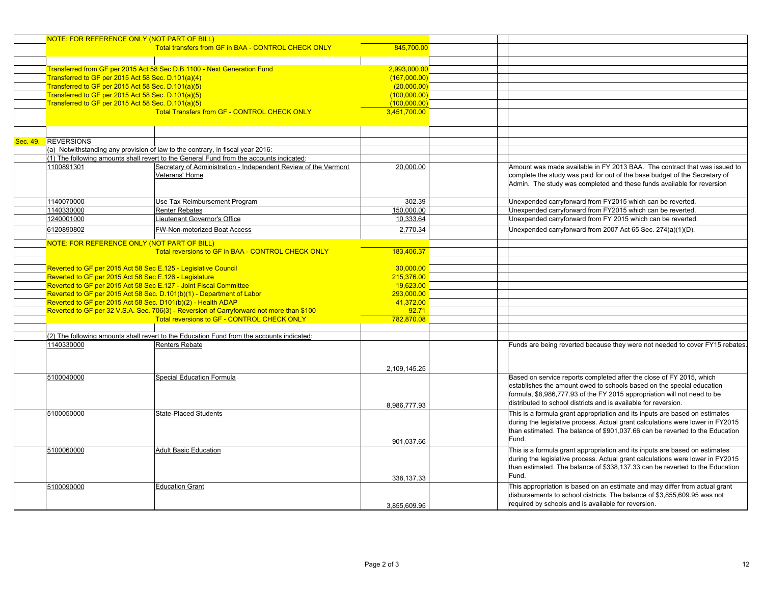|                       | NOTE: FOR REFERENCE ONLY (NOT PART OF BILL)                    |                                                                                                                                         |              |                                                                                |
|-----------------------|----------------------------------------------------------------|-----------------------------------------------------------------------------------------------------------------------------------------|--------------|--------------------------------------------------------------------------------|
|                       |                                                                | Total transfers from GF in BAA - CONTROL CHECK ONLY                                                                                     | 845,700.00   |                                                                                |
|                       |                                                                |                                                                                                                                         |              |                                                                                |
|                       |                                                                |                                                                                                                                         |              |                                                                                |
|                       |                                                                | Transferred from GF per 2015 Act 58 Sec D.B.1100 - Next Generation Fund                                                                 | 2,993,000.00 |                                                                                |
|                       | Transferred to GF per 2015 Act 58 Sec. D.101(a)(4)             |                                                                                                                                         | (167,000.00) |                                                                                |
|                       | Transferred to GF per 2015 Act 58 Sec. D.101(a)(5)             |                                                                                                                                         | (20,000.00)  |                                                                                |
|                       | Transferred to GF per 2015 Act 58 Sec. D.101(a)(5)             |                                                                                                                                         | (100,000.00) |                                                                                |
|                       | Transferred to GF per 2015 Act 58 Sec. D.101(a)(5)             |                                                                                                                                         | (100,000.00) |                                                                                |
|                       |                                                                | <b>Total Transfers from GF - CONTROL CHECK ONLY</b>                                                                                     | 3,451,700.00 |                                                                                |
|                       |                                                                |                                                                                                                                         |              |                                                                                |
|                       |                                                                |                                                                                                                                         |              |                                                                                |
| <mark>Sec. 49.</mark> | <b>REVERSIONS</b>                                              |                                                                                                                                         |              |                                                                                |
|                       |                                                                | (a) Notwithstanding any provision of law to the contrary, in fiscal year 2016:                                                          |              |                                                                                |
|                       |                                                                | (1) The following amounts shall revert to the General Fund from the accounts indicated:                                                 |              |                                                                                |
|                       | 1100891301                                                     | Secretary of Administration - Independent Review of the Vermont                                                                         | 20,000.00    | Amount was made available in FY 2013 BAA. The contract that was issued to      |
|                       |                                                                | Veterans' Home                                                                                                                          |              | complete the study was paid for out of the base budget of the Secretary of     |
|                       |                                                                |                                                                                                                                         |              | Admin. The study was completed and these funds available for reversion         |
|                       |                                                                |                                                                                                                                         |              |                                                                                |
|                       | 1140070000                                                     | Use Tax Reimbursement Program                                                                                                           | 302.39       | Unexpended carryforward from FY2015 which can be reverted.                     |
|                       | 1140330000                                                     | Renter Rebates                                                                                                                          | 150,000.00   | Unexpended carryforward from FY2015 which can be reverted.                     |
|                       | 1240001000                                                     | Lieutenant Governor's Office                                                                                                            | 10,333.64    | Unexpended carryforward from FY 2015 which can be reverted.                    |
|                       |                                                                |                                                                                                                                         |              |                                                                                |
|                       | 6120890802                                                     | FW-Non-motorized Boat Access                                                                                                            | 2,770.34     | Unexpended carryforward from 2007 Act 65 Sec. 274(a)(1)(D).                    |
|                       | NOTE: FOR REFERENCE ONLY (NOT PART OF BILL)                    |                                                                                                                                         |              |                                                                                |
|                       |                                                                | Total reversions to GF in BAA - CONTROL CHECK ONLY                                                                                      | 183,406.37   |                                                                                |
|                       |                                                                |                                                                                                                                         |              |                                                                                |
|                       | Reverted to GF per 2015 Act 58 Sec E.125 - Legislative Council |                                                                                                                                         | 30,000.00    |                                                                                |
|                       | Reverted to GF per 2015 Act 58 Sec E.126 - Legislature         |                                                                                                                                         | 215,376.00   |                                                                                |
|                       |                                                                | Reverted to GF per 2015 Act 58 Sec E.127 - Joint Fiscal Committee                                                                       | 19.623.00    |                                                                                |
|                       |                                                                | Reverted to GF per 2015 Act 58 Sec. D.101(b)(1) - Department of Labor                                                                   | 293,000.00   |                                                                                |
|                       | Reverted to GF per 2015 Act 58 Sec. D101(b)(2) - Health ADAP   |                                                                                                                                         | 41,372.00    |                                                                                |
|                       |                                                                |                                                                                                                                         | 92.71        |                                                                                |
|                       |                                                                | Reverted to GF per 32 V.S.A. Sec. 706(3) - Reversion of Carryforward not more than \$100<br>Total reversions to GF - CONTROL CHECK ONLY | 782,870.08   |                                                                                |
|                       |                                                                |                                                                                                                                         |              |                                                                                |
|                       |                                                                | (2) The following amounts shall revert to the Education Fund from the accounts indicated:                                               |              |                                                                                |
|                       | 1140330000                                                     | Renters Rebate                                                                                                                          |              |                                                                                |
|                       |                                                                |                                                                                                                                         |              | Funds are being reverted because they were not needed to cover FY15 rebates.   |
|                       |                                                                |                                                                                                                                         |              |                                                                                |
|                       |                                                                |                                                                                                                                         | 2,109,145.25 |                                                                                |
|                       | 5100040000                                                     | Special Education Formula                                                                                                               |              | Based on service reports completed after the close of FY 2015, which           |
|                       |                                                                |                                                                                                                                         |              | establishes the amount owed to schools based on the special education          |
|                       |                                                                |                                                                                                                                         |              | formula, \$8,986,777.93 of the FY 2015 appropriation will not need to be       |
|                       |                                                                |                                                                                                                                         |              | distributed to school districts and is available for reversion.                |
|                       |                                                                |                                                                                                                                         | 8,986,777.93 |                                                                                |
|                       | 5100050000                                                     | <b>State-Placed Students</b>                                                                                                            |              | This is a formula grant appropriation and its inputs are based on estimates    |
|                       |                                                                |                                                                                                                                         |              | during the legislative process. Actual grant calculations were lower in FY2015 |
|                       |                                                                |                                                                                                                                         |              | than estimated. The balance of \$901.037.66 can be reverted to the Education   |
|                       |                                                                |                                                                                                                                         | 901,037.66   | Fund.                                                                          |
|                       | 5100060000                                                     | <b>Adult Basic Education</b>                                                                                                            |              | This is a formula grant appropriation and its inputs are based on estimates    |
|                       |                                                                |                                                                                                                                         |              | during the legislative process. Actual grant calculations were lower in FY2015 |
|                       |                                                                |                                                                                                                                         |              | than estimated. The balance of \$338.137.33 can be reverted to the Education   |
|                       |                                                                |                                                                                                                                         |              | Fund.                                                                          |
|                       |                                                                |                                                                                                                                         | 338,137.33   |                                                                                |
|                       | 5100090000                                                     | <b>Education Grant</b>                                                                                                                  |              | This appropriation is based on an estimate and may differ from actual grant    |
|                       |                                                                |                                                                                                                                         |              | disbursements to school districts. The balance of \$3,855,609.95 was not       |
|                       |                                                                |                                                                                                                                         | 3,855,609.95 | required by schools and is available for reversion.                            |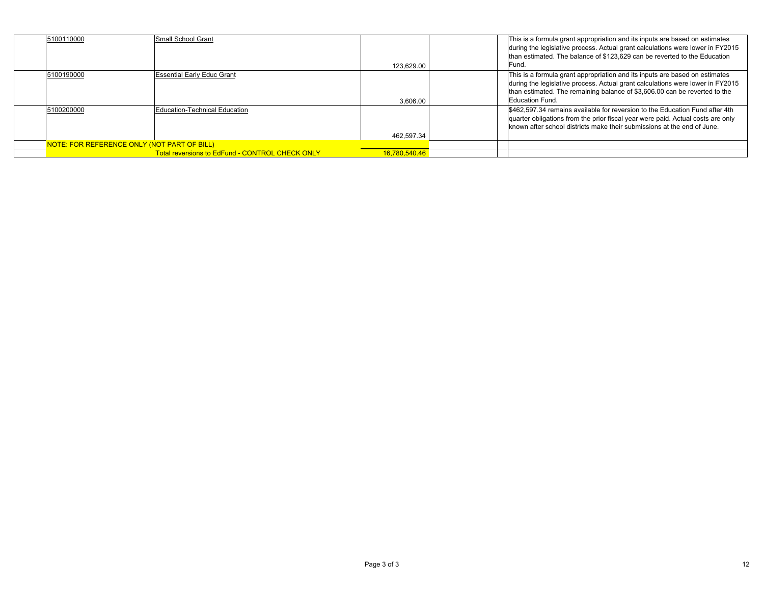| 5100110000                                  | Small School Grant                              | 123.629.00    | This is a formula grant appropriation and its inputs are based on estimates<br>during the legislative process. Actual grant calculations were lower in FY2015<br>than estimated. The balance of \$123,629 can be reverted to the Education<br>IFund.           |
|---------------------------------------------|-------------------------------------------------|---------------|----------------------------------------------------------------------------------------------------------------------------------------------------------------------------------------------------------------------------------------------------------------|
| 5100190000                                  | <b>Essential Early Educ Grant</b>               | 3.606.00      | This is a formula grant appropriation and its inputs are based on estimates<br>during the legislative process. Actual grant calculations were lower in FY2015<br>than estimated. The remaining balance of \$3,606.00 can be reverted to the<br>Education Fund. |
| 5100200000                                  | Education-Technical Education                   | 462.597.34    | \$462,597.34 remains available for reversion to the Education Fund after 4th<br>quarter obligations from the prior fiscal year were paid. Actual costs are only<br>known after school districts make their submissions at the end of June.                     |
| NOTE: FOR REFERENCE ONLY (NOT PART OF BILL) |                                                 |               |                                                                                                                                                                                                                                                                |
|                                             | Total reversions to EdFund - CONTROL CHECK ONLY | 16.780.540.46 |                                                                                                                                                                                                                                                                |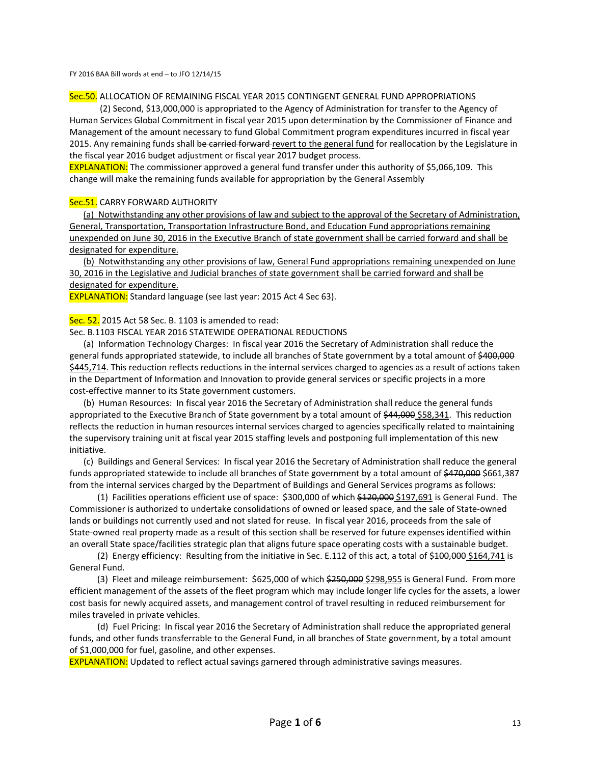FY 2016 BAA Bill words at end – to JFO 12/14/15

#### Sec.50. ALLOCATION OF REMAINING FISCAL YEAR 2015 CONTINGENT GENERAL FUND APPROPRIATIONS

(2) Second, \$13,000,000 is appropriated to the Agency of Administration for transfer to the Agency of Human Services Global Commitment in fiscal year 2015 upon determination by the Commissioner of Finance and Management of the amount necessary to fund Global Commitment program expenditures incurred in fiscal year 2015. Any remaining funds shall be carried forward revert to the general fund for reallocation by the Legislature in the fiscal year 2016 budget adjustment or fiscal year 2017 budget process.

EXPLANATION: The commissioner approved a general fund transfer under this authority of \$5,066,109. This change will make the remaining funds available for appropriation by the General Assembly

#### Sec.51. CARRY FORWARD AUTHORITY

(a) Notwithstanding any other provisions of law and subject to the approval of the Secretary of Administration, General, Transportation, Transportation Infrastructure Bond, and Education Fund appropriations remaining unexpended on June 30, 2016 in the Executive Branch of state government shall be carried forward and shall be designated for expenditure.

(b) Notwithstanding any other provisions of law, General Fund appropriations remaining unexpended on June 30, 2016 in the Legislative and Judicial branches of state government shall be carried forward and shall be designated for expenditure.

EXPLANATION: Standard language (see last year: 2015 Act 4 Sec 63).

#### Sec. 52. 2015 Act 58 Sec. B. 1103 is amended to read:

Sec. B.1103 FISCAL YEAR 2016 STATEWIDE OPERATIONAL REDUCTIONS

(a) Information Technology Charges: In fiscal year 2016 the Secretary of Administration shall reduce the general funds appropriated statewide, to include all branches of State government by a total amount of \$400,000 \$445,714. This reduction reflects reductions in the internal services charged to agencies as a result of actions taken in the Department of Information and Innovation to provide general services or specific projects in a more cost‐effective manner to its State government customers.

(b) Human Resources: In fiscal year 2016 the Secretary of Administration shall reduce the general funds appropriated to the Executive Branch of State government by a total amount of \$44,000 \$58,341. This reduction reflects the reduction in human resources internal services charged to agencies specifically related to maintaining the supervisory training unit at fiscal year 2015 staffing levels and postponing full implementation of this new initiative.

(c) Buildings and General Services: In fiscal year 2016 the Secretary of Administration shall reduce the general funds appropriated statewide to include all branches of State government by a total amount of \$470,000 \$661,387 from the internal services charged by the Department of Buildings and General Services programs as follows:

(1) Facilities operations efficient use of space: \$300,000 of which \$120,000 \$197,691 is General Fund. The Commissioner is authorized to undertake consolidations of owned or leased space, and the sale of State‐owned lands or buildings not currently used and not slated for reuse. In fiscal year 2016, proceeds from the sale of State-owned real property made as a result of this section shall be reserved for future expenses identified within an overall State space/facilities strategic plan that aligns future space operating costs with a sustainable budget.

(2) Energy efficiency: Resulting from the initiative in Sec. E.112 of this act, a total of \$100,000 \$164,741 is General Fund.

(3) Fleet and mileage reimbursement: \$625,000 of which \$250,000 \$298,955 is General Fund. From more efficient management of the assets of the fleet program which may include longer life cycles for the assets, a lower cost basis for newly acquired assets, and management control of travel resulting in reduced reimbursement for miles traveled in private vehicles.

(d) Fuel Pricing: In fiscal year 2016 the Secretary of Administration shall reduce the appropriated general funds, and other funds transferrable to the General Fund, in all branches of State government, by a total amount of \$1,000,000 for fuel, gasoline, and other expenses.

**EXPLANATION:** Updated to reflect actual savings garnered through administrative savings measures.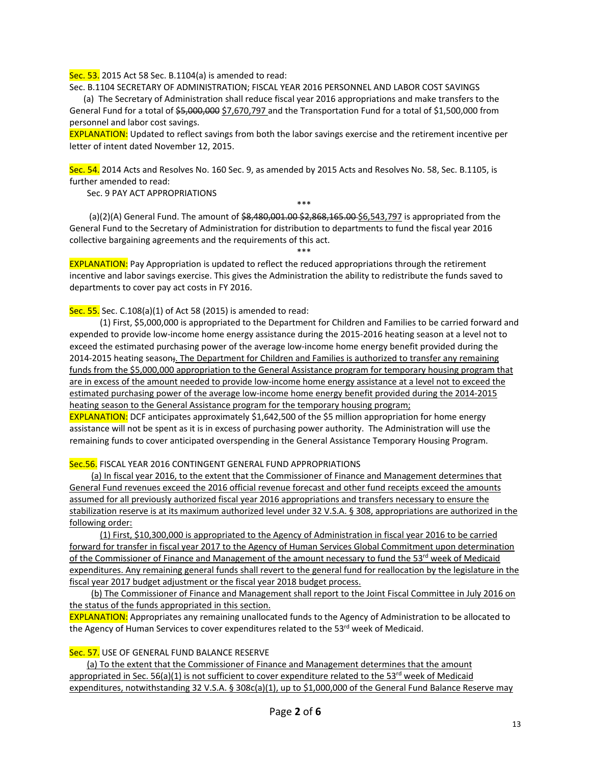Sec. 53. 2015 Act 58 Sec. B.1104(a) is amended to read:

Sec. B.1104 SECRETARY OF ADMINISTRATION; FISCAL YEAR 2016 PERSONNEL AND LABOR COST SAVINGS

(a) The Secretary of Administration shall reduce fiscal year 2016 appropriations and make transfers to the General Fund for a total of \$5,000,000 \$7,670,797 and the Transportation Fund for a total of \$1,500,000 from personnel and labor cost savings.

EXPLANATION: Updated to reflect savings from both the labor savings exercise and the retirement incentive per letter of intent dated November 12, 2015.

Sec. 54. 2014 Acts and Resolves No. 160 Sec. 9, as amended by 2015 Acts and Resolves No. 58, Sec. B.1105, is further amended to read:

Sec. 9 PAY ACT APPROPRIATIONS

\*\*\*

\*\*\*

(a)(2)(A) General Fund. The amount of \$8,480,001.00 \$2,868,165.00 \$6,543,797 is appropriated from the General Fund to the Secretary of Administration for distribution to departments to fund the fiscal year 2016 collective bargaining agreements and the requirements of this act.

**EXPLANATION:** Pay Appropriation is updated to reflect the reduced appropriations through the retirement incentive and labor savings exercise. This gives the Administration the ability to redistribute the funds saved to departments to cover pay act costs in FY 2016.

Sec. 55. Sec. C.108(a)(1) of Act 58 (2015) is amended to read:

(1) First, \$5,000,000 is appropriated to the Department for Children and Families to be carried forward and expended to provide low-income home energy assistance during the 2015-2016 heating season at a level not to exceed the estimated purchasing power of the average low‐income home energy benefit provided during the 2014-2015 heating season; The Department for Children and Families is authorized to transfer any remaining funds from the \$5,000,000 appropriation to the General Assistance program for temporary housing program that are in excess of the amount needed to provide low-income home energy assistance at a level not to exceed the estimated purchasing power of the average low‐income home energy benefit provided during the 2014‐2015 heating season to the General Assistance program for the temporary housing program;

EXPLANATION: DCF anticipates approximately \$1,642,500 of the \$5 million appropriation for home energy assistance will not be spent as it is in excess of purchasing power authority. The Administration will use the remaining funds to cover anticipated overspending in the General Assistance Temporary Housing Program.

Sec.56. FISCAL YEAR 2016 CONTINGENT GENERAL FUND APPROPRIATIONS

(a) In fiscal year 2016, to the extent that the Commissioner of Finance and Management determines that General Fund revenues exceed the 2016 official revenue forecast and other fund receipts exceed the amounts assumed for all previously authorized fiscal year 2016 appropriations and transfers necessary to ensure the stabilization reserve is at its maximum authorized level under 32 V.S.A. § 308, appropriations are authorized in the following order:

(1) First, \$10,300,000 is appropriated to the Agency of Administration in fiscal year 2016 to be carried forward for transfer in fiscal year 2017 to the Agency of Human Services Global Commitment upon determination of the Commissioner of Finance and Management of the amount necessary to fund the 53rd week of Medicaid expenditures. Any remaining general funds shall revert to the general fund for reallocation by the legislature in the fiscal year 2017 budget adjustment or the fiscal year 2018 budget process.

(b) The Commissioner of Finance and Management shall report to the Joint Fiscal Committee in July 2016 on the status of the funds appropriated in this section.

EXPLANATION: Appropriates any remaining unallocated funds to the Agency of Administration to be allocated to the Agency of Human Services to cover expenditures related to the 53<sup>rd</sup> week of Medicaid.

Sec. 57. USE OF GENERAL FUND BALANCE RESERVE

(a) To the extent that the Commissioner of Finance and Management determines that the amount appropriated in Sec. 56(a)(1) is not sufficient to cover expenditure related to the 53<sup>rd</sup> week of Medicaid expenditures, notwithstanding 32 V.S.A. § 308c(a)(1), up to \$1,000,000 of the General Fund Balance Reserve may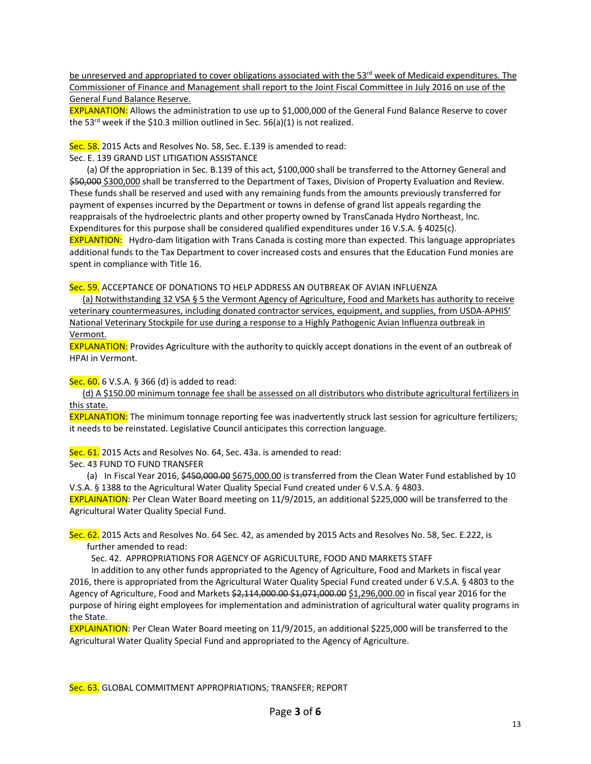be unreserved and appropriated to cover obligations associated with the 53<sup>rd</sup> week of Medicaid expenditures. The Commissioner of Finance and Management shall report to the Joint Fiscal Committee in July 2016 on use of the General Fund Balance Reserve.

EXPLANATION: Allows the administration to use up to \$1,000,000 of the General Fund Balance Reserve to cover the 53<sup>rd</sup> week if the \$10.3 million outlined in Sec. 56(a)(1) is not realized.

Sec. 58. 2015 Acts and Resolves No. 58, Sec. E.139 is amended to read:

Sec. E. 139 GRAND LIST LITIGATION ASSISTANCE

(a) Of the appropriation in Sec. B.139 of this act, \$100,000 shall be transferred to the Attorney General and \$50,000 \$300,000 shall be transferred to the Department of Taxes, Division of Property Evaluation and Review. These funds shall be reserved and used with any remaining funds from the amounts previously transferred for payment of expenses incurred by the Department or towns in defense of grand list appeals regarding the reappraisals of the hydroelectric plants and other property owned by TransCanada Hydro Northeast, Inc. Expenditures for this purpose shall be considered qualified expenditures under 16 V.S.A. § 4025(c). EXPLANTION: Hydro‐dam litigation with Trans Canada is costing more than expected. This language appropriates

additional funds to the Tax Department to cover increased costs and ensures that the Education Fund monies are spent in compliance with Title 16.

Sec. 59. ACCEPTANCE OF DONATIONS TO HELP ADDRESS AN OUTBREAK OF AVIAN INFLUENZA

(a) Notwithstanding 32 VSA § 5 the Vermont Agency of Agriculture, Food and Markets has authority to receive veterinary countermeasures, including donated contractor services, equipment, and supplies, from USDA‐APHIS' National Veterinary Stockpile for use during a response to a Highly Pathogenic Avian Influenza outbreak in Vermont.

**EXPLANATION:** Provides Agriculture with the authority to quickly accept donations in the event of an outbreak of HPAI in Vermont.

Sec. 60. 6 V.S.A. § 366 (d) is added to read:

(d) A \$150.00 minimum tonnage fee shall be assessed on all distributors who distribute agricultural fertilizers in this state.

**EXPLANATION:** The minimum tonnage reporting fee was inadvertently struck last session for agriculture fertilizers; it needs to be reinstated. Legislative Council anticipates this correction language.

Sec. 61. 2015 Acts and Resolves No. 64, Sec. 43a. is amended to read:

Sec. 43 FUND TO FUND TRANSFER

(a) In Fiscal Year 2016, \$450,000.00 \$675,000.00 is transferred from the Clean Water Fund established by 10 V.S.A. § 1388 to the Agricultural Water Quality Special Fund created under 6 V.S.A. § 4803.

EXPLAINATION: Per Clean Water Board meeting on 11/9/2015, an additional \$225,000 will be transferred to the Agricultural Water Quality Special Fund.

Sec. 62. 2015 Acts and Resolves No. 64 Sec. 42, as amended by 2015 Acts and Resolves No. 58, Sec. E.222, is further amended to read:

Sec. 42. APPROPRIATIONS FOR AGENCY OF AGRICULTURE, FOOD AND MARKETS STAFF

In addition to any other funds appropriated to the Agency of Agriculture, Food and Markets in fiscal year 2016, there is appropriated from the Agricultural Water Quality Special Fund created under 6 V.S.A. § 4803 to the Agency of Agriculture, Food and Markets \$2,114,000.00 \$1,071,000.00 \$1,296,000.00 in fiscal year 2016 for the purpose of hiring eight employees for implementation and administration of agricultural water quality programs in the State.

EXPLAINATION: Per Clean Water Board meeting on 11/9/2015, an additional \$225,000 will be transferred to the Agricultural Water Quality Special Fund and appropriated to the Agency of Agriculture.

Sec. 63. GLOBAL COMMITMENT APPROPRIATIONS; TRANSFER; REPORT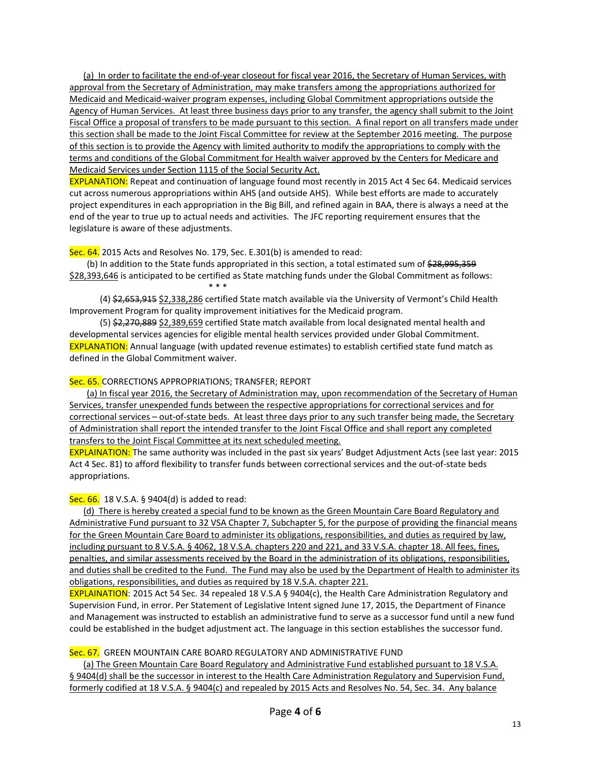(a) In order to facilitate the end‐of‐year closeout for fiscal year 2016, the Secretary of Human Services, with approval from the Secretary of Administration, may make transfers among the appropriations authorized for Medicaid and Medicaid‐waiver program expenses, including Global Commitment appropriations outside the Agency of Human Services. At least three business days prior to any transfer, the agency shall submit to the Joint Fiscal Office a proposal of transfers to be made pursuant to this section. A final report on all transfers made under this section shall be made to the Joint Fiscal Committee for review at the September 2016 meeting. The purpose of this section is to provide the Agency with limited authority to modify the appropriations to comply with the terms and conditions of the Global Commitment for Health waiver approved by the Centers for Medicare and Medicaid Services under Section 1115 of the Social Security Act.

EXPLANATION: Repeat and continuation of language found most recently in 2015 Act 4 Sec 64. Medicaid services cut across numerous appropriations within AHS (and outside AHS). While best efforts are made to accurately project expenditures in each appropriation in the Big Bill, and refined again in BAA, there is always a need at the end of the year to true up to actual needs and activities. The JFC reporting requirement ensures that the legislature is aware of these adjustments.

Sec. 64. 2015 Acts and Resolves No. 179, Sec. E.301(b) is amended to read:

(b) In addition to the State funds appropriated in this section, a total estimated sum of  $\frac{28,995,359}{2}$ \$28,393,646 is anticipated to be certified as State matching funds under the Global Commitment as follows:<br>\*\*\*  $* * *$ 

(4) \$2,653,915 \$2,338,286 certified State match available via the University of Vermont's Child Health Improvement Program for quality improvement initiatives for the Medicaid program.

(5) \$2,270,889 \$2,389,659 certified State match available from local designated mental health and developmental services agencies for eligible mental health services provided under Global Commitment. EXPLANATION: Annual language (with updated revenue estimates) to establish certified state fund match as defined in the Global Commitment waiver.

### Sec. 65. CORRECTIONS APPROPRIATIONS; TRANSFER; REPORT

(a) In fiscal year 2016, the Secretary of Administration may, upon recommendation of the Secretary of Human Services, transfer unexpended funds between the respective appropriations for correctional services and for correctional services – out-of-state beds. At least three days prior to any such transfer being made, the Secretary of Administration shall report the intended transfer to the Joint Fiscal Office and shall report any completed transfers to the Joint Fiscal Committee at its next scheduled meeting.

EXPLAINATION: The same authority was included in the past six years' Budget Adjustment Acts (see last year: 2015 Act 4 Sec. 81) to afford flexibility to transfer funds between correctional services and the out‐of‐state beds appropriations.

Sec. 66. 18 V.S.A. § 9404(d) is added to read:

(d) There is hereby created a special fund to be known as the Green Mountain Care Board Regulatory and Administrative Fund pursuant to 32 VSA Chapter 7, Subchapter 5, for the purpose of providing the financial means for the Green Mountain Care Board to administer its obligations, responsibilities, and duties as required by law, including pursuant to 8 V.S.A. § 4062, 18 V.S.A. chapters 220 and 221, and 33 V.S.A. chapter 18. All fees, fines, penalties, and similar assessments received by the Board in the administration of its obligations, responsibilities, and duties shall be credited to the Fund. The Fund may also be used by the Department of Health to administer its obligations, responsibilities, and duties as required by 18 V.S.A. chapter 221.

EXPLAINATION: 2015 Act 54 Sec. 34 repealed 18 V.S.A § 9404(c), the Health Care Administration Regulatory and Supervision Fund, in error. Per Statement of Legislative Intent signed June 17, 2015, the Department of Finance and Management was instructed to establish an administrative fund to serve as a successor fund until a new fund could be established in the budget adjustment act. The language in this section establishes the successor fund.

## Sec. 67. GREEN MOUNTAIN CARE BOARD REGULATORY AND ADMINISTRATIVE FUND

(a) The Green Mountain Care Board Regulatory and Administrative Fund established pursuant to 18 V.S.A. § 9404(d) shall be the successor in interest to the Health Care Administration Regulatory and Supervision Fund, formerly codified at 18 V.S.A. § 9404(c) and repealed by 2015 Acts and Resolves No. 54, Sec. 34. Any balance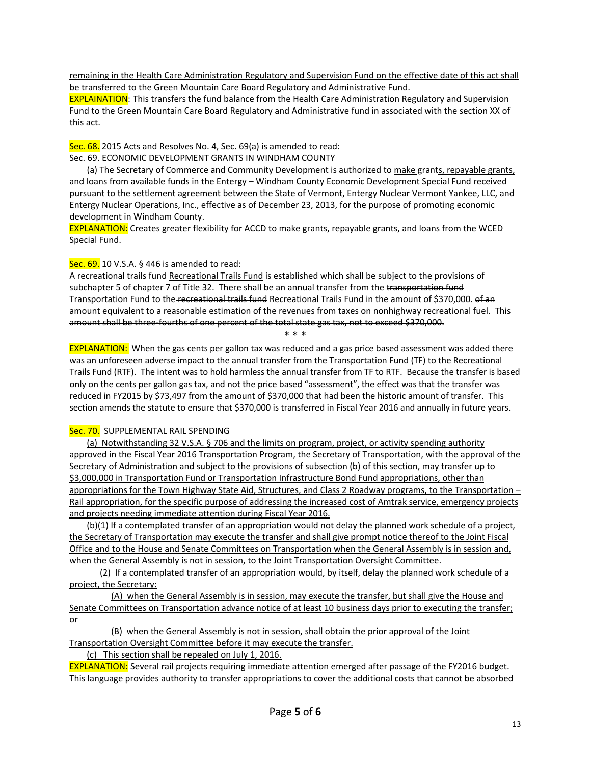remaining in the Health Care Administration Regulatory and Supervision Fund on the effective date of this act shall be transferred to the Green Mountain Care Board Regulatory and Administrative Fund.

**EXPLAINATION:** This transfers the fund balance from the Health Care Administration Regulatory and Supervision Fund to the Green Mountain Care Board Regulatory and Administrative fund in associated with the section XX of this act.

Sec. 68. 2015 Acts and Resolves No. 4, Sec. 69(a) is amended to read:

Sec. 69. ECONOMIC DEVELOPMENT GRANTS IN WINDHAM COUNTY

(a) The Secretary of Commerce and Community Development is authorized to make grants, repayable grants, and loans from available funds in the Entergy – Windham County Economic Development Special Fund received pursuant to the settlement agreement between the State of Vermont, Entergy Nuclear Vermont Yankee, LLC, and Entergy Nuclear Operations, Inc., effective as of December 23, 2013, for the purpose of promoting economic development in Windham County.

EXPLANATION: Creates greater flexibility for ACCD to make grants, repayable grants, and loans from the WCED Special Fund.

### Sec. 69. 10 V.S.A. § 446 is amended to read:

A recreational trails fund Recreational Trails Fund is established which shall be subject to the provisions of subchapter 5 of chapter 7 of Title 32. There shall be an annual transfer from the transportation fund Transportation Fund to the recreational trails fund Recreational Trails Fund in the amount of \$370,000. of an amount equivalent to a reasonable estimation of the revenues from taxes on nonhighway recreational fuel. This amount shall be three-fourths of one percent of the total state gas tax, not to exceed \$370,000.

\* \* \*

EXPLANATION: When the gas cents per gallon tax was reduced and a gas price based assessment was added there was an unforeseen adverse impact to the annual transfer from the Transportation Fund (TF) to the Recreational Trails Fund (RTF). The intent was to hold harmless the annual transfer from TF to RTF. Because the transfer is based only on the cents per gallon gas tax, and not the price based "assessment", the effect was that the transfer was reduced in FY2015 by \$73,497 from the amount of \$370,000 that had been the historic amount of transfer. This section amends the statute to ensure that \$370,000 is transferred in Fiscal Year 2016 and annually in future years.

## Sec. 70. SUPPLEMENTAL RAIL SPENDING

(a) Notwithstanding 32 V.S.A. § 706 and the limits on program, project, or activity spending authority approved in the Fiscal Year 2016 Transportation Program, the Secretary of Transportation, with the approval of the Secretary of Administration and subject to the provisions of subsection (b) of this section, may transfer up to \$3,000,000 in Transportation Fund or Transportation Infrastructure Bond Fund appropriations, other than appropriations for the Town Highway State Aid, Structures, and Class 2 Roadway programs, to the Transportation – Rail appropriation, for the specific purpose of addressing the increased cost of Amtrak service, emergency projects and projects needing immediate attention during Fiscal Year 2016.

(b)(1) If a contemplated transfer of an appropriation would not delay the planned work schedule of a project, the Secretary of Transportation may execute the transfer and shall give prompt notice thereof to the Joint Fiscal Office and to the House and Senate Committees on Transportation when the General Assembly is in session and, when the General Assembly is not in session, to the Joint Transportation Oversight Committee.

(2) If a contemplated transfer of an appropriation would, by itself, delay the planned work schedule of a project, the Secretary:

(A) when the General Assembly is in session, may execute the transfer, but shall give the House and Senate Committees on Transportation advance notice of at least 10 business days prior to executing the transfer; or

(B) when the General Assembly is not in session, shall obtain the prior approval of the Joint Transportation Oversight Committee before it may execute the transfer.

(c) This section shall be repealed on July 1, 2016.

EXPLANATION: Several rail projects requiring immediate attention emerged after passage of the FY2016 budget. This language provides authority to transfer appropriations to cover the additional costs that cannot be absorbed